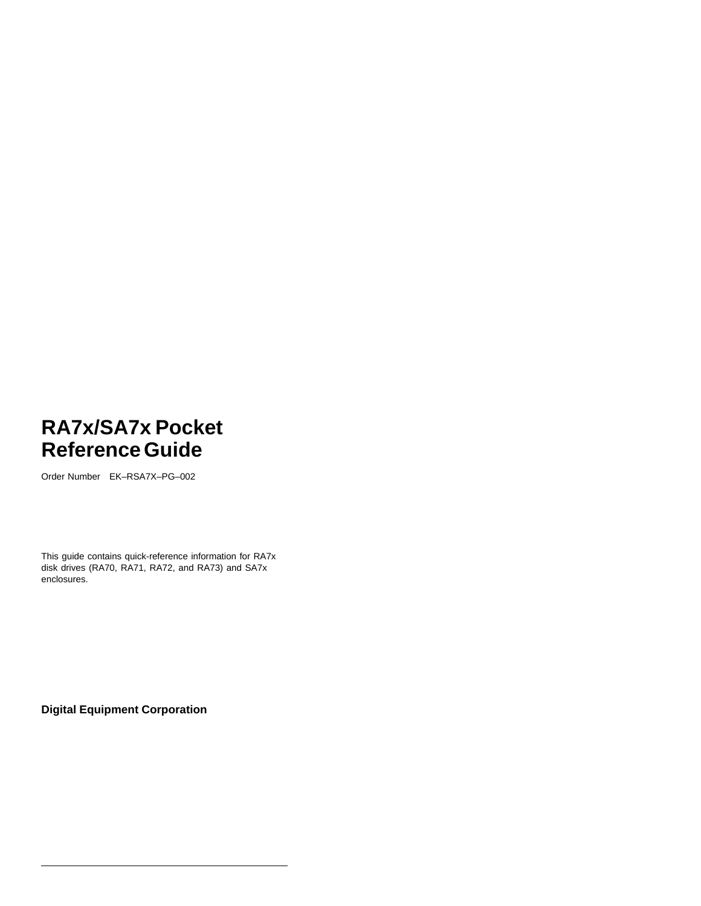Order Number EK–RSA7X–PG–002

This guide contains quick-reference information for RA7x disk drives (RA70, RA71, RA72, and RA73) and SA7x enclosures.

**Digital Equipment Corporation**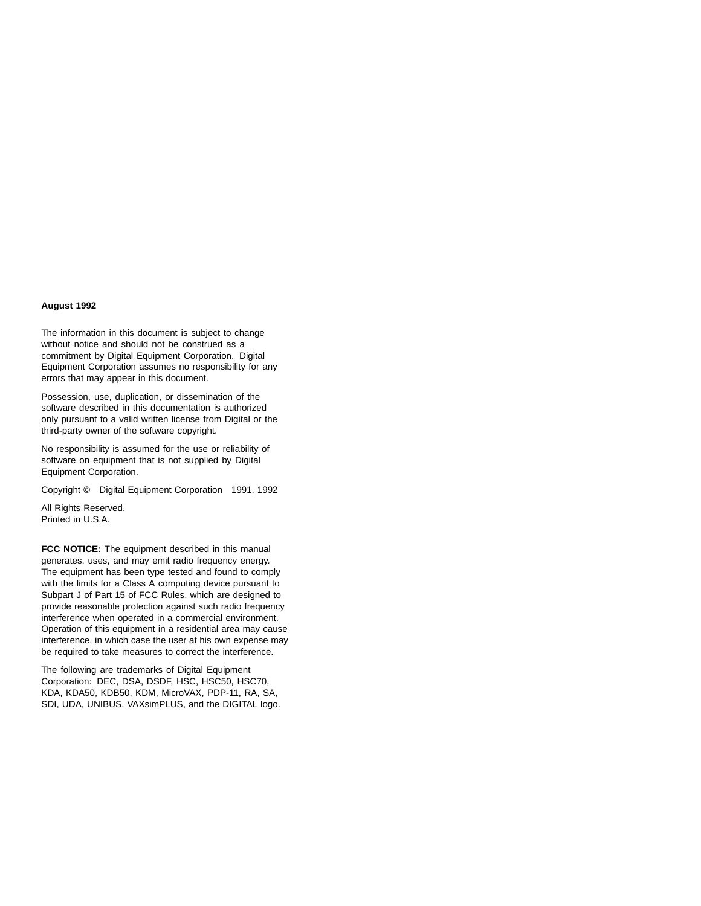#### **August 1992**

The information in this document is subject to change without notice and should not be construed as a commitment by Digital Equipment Corporation. Digital Equipment Corporation assumes no responsibility for any errors that may appear in this document.

Possession, use, duplication, or dissemination of the software described in this documentation is authorized only pursuant to a valid written license from Digital or the third-party owner of the software copyright.

No responsibility is assumed for the use or reliability of software on equipment that is not supplied by Digital Equipment Corporation.

Copyright © Digital Equipment Corporation 1991, 1992

All Rights Reserved. Printed in U.S.A.

**FCC NOTICE:** The equipment described in this manual generates, uses, and may emit radio frequency energy. The equipment has been type tested and found to comply with the limits for a Class A computing device pursuant to Subpart J of Part 15 of FCC Rules, which are designed to provide reasonable protection against such radio frequency interference when operated in a commercial environment. Operation of this equipment in a residential area may cause interference, in which case the user at his own expense may be required to take measures to correct the interference.

The following are trademarks of Digital Equipment Corporation: DEC, DSA, DSDF, HSC, HSC50, HSC70, KDA, KDA50, KDB50, KDM, MicroVAX, PDP-11, RA, SA, SDI, UDA, UNIBUS, VAXsimPLUS, and the DIGITAL logo.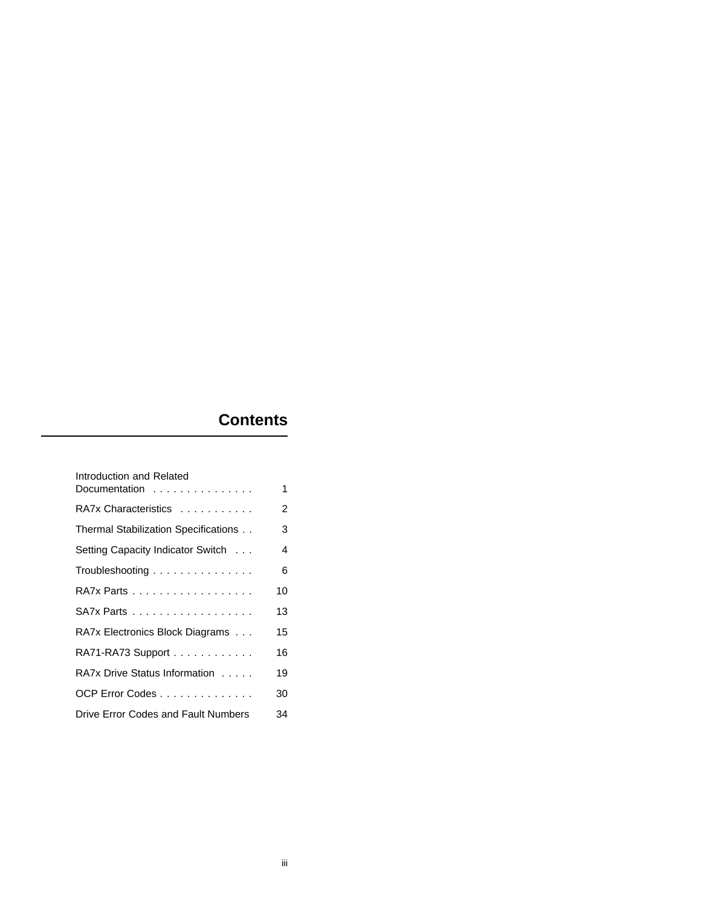## **Contents**

| Introduction and Related                             |    |
|------------------------------------------------------|----|
| Documentation $\ldots$ , $\ldots$ , $\ldots$         | 1  |
| RA7x Characteristics                                 | 2  |
| Thermal Stabilization Specifications                 | 3  |
| Setting Capacity Indicator Switch                    | 4  |
| Troubleshooting $\ldots \ldots \ldots \ldots \ldots$ | 6  |
| RA7x Parts                                           | 10 |
| $S$ A7x Parts $\ldots \ldots \ldots \ldots \ldots$   | 13 |
| RA7x Electronics Block Diagrams                      | 15 |
| RA71-RA73 Support                                    | 16 |
| RA7x Drive Status Information                        | 19 |
| OCP Error Codes                                      | 30 |
| Drive Error Codes and Fault Numbers                  | 34 |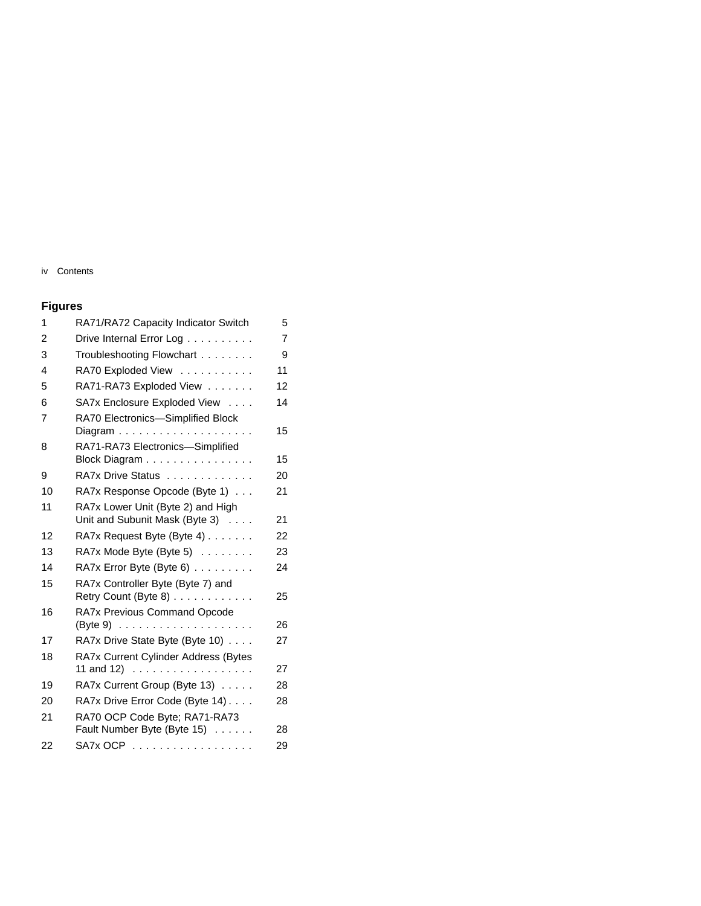## iv Contents

## **Figures**

| 1  | RA71/RA72 Capacity Indicator Switch                                                     | 5              |
|----|-----------------------------------------------------------------------------------------|----------------|
| 2  | Drive Internal Error Log                                                                | $\overline{7}$ |
| 3  | Troubleshooting Flowchart                                                               | 9              |
| 4  | RA70 Exploded View                                                                      | 11             |
| 5  | RA71-RA73 Exploded View                                                                 | 12             |
| 6  | SA7x Enclosure Exploded View                                                            | 14             |
| 7  | RA70 Electronics-Simplified Block                                                       | 15             |
| 8  | RA71-RA73 Electronics-Simplified<br>Block Diagram                                       | 15             |
| 9  | RA7x Drive Status                                                                       | 20             |
| 10 | RA7x Response Opcode (Byte 1)                                                           | 21             |
| 11 | RA7x Lower Unit (Byte 2) and High<br>Unit and Subunit Mask (Byte 3)                     | 21             |
| 12 | RA7x Request Byte (Byte 4)                                                              | 22             |
| 13 | $RA7x$ Mode Byte (Byte 5) $\ldots \ldots$                                               | 23             |
| 14 | RA7x Error Byte (Byte 6)                                                                | 24             |
| 15 | RA7x Controller Byte (Byte 7) and<br>Retry Count (Byte 8)                               | 25             |
| 16 | RA7x Previous Command Opcode                                                            |                |
|    |                                                                                         | 26             |
| 17 | RA7x Drive State Byte (Byte 10)                                                         | 27             |
| 18 | RA7x Current Cylinder Address (Bytes<br>11 and 12) $\ldots \ldots \ldots \ldots \ldots$ | 27             |
| 19 | RA7x Current Group (Byte 13)                                                            | 28             |
| 20 | RA7x Drive Error Code (Byte 14)                                                         | 28             |
| 21 | RA70 OCP Code Byte; RA71-RA73                                                           |                |
|    | Fault Number Byte (Byte 15)                                                             | 28             |
| 22 | SA7x OCP                                                                                | 29             |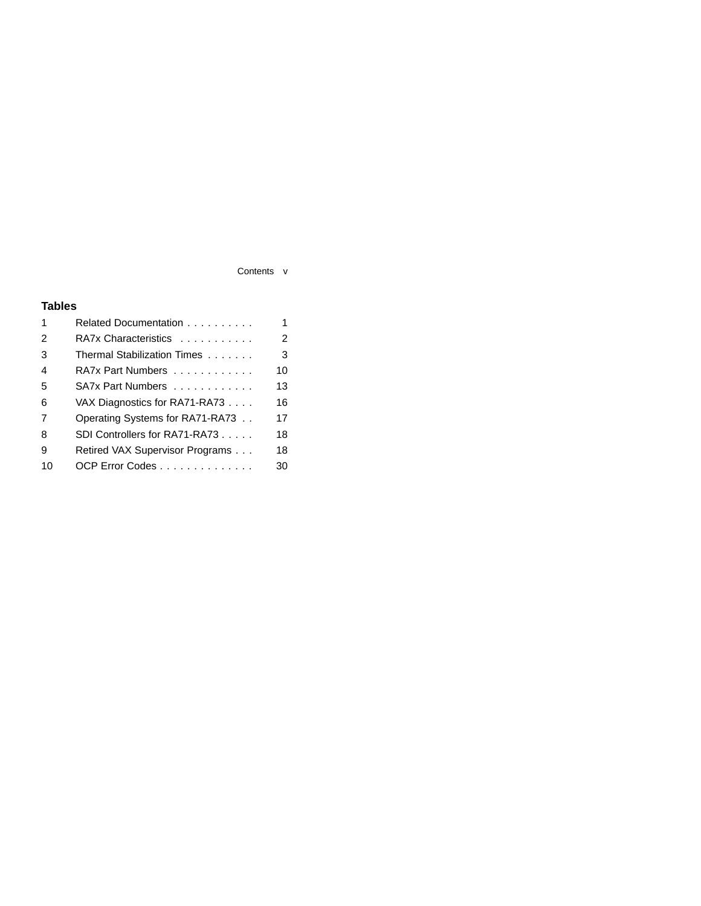## Contents v

## **Tables**

| 1              | Related Documentation           | 1  |
|----------------|---------------------------------|----|
| $\overline{2}$ | RA7x Characteristics            | 2  |
| 3              | Thermal Stabilization Times     | 3  |
| $\overline{4}$ | RA7x Part Numbers               | 10 |
| 5              | SA7x Part Numbers               | 13 |
| 6              | VAX Diagnostics for RA71-RA73   | 16 |
| 7              | Operating Systems for RA71-RA73 | 17 |
| 8              | SDI Controllers for RA71-RA73   | 18 |
| 9              | Retired VAX Supervisor Programs | 18 |
| 10             | OCP Error Codes                 | 30 |
|                |                                 |    |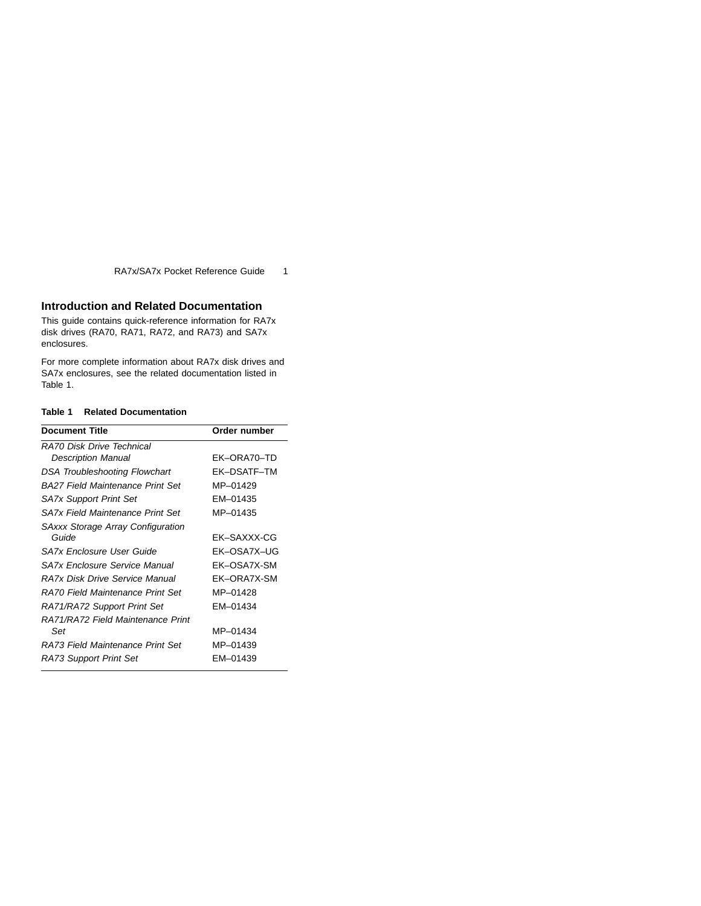## **Introduction and Related Documentation**

This guide contains quick-reference information for RA7x disk drives (RA70, RA71, RA72, and RA73) and SA7x enclosures.

For more complete information about RA7x disk drives and SA7x enclosures, see the related documentation listed in Table 1.

#### **Table 1 Related Documentation**

| <b>Document Title</b>                    | Order number |
|------------------------------------------|--------------|
| RA70 Disk Drive Technical                |              |
| <b>Description Manual</b>                | EK-ORA70-TD  |
| <b>DSA Troubleshooting Flowchart</b>     | EK-DSATF-TM  |
| <b>BA27 Field Maintenance Print Set</b>  | MP-01429     |
| <b>SA7x Support Print Set</b>            | EM-01435     |
| <b>SA7x Field Maintenance Print Set</b>  | MP-01435     |
| <b>SAxxx Storage Array Configuration</b> |              |
| Guide                                    | EK-SAXXX-CG  |
| SA7x Enclosure User Guide                | EK-OSA7X-UG  |
| SA7x Enclosure Service Manual            | EK-OSA7X-SM  |
| RA7x Disk Drive Service Manual           | EK-ORA7X-SM  |
| RA70 Field Maintenance Print Set         | MP-01428     |
| RA71/RA72 Support Print Set              | EM-01434     |
| RA71/RA72 Field Maintenance Print        |              |
| Set                                      | MP-01434     |
| RA73 Field Maintenance Print Set         | MP-01439     |
| RA73 Support Print Set                   | FM-01439     |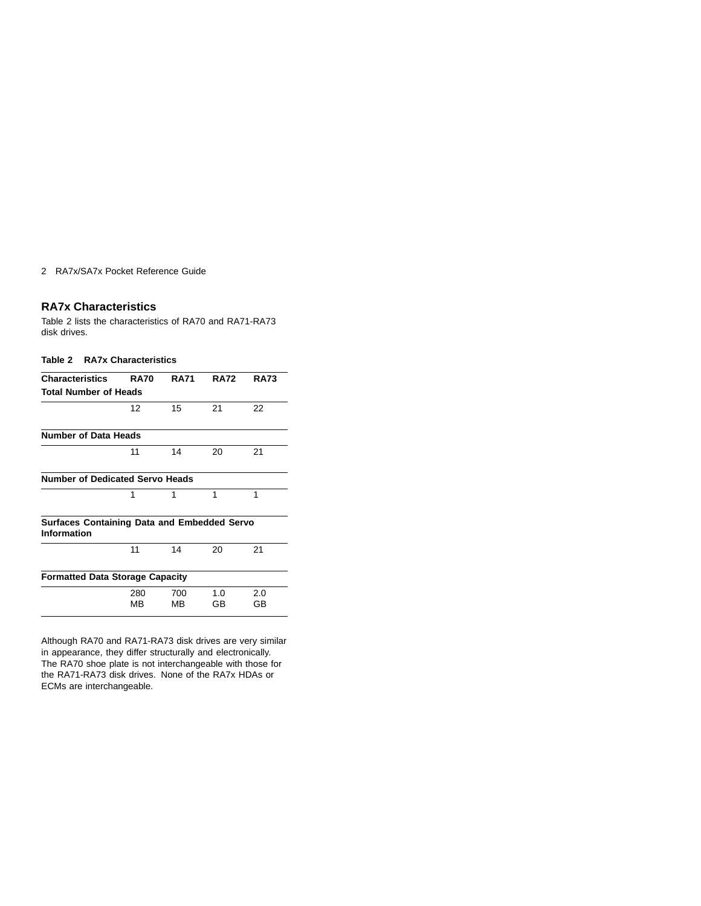## **RA7x Characteristics**

Table 2 lists the characteristics of RA70 and RA71-RA73 disk drives.

| Table 2 |  | <b>RA7x Characteristics</b> |  |
|---------|--|-----------------------------|--|
|---------|--|-----------------------------|--|

| <b>Characteristics</b>                                            | <b>RA70</b> | <b>RA71</b> | <b>RA72</b> | <b>RA73</b> |
|-------------------------------------------------------------------|-------------|-------------|-------------|-------------|
| <b>Total Number of Heads</b>                                      |             |             |             |             |
|                                                                   | 12          | 15          | 21          | 22          |
| <b>Number of Data Heads</b>                                       |             |             |             |             |
|                                                                   | 11          | 14          | 20          | 21          |
| <b>Number of Dedicated Servo Heads</b>                            |             |             |             |             |
|                                                                   | 1           | 1           | 1           | 1           |
| <b>Surfaces Containing Data and Embedded Servo</b><br>Information |             |             |             |             |
|                                                                   | 11          | 14          | 20          | 21          |
| <b>Formatted Data Storage Capacity</b>                            |             |             |             |             |
|                                                                   | 280<br>MВ   | 700<br>MВ   | 1.0<br>GВ   | 2.0<br>GВ   |

Although RA70 and RA71-RA73 disk drives are very similar in appearance, they differ structurally and electronically. The RA70 shoe plate is not interchangeable with those for the RA71-RA73 disk drives. None of the RA7x HDAs or ECMs are interchangeable.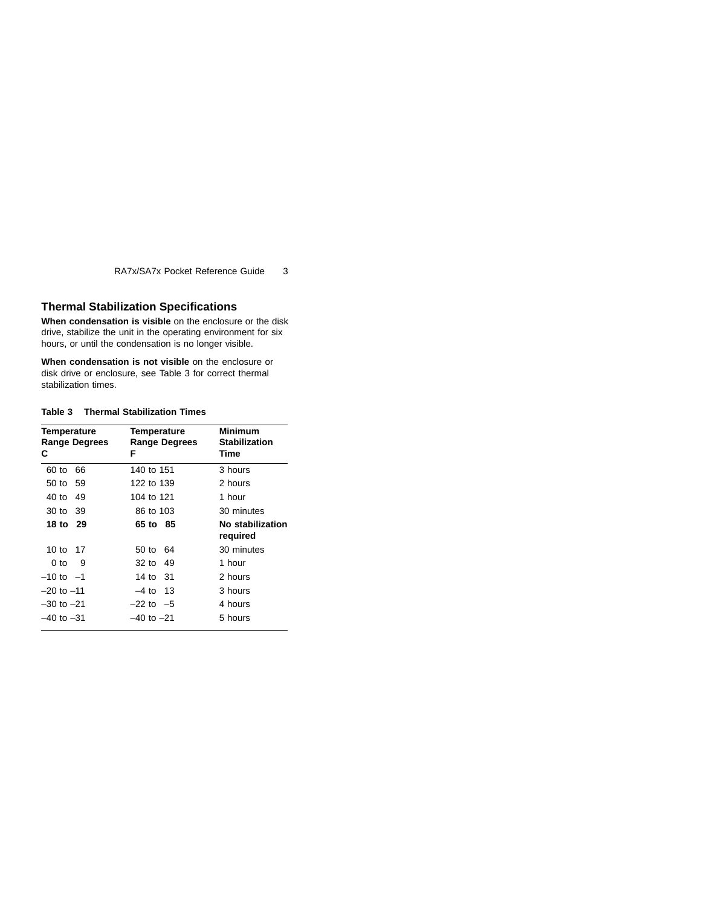## **Thermal Stabilization Specifications**

**When condensation is visible** on the enclosure or the disk drive, stabilize the unit in the operating environment for six hours, or until the condensation is no longer visible.

**When condensation is not visible** on the enclosure or disk drive or enclosure, see Table 3 for correct thermal stabilization times.

#### **Table 3 Thermal Stabilization Times**

| <b>Temperature</b><br><b>Range Degrees</b><br>С | Temperature<br><b>Range Degrees</b><br>F | Minimum<br><b>Stabilization</b><br>Time |
|-------------------------------------------------|------------------------------------------|-----------------------------------------|
| 60 to<br>66                                     | 140 to 151                               | 3 hours                                 |
| 50 to 59                                        | 122 to 139                               | 2 hours                                 |
| 40 to<br>49                                     | 104 to 121                               | 1 hour                                  |
| 30 to 39                                        | 86 to 103                                | 30 minutes                              |
| 18 to 29                                        | 65 to 85                                 | No stabilization<br>required            |
| 10 to 17                                        | 50 to 64                                 | 30 minutes                              |
| 9<br>0 to                                       | 32 to 49                                 | 1 hour                                  |
| $-10$ to $-1$                                   | 14 to 31                                 | 2 hours                                 |
| $-20$ to $-11$                                  | -4 to 13                                 | 3 hours                                 |
| $-30$ to $-21$                                  | $-22$ to $-5$                            | 4 hours                                 |
| –40 to –31                                      | –40 to –21                               | 5 hours                                 |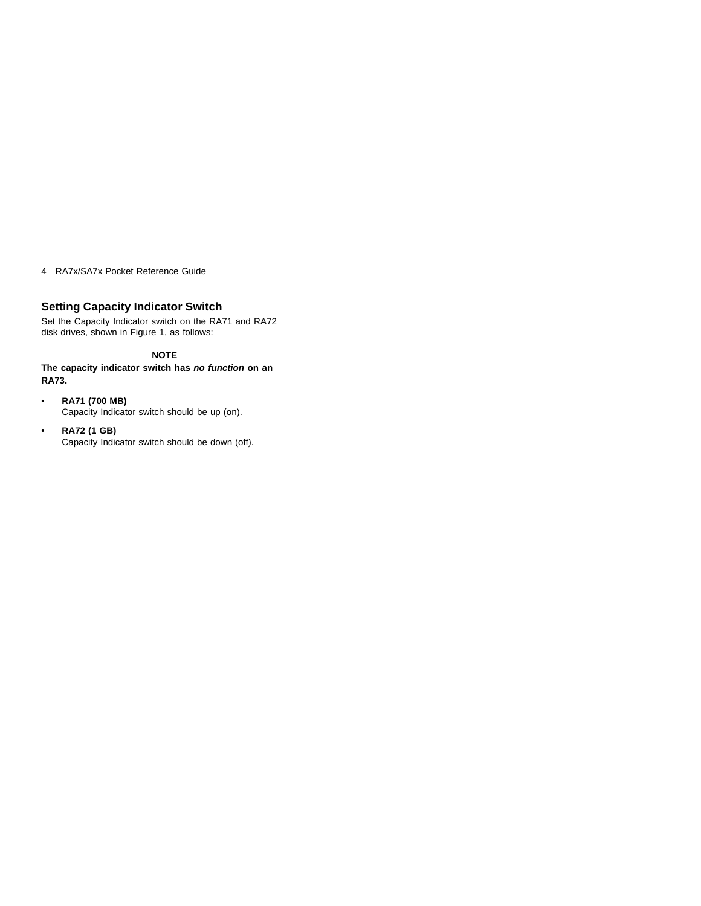## **Setting Capacity Indicator Switch**

Set the Capacity Indicator switch on the RA71 and RA72 disk drives, shown in Figure 1, as follows:

## **NOTE**

**The capacity indicator switch has no function on an RA73.**

- **RA71 (700 MB)** Capacity Indicator switch should be up (on).
- **RA72 (1 GB)** Capacity Indicator switch should be down (off).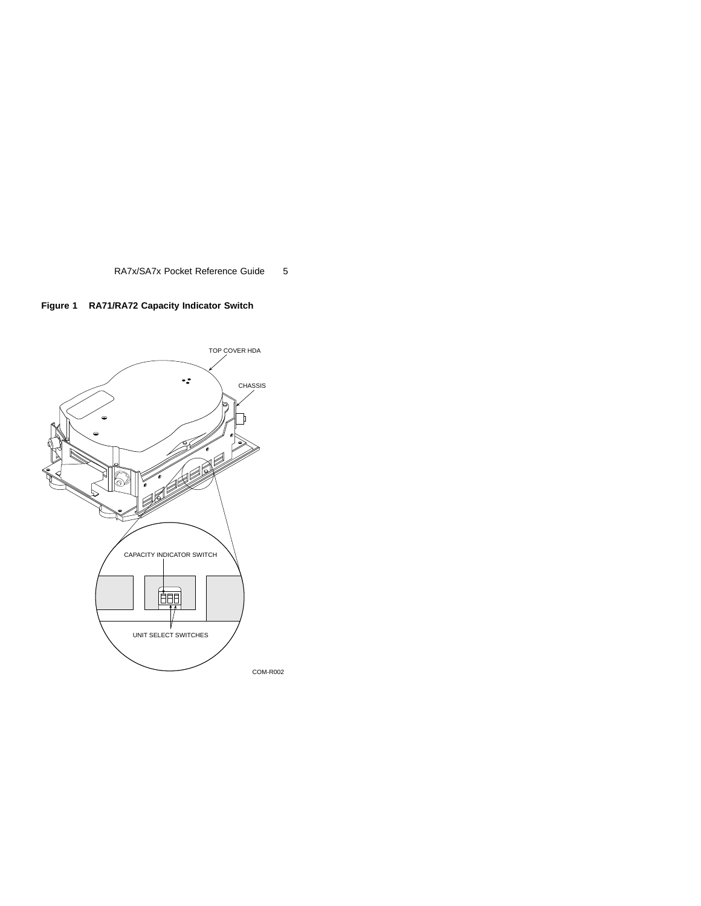

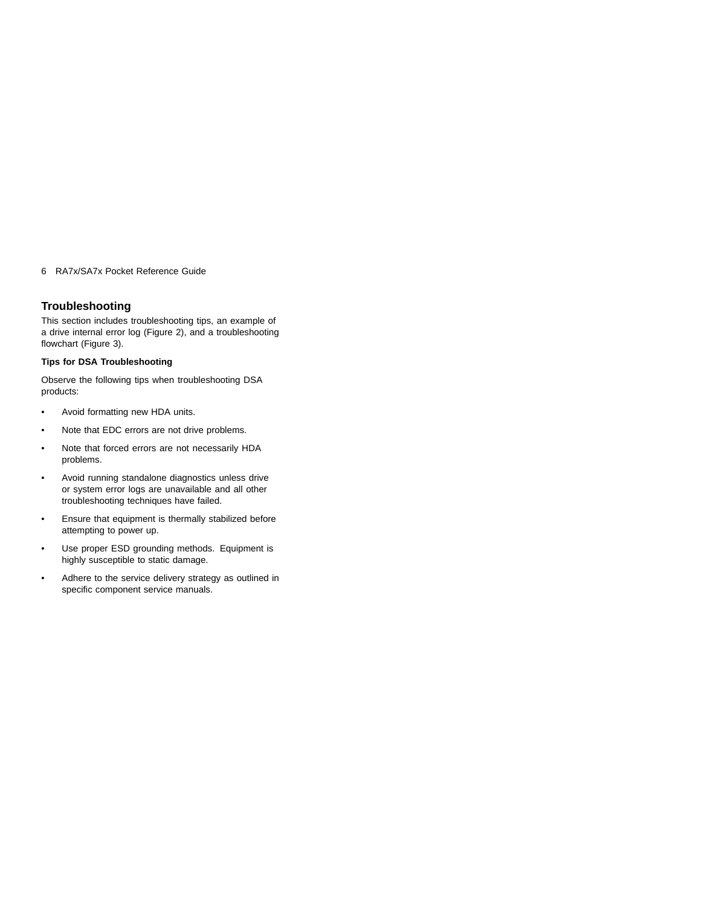## **Troubleshooting**

This section includes troubleshooting tips, an example of a drive internal error log (Figure 2), and a troubleshooting flowchart (Figure 3).

## **Tips for DSA Troubleshooting**

Observe the following tips when troubleshooting DSA products:

- Avoid formatting new HDA units.
- Note that EDC errors are not drive problems.
- Note that forced errors are not necessarily HDA problems.
- Avoid running standalone diagnostics unless drive or system error logs are unavailable and all other troubleshooting techniques have failed.
- Ensure that equipment is thermally stabilized before attempting to power up.
- Use proper ESD grounding methods. Equipment is highly susceptible to static damage.
- Adhere to the service delivery strategy as outlined in specific component service manuals.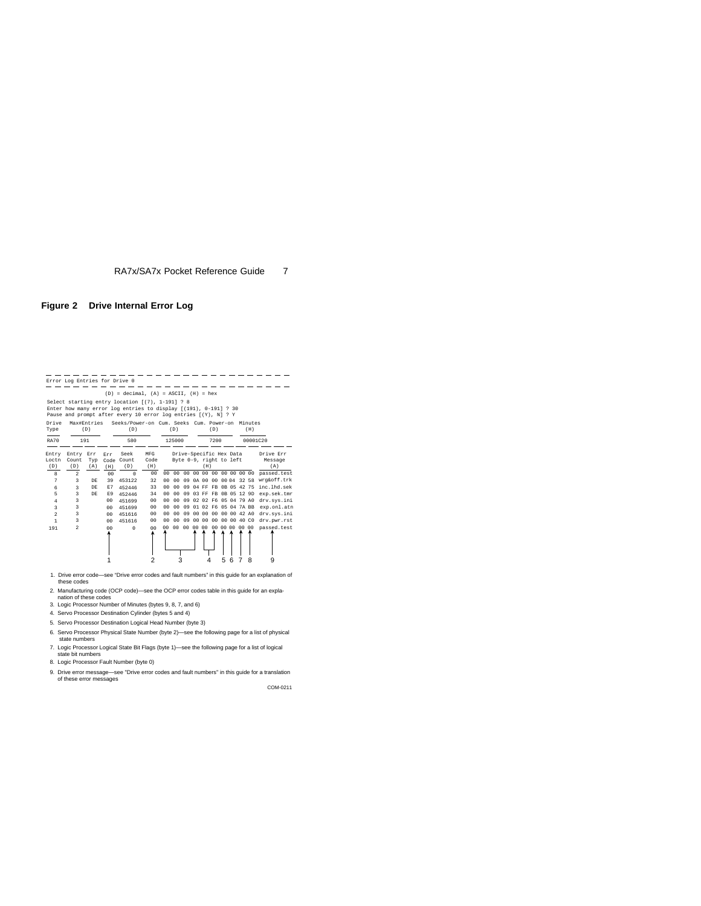### **Figure 2 Drive Internal Error Log**

|                       | Error Log Entries for Drive 0             |                    |                       |                                                                                                                                                                                      |                      |                                  |                                  |                                                    |       |                                  |      |   |   |                            |     |                             |
|-----------------------|-------------------------------------------|--------------------|-----------------------|--------------------------------------------------------------------------------------------------------------------------------------------------------------------------------------|----------------------|----------------------------------|----------------------------------|----------------------------------------------------|-------|----------------------------------|------|---|---|----------------------------|-----|-----------------------------|
|                       |                                           |                    |                       | $(D) = decimal$ . $(A) = ASCII$ . $(H) = hex$                                                                                                                                        |                      |                                  |                                  |                                                    |       |                                  |      |   |   |                            |     |                             |
|                       |                                           |                    |                       | Select starting entry location ((7), 1-191] ? 8<br>Enter how many error log entries to display [(191), 0-191] ? 30<br>Pause and prompt after every 10 error log entries [(Y), N] ? Y |                      |                                  |                                  |                                                    |       |                                  |      |   |   |                            |     |                             |
| Drive<br>Type         |                                           | Max#Entries<br>(D) |                       | Seeks/Power-on Cum. Seeks Cum. Power-on Minutes<br>(D)                                                                                                                               |                      |                                  | (D)                              |                                                    |       |                                  | (D)  |   |   |                            | (H) |                             |
| <b>RA70</b>           |                                           | 191                |                       | 580                                                                                                                                                                                  |                      |                                  | 125000                           |                                                    |       |                                  | 7200 |   |   |                            |     | 00001C20                    |
| Entry<br>Loctn<br>(D) | Entry Err<br>Count<br>(D)                 | Typ<br>(A)         | Err<br>Code<br>(H)    | Seek<br>Count<br>(D)                                                                                                                                                                 | MFG<br>Code<br>(H)   |                                  |                                  | Drive-Specific Hex Data<br>Byte 0-9, right to left |       | (H)                              |      |   |   |                            |     | Drive Err<br>Message<br>(A) |
| 8<br>$\overline{7}$   | $\overline{a}$<br>$\overline{\mathbf{3}}$ | <b>DR</b>          | 0 <sub>0</sub><br>39  | $\Omega$<br>453122                                                                                                                                                                   | 00<br>32             | 0 <sub>0</sub><br>0 <sub>0</sub> | 0 <sup>0</sup><br>0 <sub>0</sub> | 0 <sub>0</sub><br>09                               |       | 00 00 00 00 00 00 00<br>0A 00 00 |      |   |   | 00 04 32 58                |     | passed.test<br>wrg&off.trk  |
| 6                     | $\overline{3}$                            | DE                 | E7                    | 452446                                                                                                                                                                               | 33                   | 0 <sub>0</sub>                   | 0 <sub>0</sub>                   | 09                                                 |       | 04 FF FB                         |      |   |   | OB 05 42 75                |     | inc.lhd.sek                 |
| 5<br>4                | R<br>$\overline{3}$                       | <b>DR</b>          | F.9<br>0 <sub>0</sub> | 452446<br>451699                                                                                                                                                                     | 34<br>0 <sub>0</sub> | 0 <sub>0</sub><br>0 <sub>0</sub> | 00<br>0 <sup>0</sup>             | 09<br>09                                           |       | 03 FF FB<br>02 02 F6             |      |   |   | OB 05 12 9D<br>05 04 79 AO |     | exp.sek.tmr<br>dry.svs.ini  |
| 3                     | 3                                         |                    | 0 <sub>0</sub>        | 451699                                                                                                                                                                               | 00                   | 0 <sub>0</sub>                   | 00                               | 09                                                 |       | 01 02 F6                         |      |   |   | 05 04 7A BB                |     | exp.onl.atn                 |
| $\mathfrak{D}$        | $\overline{3}$                            |                    | 00                    | 451616                                                                                                                                                                               | 0 <sup>0</sup>       | 0 <sub>0</sub>                   | 0 <sub>0</sub>                   | 09                                                 |       | 00 00 00                         |      |   |   | 00 00 42 A0                |     | dry.svs.ini                 |
| 1                     | $\overline{3}$                            |                    | 00                    | 451616                                                                                                                                                                               | 00                   | 0 <sub>0</sub>                   | 00                               | 09                                                 |       | 00 00                            | 00   |   |   | 00 00 40 CO                |     | dry.pwr.rst                 |
| 191                   | $\overline{2}$                            |                    | 0 <sub>0</sub>        | $\Omega$                                                                                                                                                                             | 0 <sub>0</sub>       | 0 <sub>0</sub>                   | 0 <sup>0</sup>                   | 00                                                 | 00 00 |                                  | 00   |   |   | 00 00 00 00                |     | passed.test                 |
|                       |                                           |                    |                       |                                                                                                                                                                                      | 2                    |                                  | 3                                |                                                    |       |                                  |      | 5 | 6 | 7                          | 8   | 9                           |

- 1. Drive error code—see "Drive error codes and fault numbers" in this guide for an explanation of these codes
- 2. Manufacturing code (OCP code)—see the OCP error codes table in this guide for an expla- nation of these codes
- 3. Logic Processor Number of Minutes (bytes 9, 8, 7, and 6)
- 4. Servo Processor Destination Cylinder (bytes 5 and 4)
- 5. Servo Processor Destination Logical Head Number (byte 3)
- 6. Servo Processor Physical State Number (byte 2)—see the following page for a list of physical state numbers
- 7. Logic Processor Logical State Bit Flags (byte 1)—see the following page for a list of logical
- state bit numbers 8. Logic Processor Fault Number (byte 0)
- 9. Drive error message—see "Drive error codes and fault numbers" in this guide for a translation of these error messages

COM-0211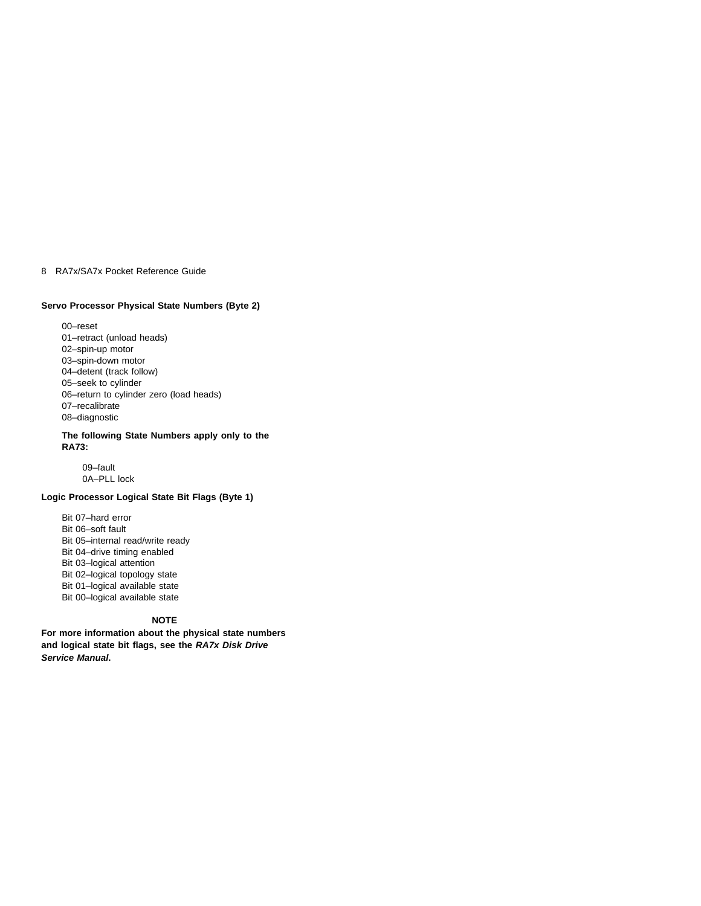#### **Servo Processor Physical State Numbers (Byte 2)**

00–reset 01–retract (unload heads) 02–spin-up motor 03–spin-down motor 04–detent (track follow) 05–seek to cylinder 06–return to cylinder zero (load heads) 07–recalibrate 08–diagnostic

#### **The following State Numbers apply only to the RA73:**

09–fault 0A–PLL lock

## **Logic Processor Logical State Bit Flags (Byte 1)**

Bit 07–hard error Bit 06–soft fault Bit 05–internal read/write ready Bit 04–drive timing enabled Bit 03–logical attention Bit 02–logical topology state Bit 01–logical available state Bit 00–logical available state

## **NOTE**

**For more information about the physical state numbers and logical state bit flags, see the RA7x Disk Drive Service Manual.**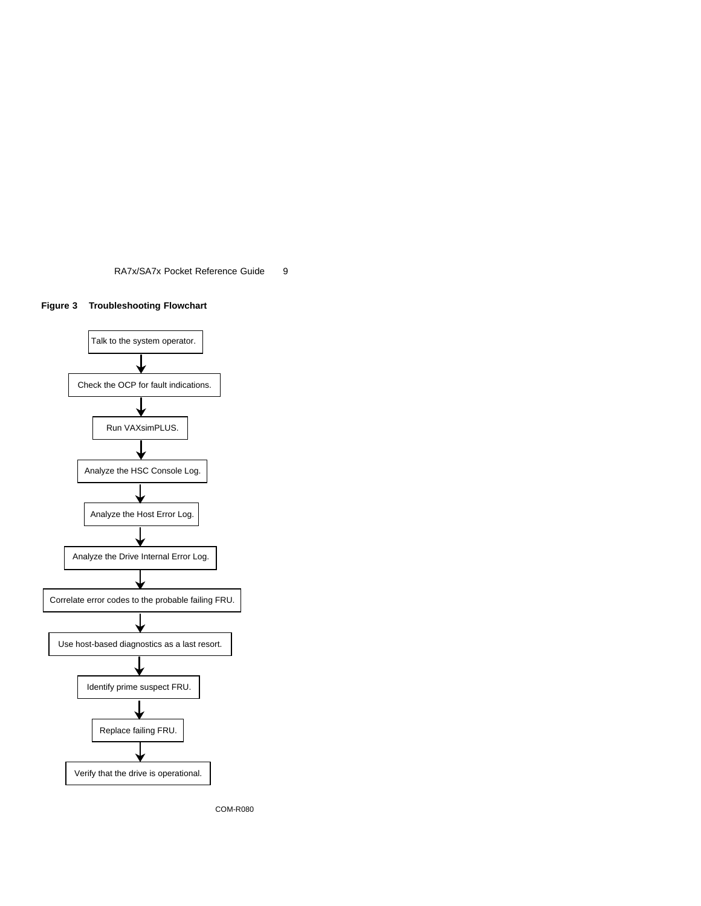



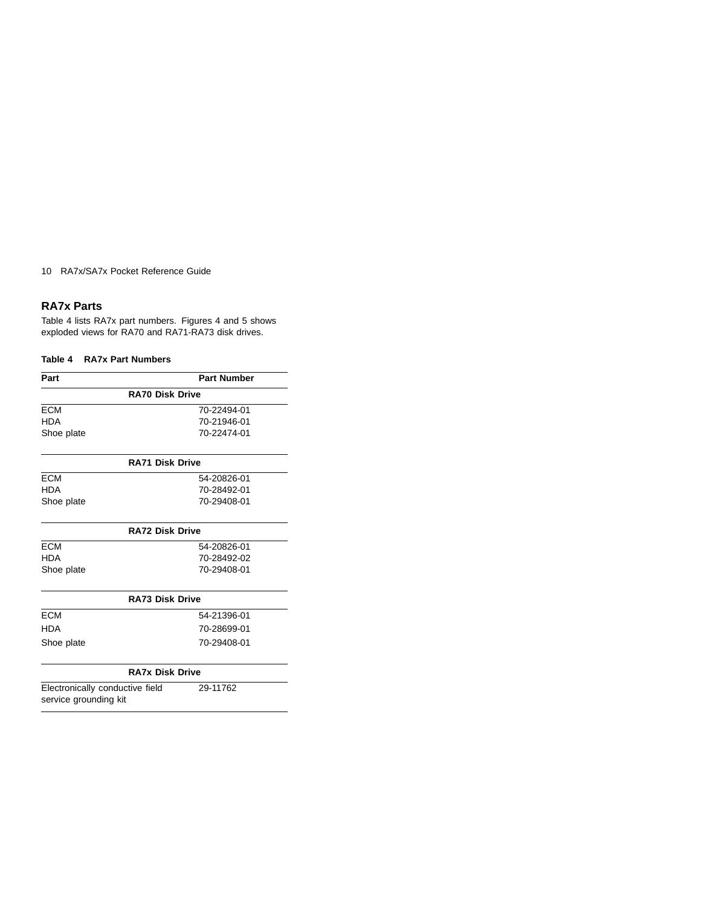## **RA7x Parts**

Table 4 lists RA7x part numbers. Figures 4 and 5 shows exploded views for RA70 and RA71-RA73 disk drives.

## **Table 4 RA7x Part Numbers**

| Part       | <b>Part Number</b>     |
|------------|------------------------|
|            | <b>RA70 Disk Drive</b> |
| <b>ECM</b> | 70-22494-01            |
| <b>HDA</b> | 70-21946-01            |
| Shoe plate | 70-22474-01            |
|            |                        |

|            | <b>RA71 Disk Drive</b> |
|------------|------------------------|
| <b>ECM</b> | 54-20826-01            |
| HDA        | 70-28492-01            |
| Shoe plate | 70-29408-01            |

| <b>RA72 Disk Drive</b> |             |  |  |
|------------------------|-------------|--|--|
| <b>ECM</b>             | 54-20826-01 |  |  |
| HDA                    | 70-28492-02 |  |  |
| Shoe plate             | 70-29408-01 |  |  |
|                        |             |  |  |

|            | <b>RA73 Disk Drive</b> |
|------------|------------------------|
| <b>ECM</b> | 54-21396-01            |
| HDA        | 70-28699-01            |
| Shoe plate | 70-29408-01            |

## **RA7x Disk Drive**

Electronically conductive field service grounding kit

29-11762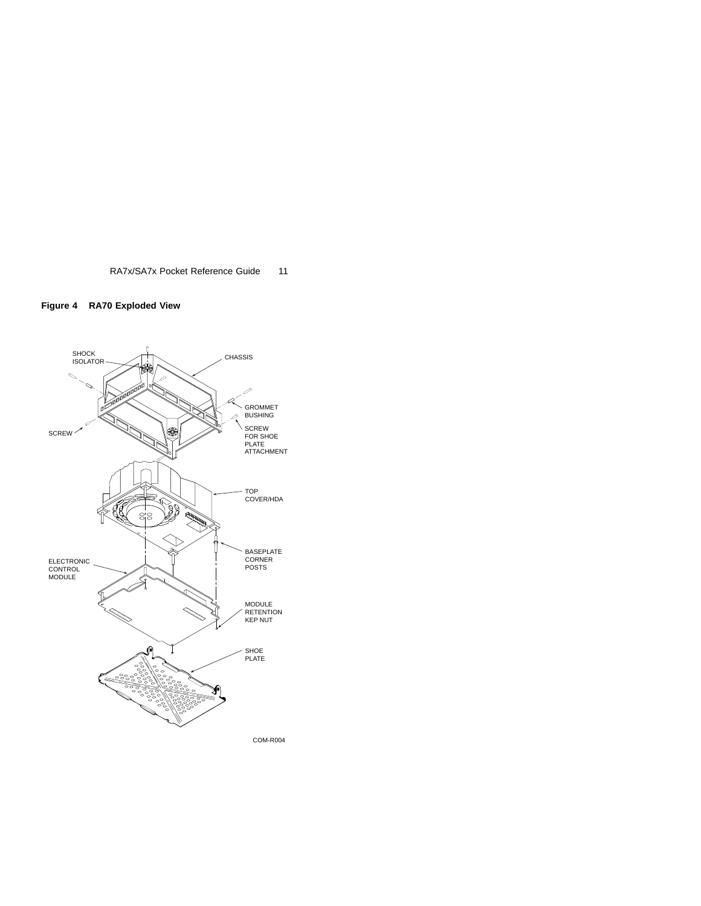

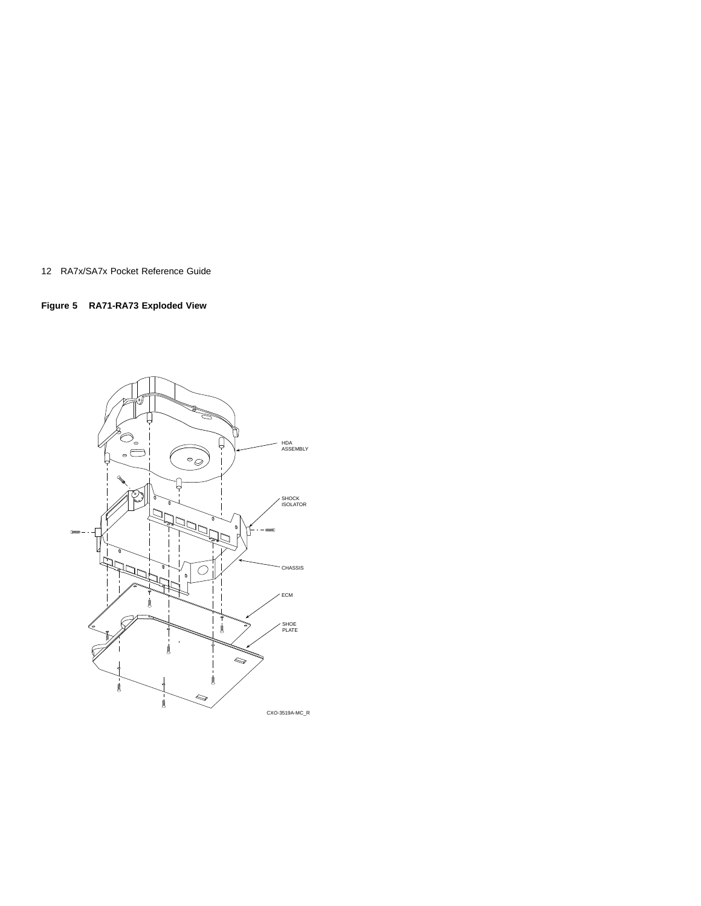**Figure 5 RA71-RA73 Exploded View**

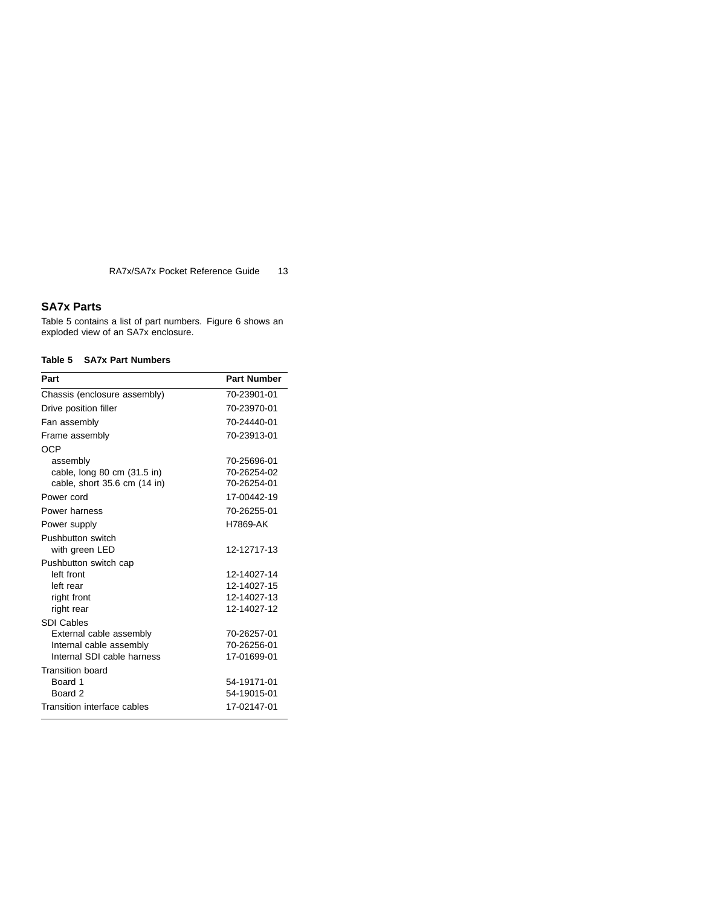## **SA7x Parts**

Table 5 contains a list of part numbers. Figure 6 shows an exploded view of an SA7x enclosure.

## **Table 5 SA7x Part Numbers**

| Part                         | <b>Part Number</b> |
|------------------------------|--------------------|
| Chassis (enclosure assembly) | 70-23901-01        |
| Drive position filler        | 70-23970-01        |
| Fan assembly                 | 70-24440-01        |
| Frame assembly               | 70-23913-01        |
| OCP                          |                    |
| assembly                     | 70-25696-01        |
| cable, long 80 cm (31.5 in)  | 70-26254-02        |
| cable, short 35.6 cm (14 in) | 70-26254-01        |
| Power cord                   | 17-00442-19        |
| Power harness                | 70-26255-01        |
| Power supply                 | H7869-AK           |
| Pushbutton switch            |                    |
| with green LED               | 12-12717-13        |
| Pushbutton switch cap        |                    |
| left front                   | 12-14027-14        |
| left rear                    | 12-14027-15        |
| right front                  | 12-14027-13        |
| right rear                   | 12-14027-12        |
| <b>SDI Cables</b>            |                    |
| External cable assembly      | 70-26257-01        |
| Internal cable assembly      | 70-26256-01        |
| Internal SDI cable harness   | 17-01699-01        |
| <b>Transition board</b>      |                    |
| Board 1                      | 54-19171-01        |
| Board 2                      | 54-19015-01        |
| Transition interface cables  | 17-02147-01        |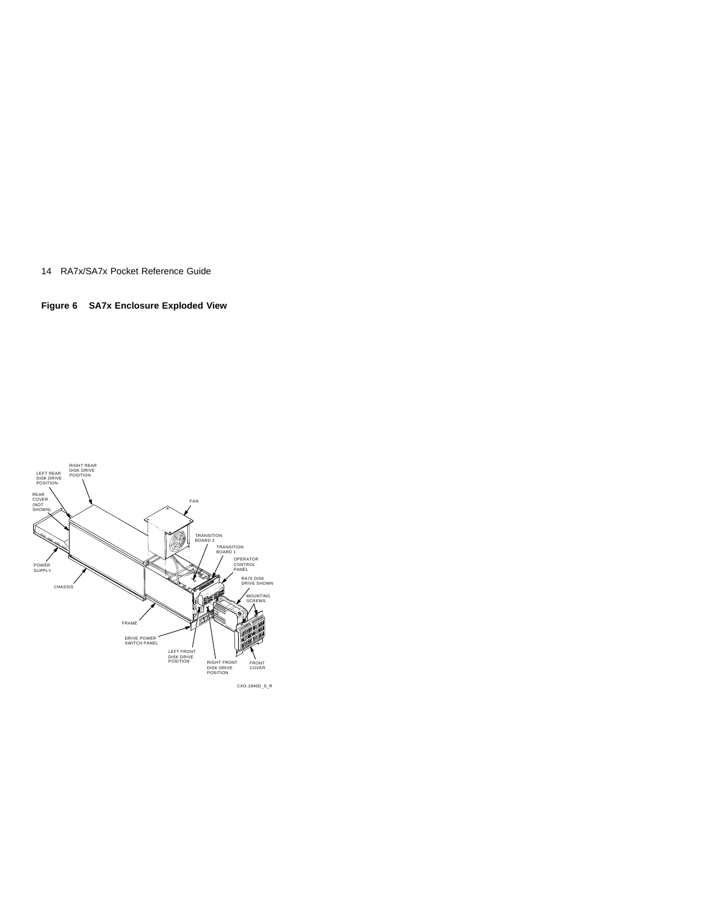**Figure 6 SA7x Enclosure Exploded View**

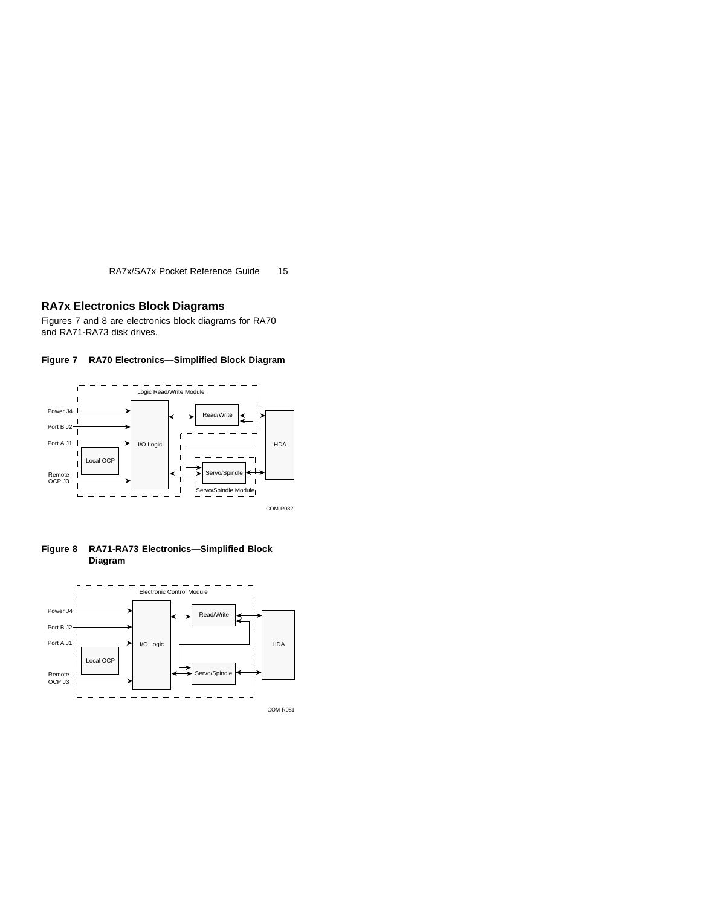## **RA7x Electronics Block Diagrams**

Figures 7 and 8 are electronics block diagrams for RA70 and RA71-RA73 disk drives.





**Figure 8 RA71-RA73 Electronics—Simplified Block Diagram**

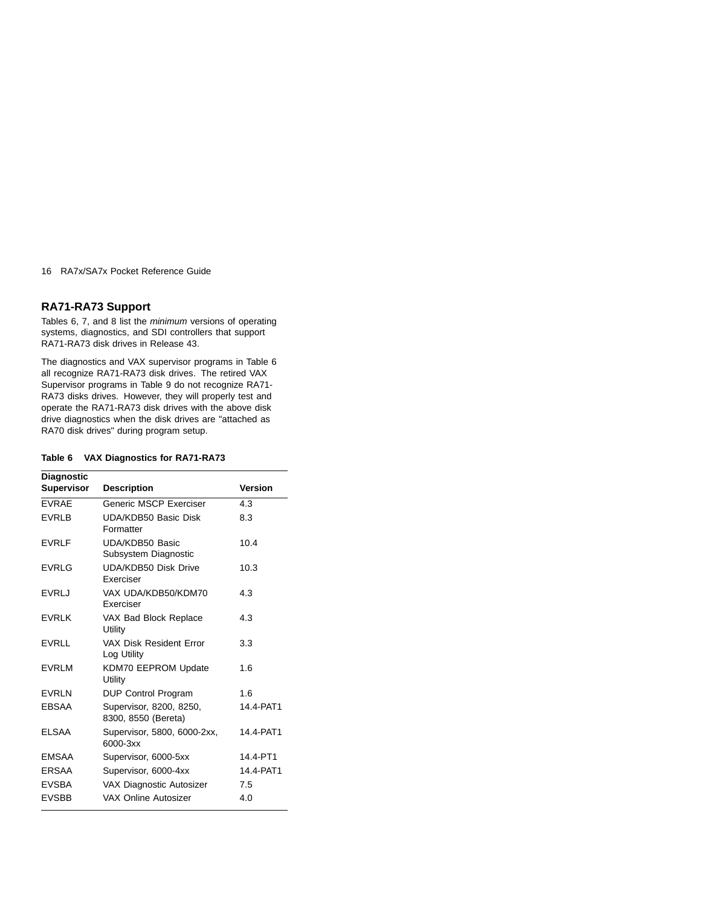## **RA71-RA73 Support**

Tables 6, 7, and 8 list the minimum versions of operating systems, diagnostics, and SDI controllers that support RA71-RA73 disk drives in Release 43.

The diagnostics and VAX supervisor programs in Table 6 all recognize RA71-RA73 disk drives. The retired VAX Supervisor programs in Table 9 do not recognize RA71- RA73 disks drives. However, they will properly test and operate the RA71-RA73 disk drives with the above disk drive diagnostics when the disk drives are "attached as RA70 disk drives" during program setup.

### **Table 6 VAX Diagnostics for RA71-RA73**

| <b>Diagnostic</b> |                                                |                |  |  |
|-------------------|------------------------------------------------|----------------|--|--|
| <b>Supervisor</b> | <b>Description</b>                             | <b>Version</b> |  |  |
| <b>EVRAE</b>      | Generic MSCP Exerciser                         | 4.3            |  |  |
| <b>EVRLB</b>      | UDA/KDB50 Basic Disk<br>Formatter              | 8.3            |  |  |
| <b>EVRLF</b>      | UDA/KDB50 Basic<br>Subsystem Diagnostic        | 10.4           |  |  |
| <b>EVRLG</b>      | <b>UDA/KDB50 Disk Drive</b><br>Exerciser       | 10.3           |  |  |
| <b>EVRLJ</b>      | VAX UDA/KDB50/KDM70<br>Exerciser               | 4.3            |  |  |
| <b>FVRIK</b>      | VAX Bad Block Replace<br>Utility               | 4.3            |  |  |
| <b>EVRLL</b>      | VAX Disk Resident Error<br>Log Utility         | 3.3            |  |  |
| <b>EVRLM</b>      | KDM70 EEPROM Update<br>Utility                 | 1.6            |  |  |
| <b>EVRLN</b>      | DUP Control Program                            | 1.6            |  |  |
| <b>EBSAA</b>      | Supervisor, 8200, 8250,<br>8300, 8550 (Bereta) | 14.4-PAT1      |  |  |
| <b>ELSAA</b>      | Supervisor, 5800, 6000-2xx,<br>6000-3xx        | 14.4-PAT1      |  |  |
| <b>EMSAA</b>      | Supervisor, 6000-5xx                           | 14.4-PT1       |  |  |
| <b>ERSAA</b>      | Supervisor, 6000-4xx                           | 14.4-PAT1      |  |  |
| <b>EVSBA</b>      | <b>VAX Diagnostic Autosizer</b>                | 7.5            |  |  |
| <b>EVSBB</b>      | VAX Online Autosizer                           | 4.0            |  |  |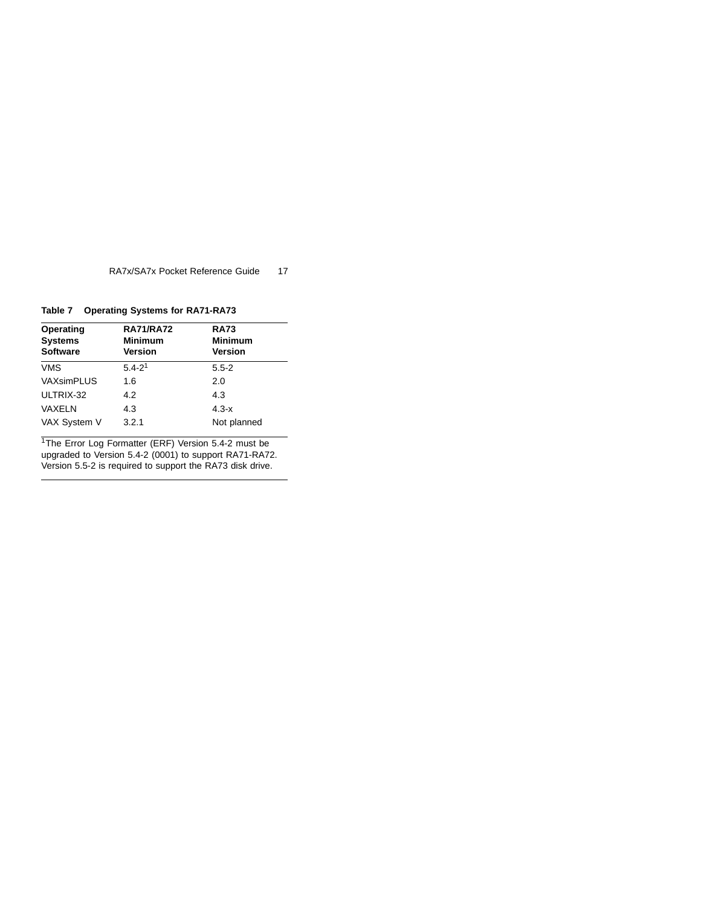**Table 7 Operating Systems for RA71-RA73**

| Operating<br><b>Systems</b><br><b>Software</b> | <b>RA71/RA72</b><br><b>Minimum</b><br><b>Version</b> | <b>RA73</b><br><b>Minimum</b><br><b>Version</b> |
|------------------------------------------------|------------------------------------------------------|-------------------------------------------------|
| <b>VMS</b>                                     | $5.4 - 21$                                           | $5.5 - 2$                                       |
| VAXsimPLUS                                     | 1.6                                                  | 2.0                                             |
| ULTRIX-32                                      | 4.2                                                  | 4.3                                             |
| VAXELN                                         | 4.3                                                  | $4.3 - x$                                       |
| VAX System V                                   | 3.2.1                                                | Not planned                                     |

<sup>1</sup>The Error Log Formatter (ERF) Version 5.4-2 must be upgraded to Version 5.4-2 (0001) to support RA71-RA72. Version 5.5-2 is required to support the RA73 disk drive.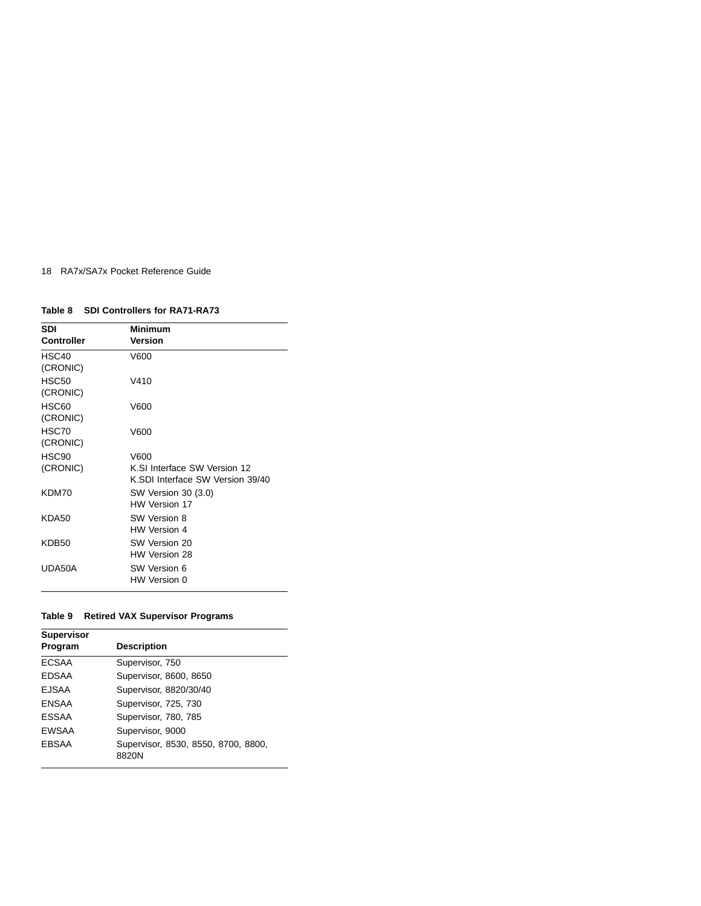## **Table 8 SDI Controllers for RA71-RA73**

| <b>SDI</b>        | <b>Minimum</b>                   |
|-------------------|----------------------------------|
| Controller        | Version                          |
| HSC <sub>40</sub> | V600                             |
| (CRONIC)          |                                  |
| <b>HSC50</b>      | V410                             |
| (CRONIC)          |                                  |
| HSC60             | V600                             |
| (CRONIC)          |                                  |
| HSC70             | V600                             |
| (CRONIC)          |                                  |
| HSC <sub>90</sub> | V600                             |
| (CRONIC)          | K.SI Interface SW Version 12     |
|                   | K.SDI Interface SW Version 39/40 |
| KDM70             | SW Version 30 (3.0)              |
|                   | HW Version 17                    |
| KDA50             | SW Version 8                     |
|                   | HW Version 4                     |
| KDB50             | SW Version 20                    |
|                   | HW Version 28                    |
| UDA50A            | <b>SW Version 6</b>              |
|                   | HW Version 0                     |

## **Table 9 Retired VAX Supervisor Programs**

| <b>Supervisor</b><br>Program | <b>Description</b>                           |
|------------------------------|----------------------------------------------|
|                              |                                              |
| <b>ECSAA</b>                 | Supervisor, 750                              |
| <b>EDSAA</b>                 | Supervisor, 8600, 8650                       |
| <b>EJSAA</b>                 | Supervisor, 8820/30/40                       |
| <b>ENSAA</b>                 | Supervisor, 725, 730                         |
| ESSAA                        | Supervisor, 780, 785                         |
| <b>EWSAA</b>                 | Supervisor, 9000                             |
| <b>EBSAA</b>                 | Supervisor, 8530, 8550, 8700, 8800,<br>8820N |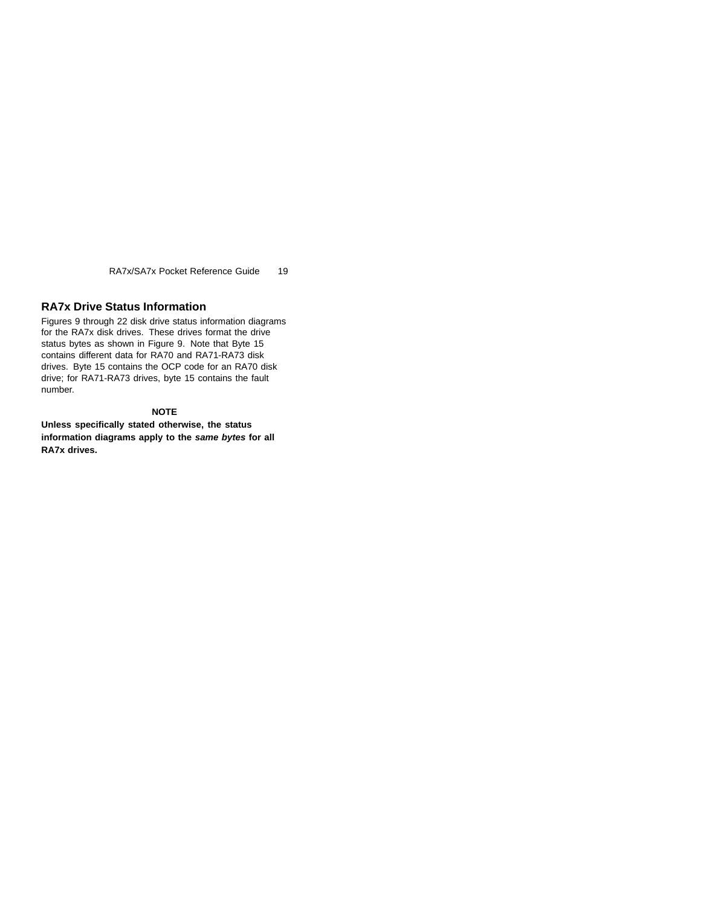## **RA7x Drive Status Information**

Figures 9 through 22 disk drive status information diagrams for the RA7x disk drives. These drives format the drive status bytes as shown in Figure 9. Note that Byte 15 contains different data for RA70 and RA71-RA73 disk drives. Byte 15 contains the OCP code for an RA70 disk drive; for RA71-RA73 drives, byte 15 contains the fault number.

## **NOTE**

**Unless specifically stated otherwise, the status information diagrams apply to the same bytes for all RA7x drives.**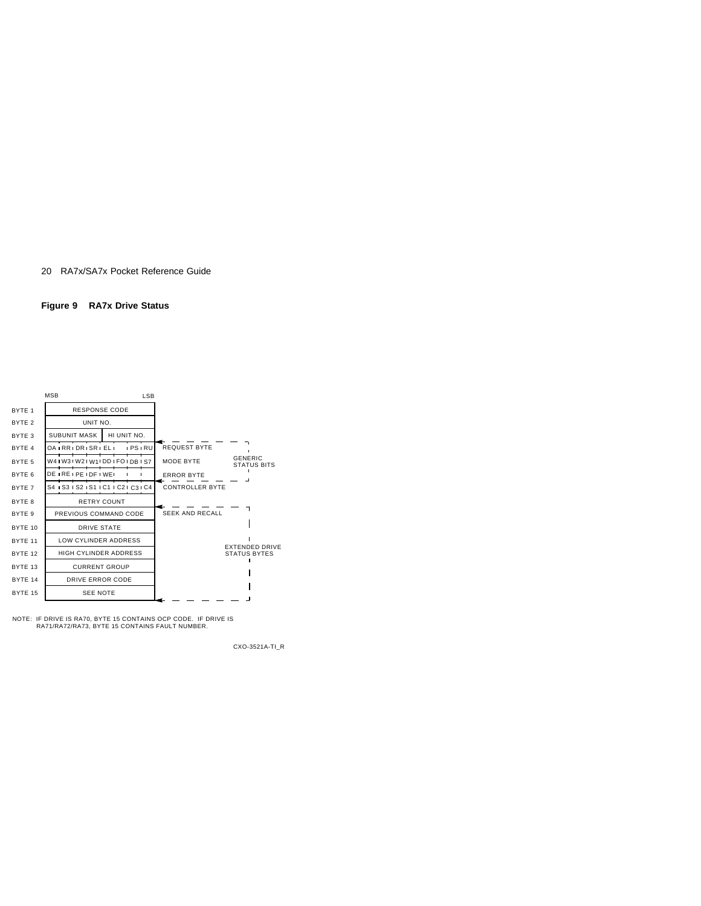#### **Figure 9 RA7x Drive Status**



NOTE: IF DRIVE IS RA70, BYTE 15 CONTAINS OCP CODE. IF DRIVE IS RA71/RA72/RA73, BYTE 15 CONTAINS FAULT NUMBER.

CXO-3521A-TI\_R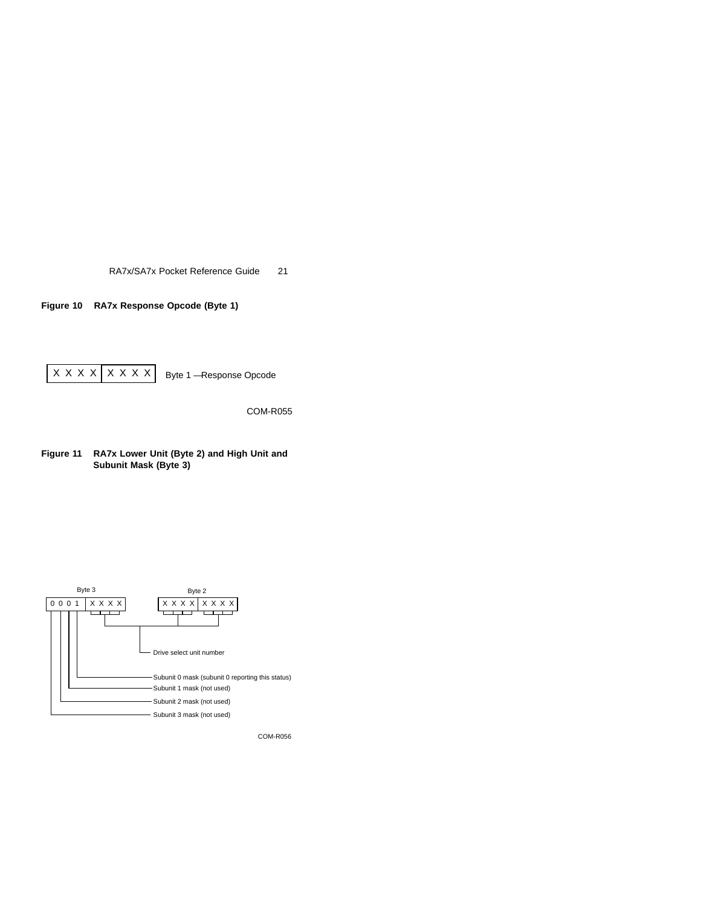**Figure 10 RA7x Response Opcode (Byte 1)**



COM-R055

**Figure 11 RA7x Lower Unit (Byte 2) and High Unit and Subunit Mask (Byte 3)**

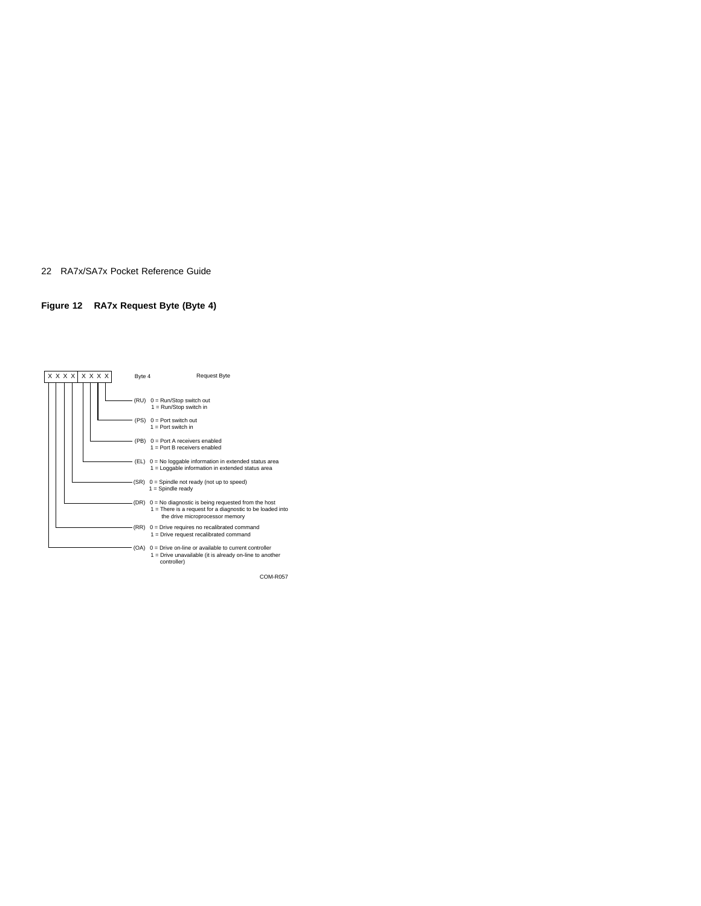## **Figure 12 RA7x Request Byte (Byte 4)**

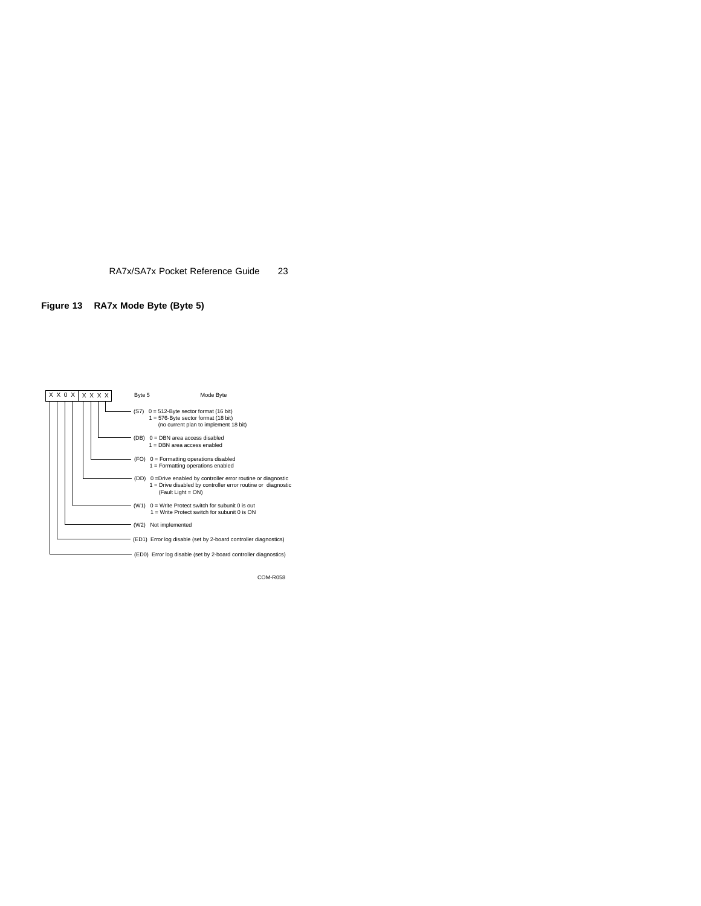## **Figure 13 RA7x Mode Byte (Byte 5)**

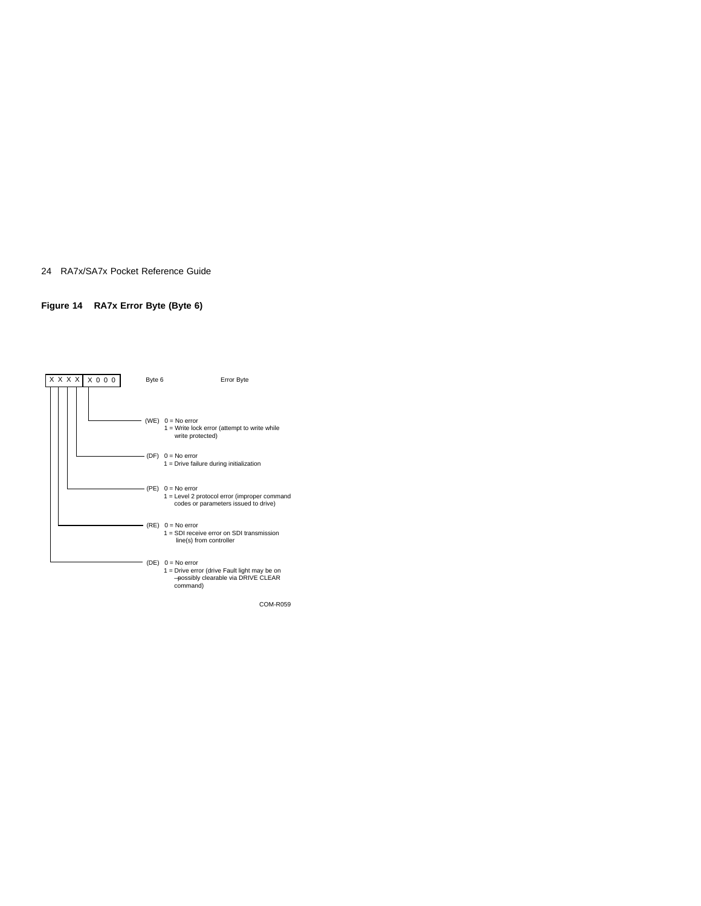## **Figure 14 RA7x Error Byte (Byte 6)**

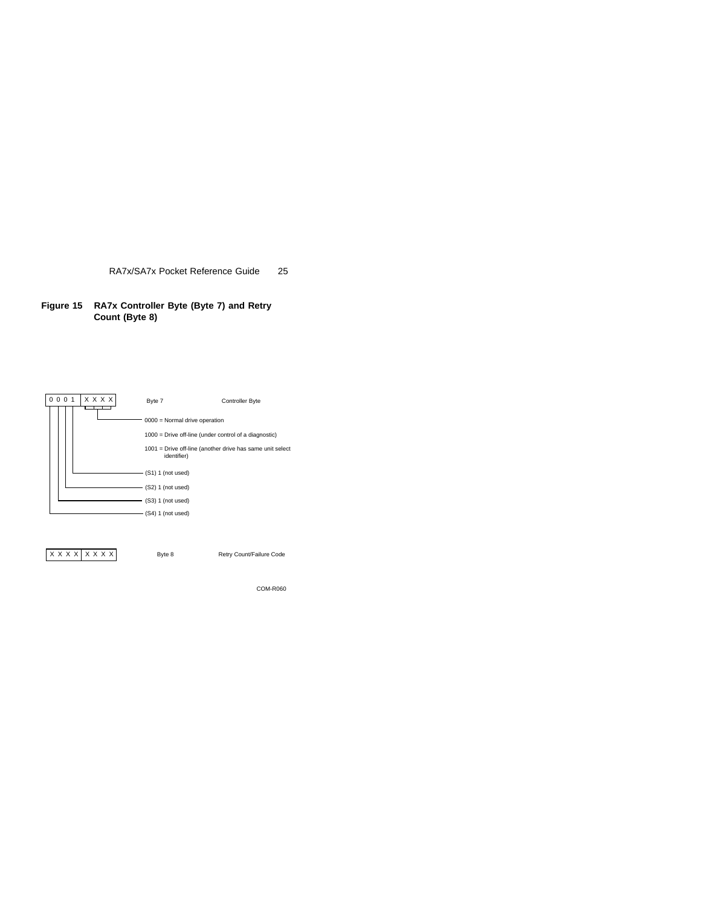**Figure 15 RA7x Controller Byte (Byte 7) and Retry Count (Byte 8)**



X X X X X X X Byte 8 Retry Count/Failure Code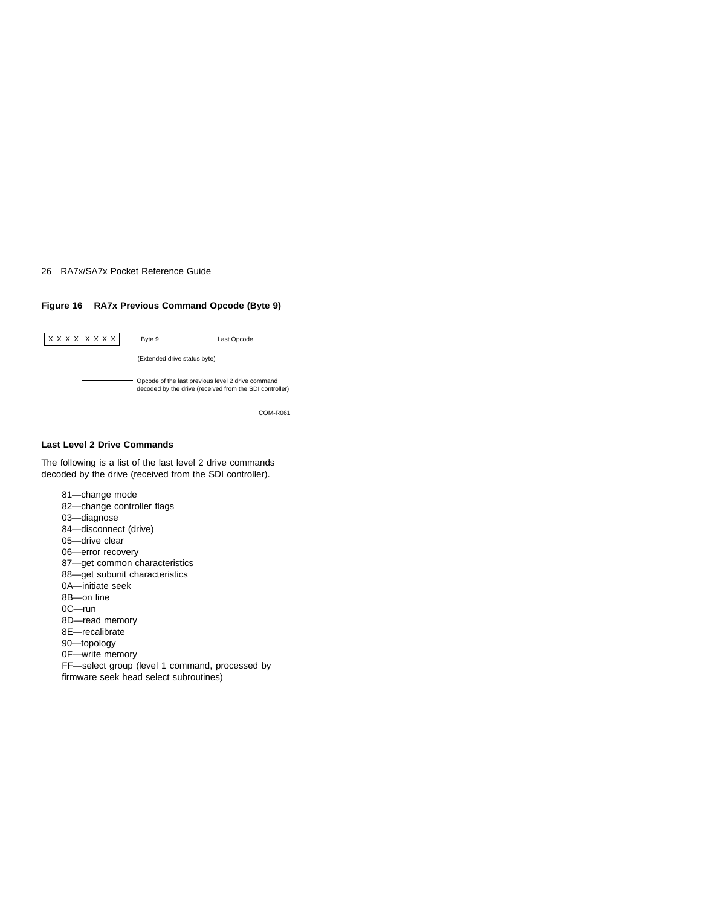### **Figure 16 RA7x Previous Command Opcode (Byte 9)**



COM-R061

#### **Last Level 2 Drive Commands**

The following is a list of the last level 2 drive commands decoded by the drive (received from the SDI controller).

81—change mode 82—change controller flags 03—diagnose 84—disconnect (drive) 05—drive clear 06—error recovery 87—get common characteristics 88—get subunit characteristics 0A—initiate seek 8B—on line 0C—run 8D—read memory 8E—recalibrate 90—topology 0F—write memory FF—select group (level 1 command, processed by firmware seek head select subroutines)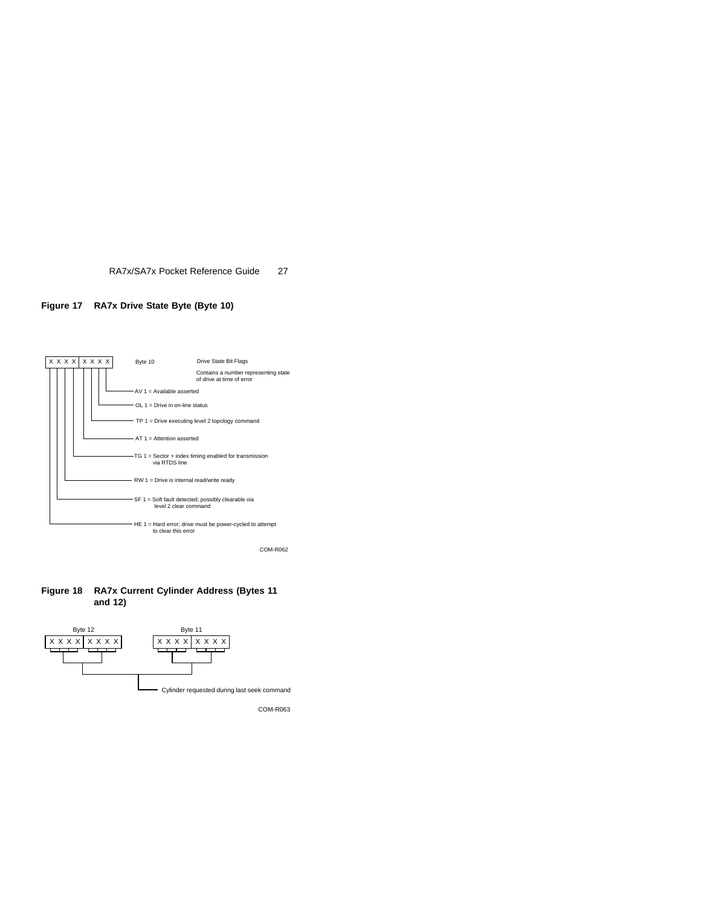



**Figure 18 RA7x Current Cylinder Address (Bytes 11 and 12)**

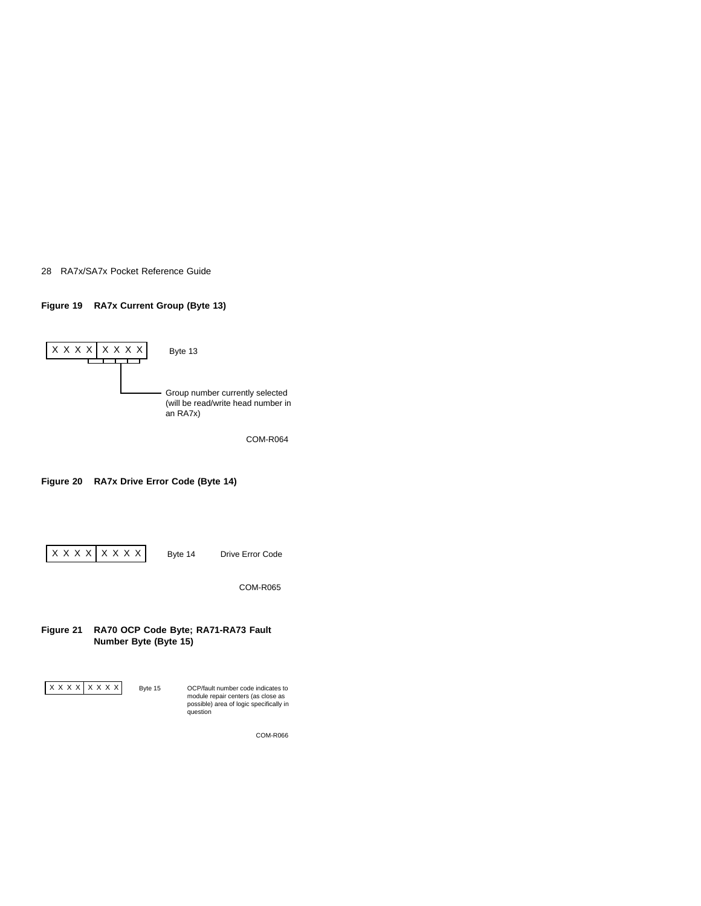### **Figure 19 RA7x Current Group (Byte 13)**



COM-R064

## **Figure 20 RA7x Drive Error Code (Byte 14)**

X X X X X X X X

Byte 14 Drive Error Code

COM-R065

## **Figure 21 RA70 OCP Code Byte; RA71-RA73 Fault Number Byte (Byte 15)**

X X X X X X X X

Byte 15 OCP/fault number code indicates to module repair centers (as close as possible) area of logic specifically in question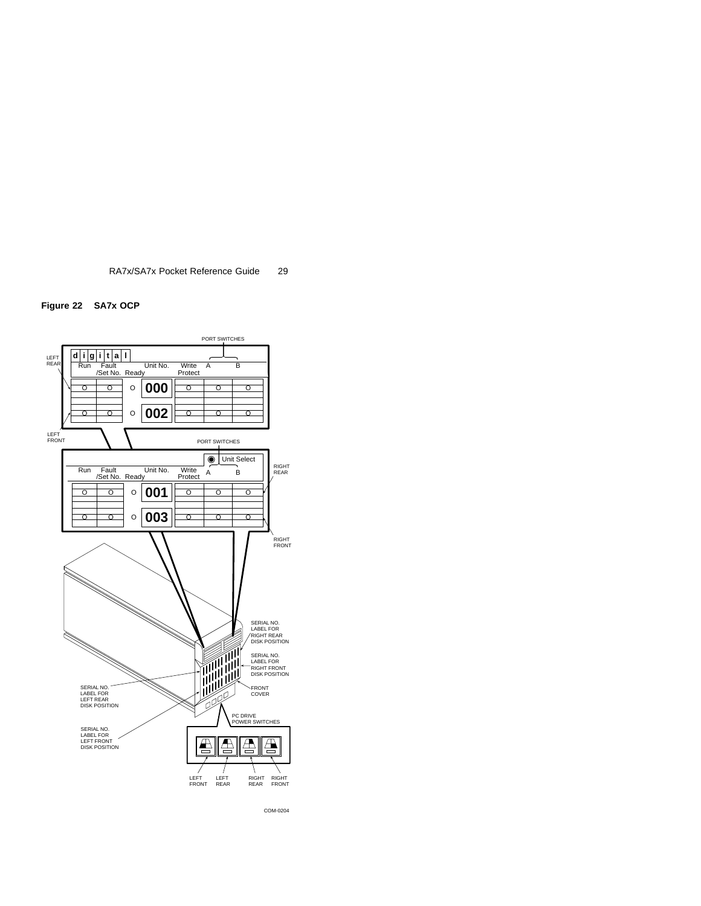





COM-0204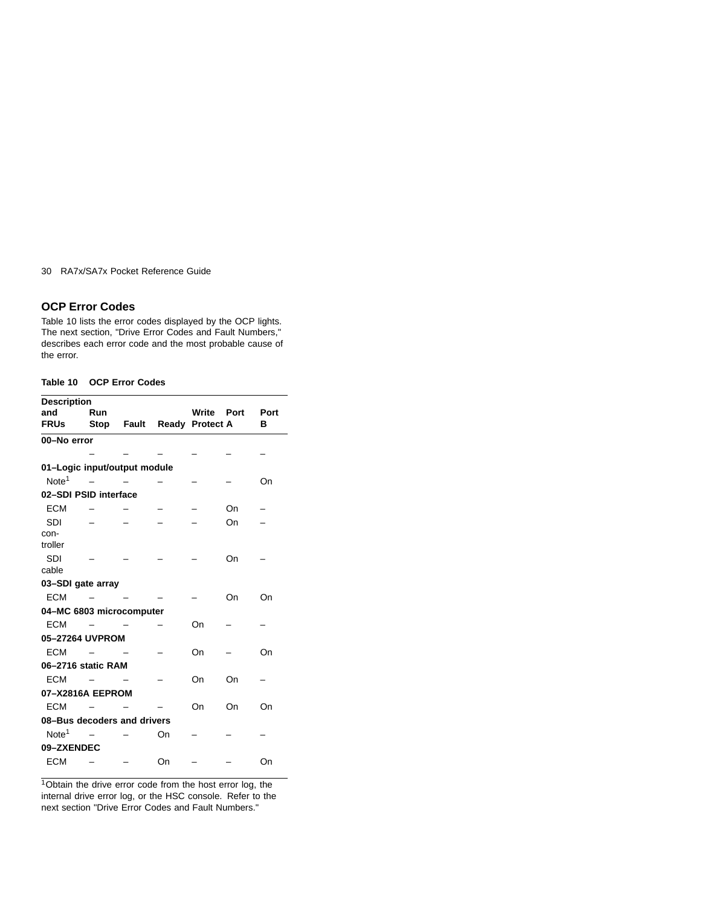## **OCP Error Codes**

Table 10 lists the error codes displayed by the OCP lights. The next section, "Drive Error Codes and Fault Numbers," describes each error code and the most probable cause of the error.

## **Table 10 OCP Error Codes**

| <b>Description</b>           |                             |                            |    |            |    |      |
|------------------------------|-----------------------------|----------------------------|----|------------|----|------|
| and                          | Run                         |                            |    | Write Port |    | Port |
| <b>FRUs</b>                  |                             | Stop Fault Ready Protect A |    |            |    | в    |
| 00-No error                  |                             |                            |    |            |    |      |
|                              |                             |                            |    |            |    |      |
| 01-Logic input/output module |                             |                            |    |            |    |      |
| Note <sup>1</sup>            |                             |                            |    |            |    | On   |
| 02-SDI PSID interface        |                             |                            |    |            |    |      |
| <b>ECM</b>                   |                             |                            |    |            | On |      |
| <b>SDI</b>                   |                             |                            |    |            | On |      |
| con-                         |                             |                            |    |            |    |      |
| troller                      |                             |                            |    |            |    |      |
| <b>SDI</b>                   |                             |                            |    |            | On |      |
| cable                        |                             |                            |    |            |    |      |
| 03-SDI gate array            |                             |                            |    |            |    |      |
| <b>ECM</b>                   |                             |                            |    |            | On | On   |
| 04-MC 6803 microcomputer     |                             |                            |    |            |    |      |
| <b>ECM</b>                   |                             |                            |    | On         |    |      |
| 05-27264 UVPROM              |                             |                            |    |            |    |      |
| <b>ECM</b>                   |                             |                            |    | On         |    | On   |
| 06-2716 static RAM           |                             |                            |    |            |    |      |
| <b>ECM</b>                   |                             |                            |    | On         | On |      |
| 07-X2816A EEPROM             |                             |                            |    |            |    |      |
| <b>ECM</b>                   |                             |                            |    | On         | On | On   |
|                              | 08-Bus decoders and drivers |                            |    |            |    |      |
| Note <sup>1</sup>            |                             |                            | On |            |    |      |
| 09-ZXENDEC                   |                             |                            |    |            |    |      |
| <b>ECM</b>                   |                             |                            | On |            |    | On   |
|                              |                             |                            |    |            |    |      |

<sup>1</sup>Obtain the drive error code from the host error log, the internal drive error log, or the HSC console. Refer to the next section "Drive Error Codes and Fault Numbers."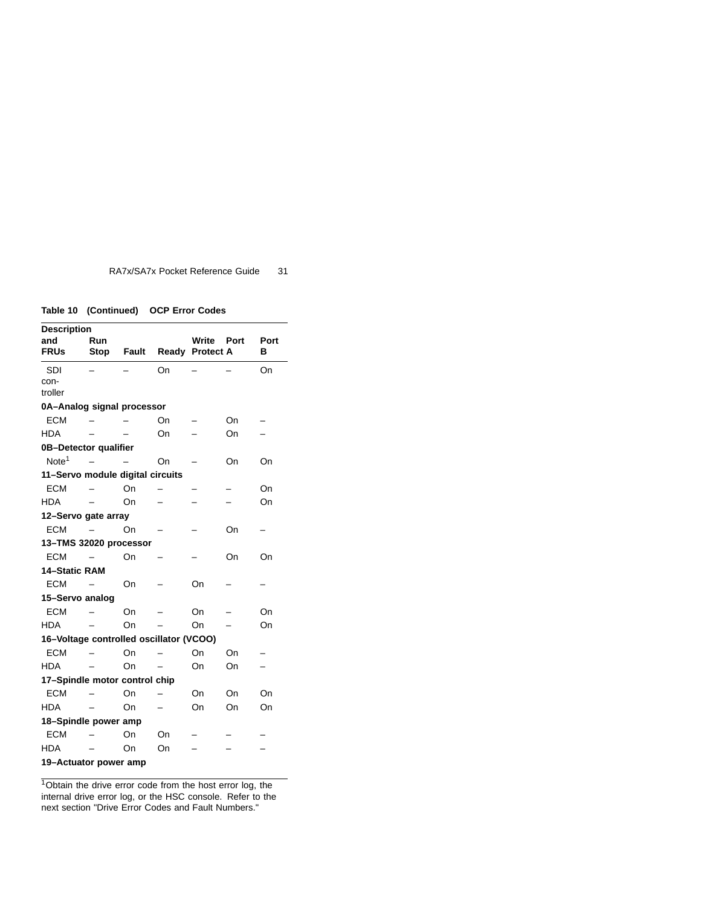**Table 10 (Continued) OCP Error Codes**

| <b>Description</b>                      |             |       |    |                   |    |      |  |  |
|-----------------------------------------|-------------|-------|----|-------------------|----|------|--|--|
| and                                     | Run         |       |    | <b>Write Port</b> |    | Port |  |  |
| <b>FRUs</b>                             | <b>Stop</b> | Fault |    | Ready Protect A   |    | в    |  |  |
| <b>SDI</b>                              |             |       | On |                   |    | On   |  |  |
| con-                                    |             |       |    |                   |    |      |  |  |
| troller                                 |             |       |    |                   |    |      |  |  |
| 0A-Analog signal processor              |             |       |    |                   |    |      |  |  |
| <b>ECM</b>                              |             |       | On |                   | On |      |  |  |
| <b>HDA</b>                              |             |       | On |                   | On |      |  |  |
| 0B-Detector qualifier                   |             |       |    |                   |    |      |  |  |
| Note <sup>1</sup>                       |             |       | On |                   | On | On   |  |  |
| 11-Servo module digital circuits        |             |       |    |                   |    |      |  |  |
| <b>ECM</b>                              |             | On    |    |                   |    | On   |  |  |
| <b>HDA</b>                              |             | On    |    |                   |    | On   |  |  |
| 12-Servo gate array                     |             |       |    |                   |    |      |  |  |
| <b>ECM</b>                              |             | On    |    |                   | On |      |  |  |
| 13-TMS 32020 processor                  |             |       |    |                   |    |      |  |  |
| ECM                                     |             | On    |    |                   | On | On   |  |  |
| <b>14-Static RAM</b>                    |             |       |    |                   |    |      |  |  |
| <b>ECM</b>                              |             | On    |    | On                |    |      |  |  |
| 15-Servo analog                         |             |       |    |                   |    |      |  |  |
| <b>ECM</b>                              |             | On    |    | On                |    | On   |  |  |
| <b>HDA</b>                              |             | On    |    | On                |    | On   |  |  |
| 16-Voltage controlled oscillator (VCOO) |             |       |    |                   |    |      |  |  |
| <b>ECM</b>                              |             | On    |    | On                | On |      |  |  |
| <b>HDA</b>                              |             | On    |    | On                | On |      |  |  |
| 17-Spindle motor control chip           |             |       |    |                   |    |      |  |  |
| <b>ECM</b>                              |             | On    |    | On                | On | On   |  |  |
| <b>HDA</b>                              |             | On    |    | On                | On | On   |  |  |
| 18-Spindle power amp                    |             |       |    |                   |    |      |  |  |
| <b>ECM</b>                              |             | On    | On |                   |    |      |  |  |
| <b>HDA</b>                              |             | On    |    |                   |    |      |  |  |
|                                         |             |       | On |                   |    |      |  |  |
| 19-Actuator power amp                   |             |       |    |                   |    |      |  |  |

 $1$ Obtain the drive error code from the host error log, the internal drive error log, or the HSC console. Refer to the next section "Drive Error Codes and Fault Numbers."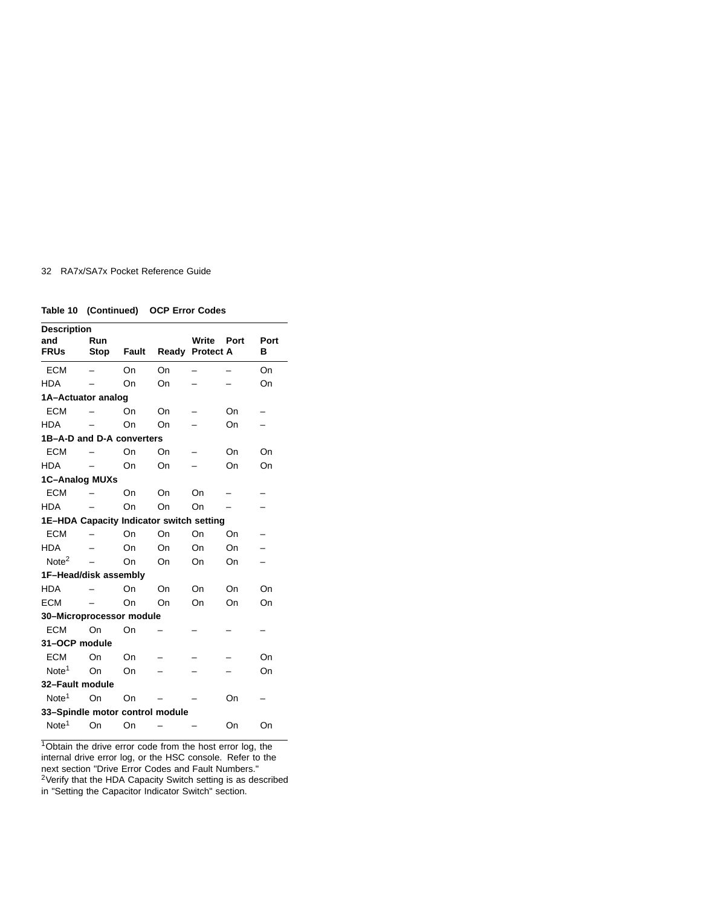|  | Table 10 (Continued) OCP Error Codes |
|--|--------------------------------------|
|  |                                      |

| <b>Description</b>                       |             |              |       |                           |      |           |  |  |
|------------------------------------------|-------------|--------------|-------|---------------------------|------|-----------|--|--|
| and<br><b>FRUs</b>                       | Run<br>Stop | <b>Fault</b> | Ready | Write<br><b>Protect A</b> | Port | Port<br>в |  |  |
| <b>ECM</b>                               |             | On           | On    |                           |      | On        |  |  |
| <b>HDA</b>                               |             | On           | On    |                           |      | On        |  |  |
| 1A-Actuator analog                       |             |              |       |                           |      |           |  |  |
| <b>ECM</b>                               |             | On           | On    |                           | On   |           |  |  |
| <b>HDA</b>                               |             | On           | On    |                           | On   |           |  |  |
| 1B-A-D and D-A converters                |             |              |       |                           |      |           |  |  |
| <b>ECM</b>                               |             | On           | On    |                           | On   | On        |  |  |
| <b>HDA</b>                               |             | On           | On    |                           | On   | On        |  |  |
| <b>1C-Analog MUXs</b>                    |             |              |       |                           |      |           |  |  |
| <b>ECM</b>                               |             | On           | On    | On                        |      |           |  |  |
| <b>HDA</b>                               |             | On           | On    | On                        |      |           |  |  |
| 1E-HDA Capacity Indicator switch setting |             |              |       |                           |      |           |  |  |
| <b>ECM</b>                               |             | On           | On    | On                        | On   |           |  |  |
| <b>HDA</b>                               |             | On           | On    | On                        | On   |           |  |  |
| Note <sup>2</sup>                        |             | On           | On    | On                        | On   |           |  |  |
| 1F-Head/disk assembly                    |             |              |       |                           |      |           |  |  |
| <b>HDA</b>                               |             | On           | On    | On                        | On   | On        |  |  |
| <b>ECM</b>                               |             | On           | Ωn    | On                        | On   | On        |  |  |
| 30-Microprocessor module                 |             |              |       |                           |      |           |  |  |
| <b>ECM</b>                               | On          | On           |       |                           |      |           |  |  |
| 31-OCP module                            |             |              |       |                           |      |           |  |  |
| <b>ECM</b>                               | On          | On           |       |                           |      | On        |  |  |
| Note <sup>1</sup>                        | On          | On           |       |                           |      | On        |  |  |
| 32-Fault module                          |             |              |       |                           |      |           |  |  |
| Note <sup>1</sup>                        | On.         | On           |       |                           | On   |           |  |  |
| 33-Spindle motor control module          |             |              |       |                           |      |           |  |  |
| Note <sup>1</sup>                        | On          | On           |       |                           | On   | On        |  |  |
|                                          |             |              |       |                           |      |           |  |  |

<sup>1</sup>Obtain the drive error code from the host error log, the internal drive error log, or the HSC console. Refer to the next section "Drive Error Codes and Fault Numbers." <sup>2</sup>Verify that the HDA Capacity Switch setting is as described in "Setting the Capacitor Indicator Switch" section.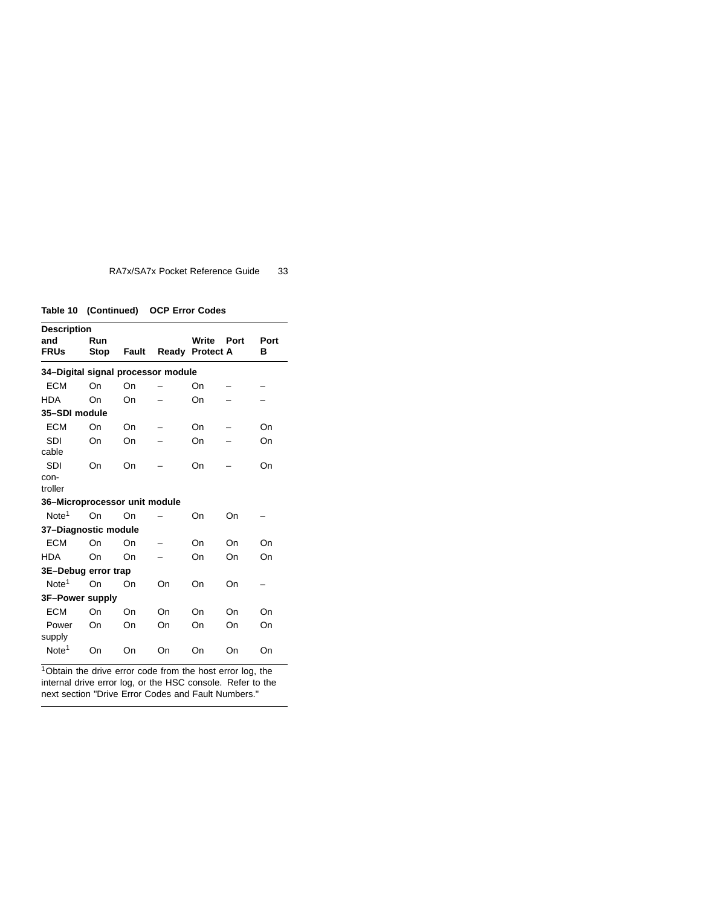**Table 10 (Continued) OCP Error Codes**

| <b>Description</b>                 |             |       |       |                           |      |           |  |  |
|------------------------------------|-------------|-------|-------|---------------------------|------|-----------|--|--|
| and<br><b>FRUs</b>                 | Run<br>Stop | Fault | Ready | Write<br><b>Protect A</b> | Port | Port<br>в |  |  |
| 34-Digital signal processor module |             |       |       |                           |      |           |  |  |
| <b>ECM</b>                         | On          | On    |       | On                        |      |           |  |  |
| <b>HDA</b>                         | On          | On    |       | On                        |      |           |  |  |
| 35-SDI module                      |             |       |       |                           |      |           |  |  |
| <b>ECM</b>                         | On          | On    |       | On                        |      | On        |  |  |
| <b>SDI</b>                         | On          | On    |       | On                        |      | On        |  |  |
| cable                              |             |       |       |                           |      |           |  |  |
| <b>SDI</b>                         | On          | On    |       | On                        |      | On        |  |  |
| con-                               |             |       |       |                           |      |           |  |  |
| troller                            |             |       |       |                           |      |           |  |  |
| 36-Microprocessor unit module      |             |       |       |                           |      |           |  |  |
| Note <sup>1</sup>                  | On          | On    |       | On                        | On   |           |  |  |
| 37-Diagnostic module               |             |       |       |                           |      |           |  |  |
| <b>ECM</b>                         | On          | On    |       | On                        | On   | On        |  |  |
| <b>HDA</b>                         | On          | On    |       | On                        | On   | On        |  |  |
| 3E-Debug error trap                |             |       |       |                           |      |           |  |  |
| Note <sup>1</sup>                  | On          | On    | On    | On                        | On   |           |  |  |
| 3F-Power supply                    |             |       |       |                           |      |           |  |  |
| <b>ECM</b>                         | On          | On    | On    | On                        | On   | On        |  |  |
| Power                              | On          | On    | On    | On                        | On   | On        |  |  |
| supply                             |             |       |       |                           |      |           |  |  |
| Note <sup>1</sup>                  | On          | On    | On    | On                        | On   | On        |  |  |
|                                    |             |       |       |                           |      |           |  |  |

<sup>1</sup>Obtain the drive error code from the host error log, the internal drive error log, or the HSC console. Refer to the next section "Drive Error Codes and Fault Numbers."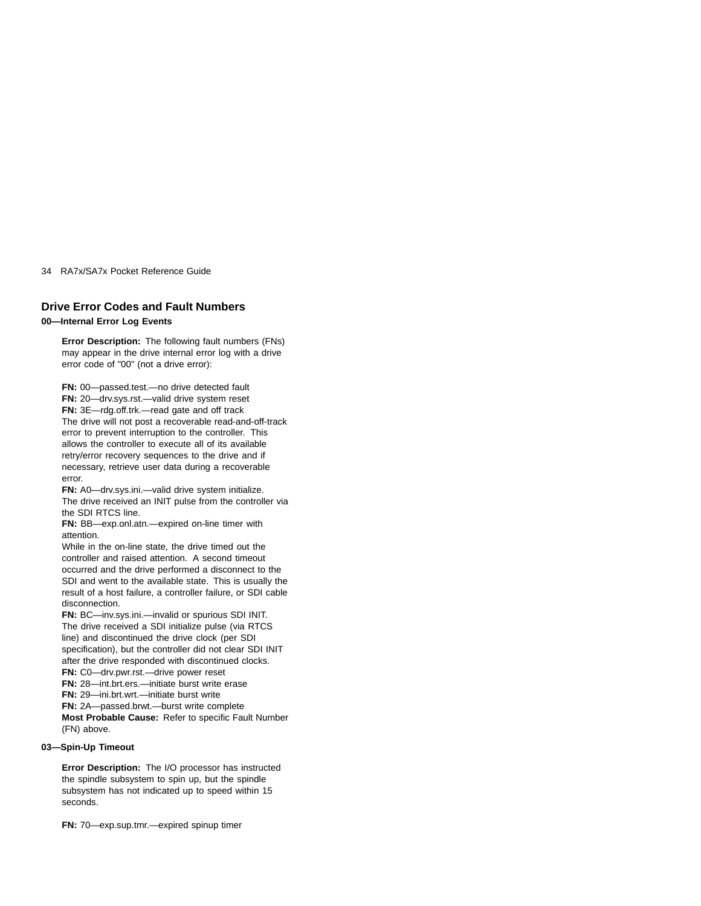# **Drive Error Codes and Fault Numbers**

# **00—Internal Error Log Events**

**Error Description:** The following fault numbers (FNs) may appear in the drive internal error log with a drive error code of "00" (not a drive error):

**FN:** 00—passed.test.—no drive detected fault **FN:** 20—drv.sys.rst.—valid drive system reset **FN:** 3E—rdg.off.trk.—read gate and off track The drive will not post a recoverable read-and-off-track error to prevent interruption to the controller. This allows the controller to execute all of its available retry/error recovery sequences to the drive and if necessary, retrieve user data during a recoverable error.

**FN:** A0—drv.sys.ini.—valid drive system initialize. The drive received an INIT pulse from the controller via the SDI RTCS line.

**FN:** BB—exp.onl.atn.—expired on-line timer with attention.

While in the on-line state, the drive timed out the controller and raised attention. A second timeout occurred and the drive performed a disconnect to the SDI and went to the available state. This is usually the result of a host failure, a controller failure, or SDI cable disconnection.

**FN:** BC—inv.sys.ini.—invalid or spurious SDI INIT. The drive received a SDI initialize pulse (via RTCS line) and discontinued the drive clock (per SDI specification), but the controller did not clear SDI INIT after the drive responded with discontinued clocks. **FN:** C0—drv.pwr.rst.—drive power reset

**FN:** 28—int.brt.ers.—initiate burst write erase

**FN:** 29—ini.brt.wrt.—initiate burst write

**FN:** 2A—passed.brwt.—burst write complete

**Most Probable Cause:** Refer to specific Fault Number (FN) above.

# **03—Spin-Up Timeout**

**Error Description:** The I/O processor has instructed the spindle subsystem to spin up, but the spindle subsystem has not indicated up to speed within 15 seconds.

**FN:** 70—exp.sup.tmr.—expired spinup timer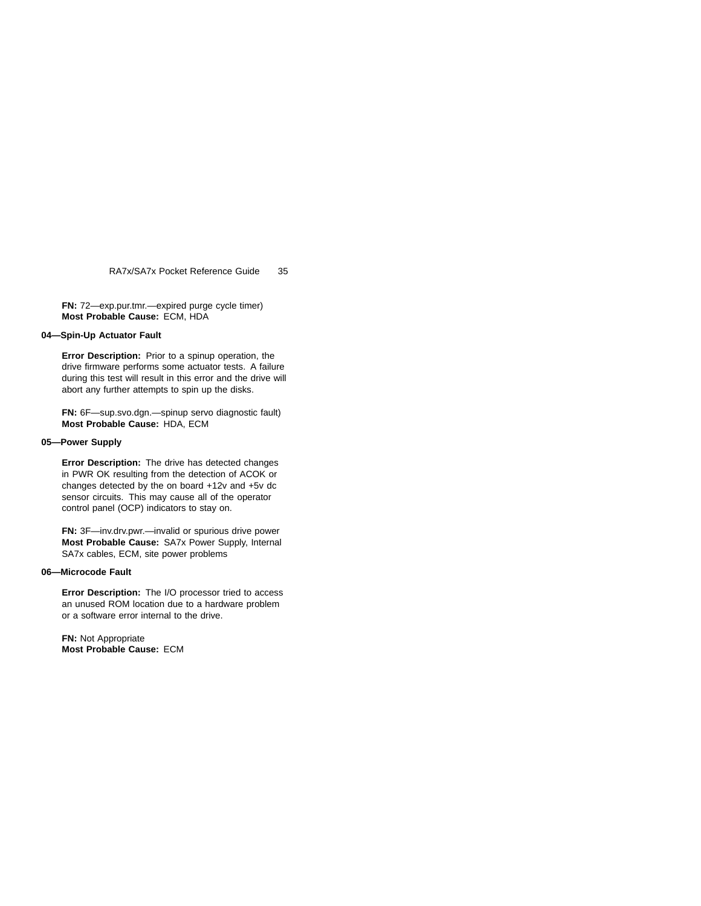**FN:** 72—exp.pur.tmr.—expired purge cycle timer) **Most Probable Cause:** ECM, HDA

## **04—Spin-Up Actuator Fault**

**Error Description:** Prior to a spinup operation, the drive firmware performs some actuator tests. A failure during this test will result in this error and the drive will abort any further attempts to spin up the disks.

**FN:** 6F—sup.svo.dgn.—spinup servo diagnostic fault) **Most Probable Cause:** HDA, ECM

# **05—Power Supply**

**Error Description:** The drive has detected changes in PWR OK resulting from the detection of ACOK or changes detected by the on board +12v and +5v dc sensor circuits. This may cause all of the operator control panel (OCP) indicators to stay on.

**FN:** 3F—inv.drv.pwr.—invalid or spurious drive power **Most Probable Cause:** SA7x Power Supply, Internal SA7x cables, ECM, site power problems

# **06—Microcode Fault**

**Error Description:** The I/O processor tried to access an unused ROM location due to a hardware problem or a software error internal to the drive.

**FN:** Not Appropriate **Most Probable Cause:** ECM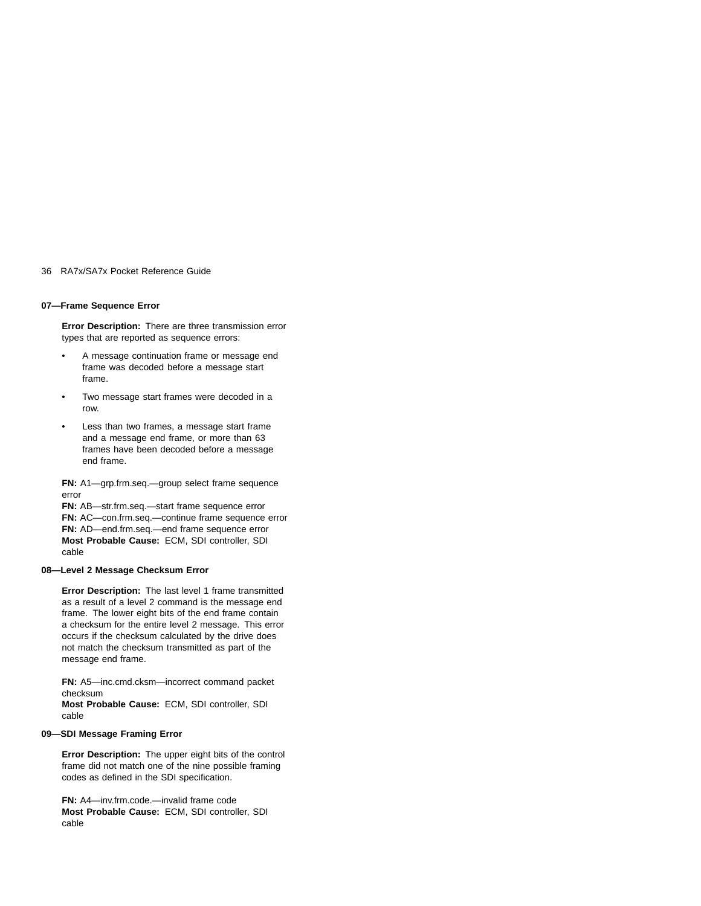# **07—Frame Sequence Error**

**Error Description:** There are three transmission error types that are reported as sequence errors:

- A message continuation frame or message end frame was decoded before a message start frame.
- Two message start frames were decoded in a row.
- Less than two frames, a message start frame and a message end frame, or more than 63 frames have been decoded before a message end frame.

**FN:** A1—grp.frm.seq.—group select frame sequence error

**FN:** AB—str.frm.seq.—start frame sequence error **FN:** AC—con.frm.seq.—continue frame sequence error **FN:** AD—end.frm.seq.—end frame sequence error **Most Probable Cause:** ECM, SDI controller, SDI cable

#### **08—Level 2 Message Checksum Error**

**Error Description:** The last level 1 frame transmitted as a result of a level 2 command is the message end frame. The lower eight bits of the end frame contain a checksum for the entire level 2 message. This error occurs if the checksum calculated by the drive does not match the checksum transmitted as part of the message end frame.

**FN:** A5—inc.cmd.cksm—incorrect command packet checksum

**Most Probable Cause:** ECM, SDI controller, SDI cable

# **09—SDI Message Framing Error**

**Error Description:** The upper eight bits of the control frame did not match one of the nine possible framing codes as defined in the SDI specification.

**FN:** A4—inv.frm.code.—invalid frame code **Most Probable Cause:** ECM, SDI controller, SDI cable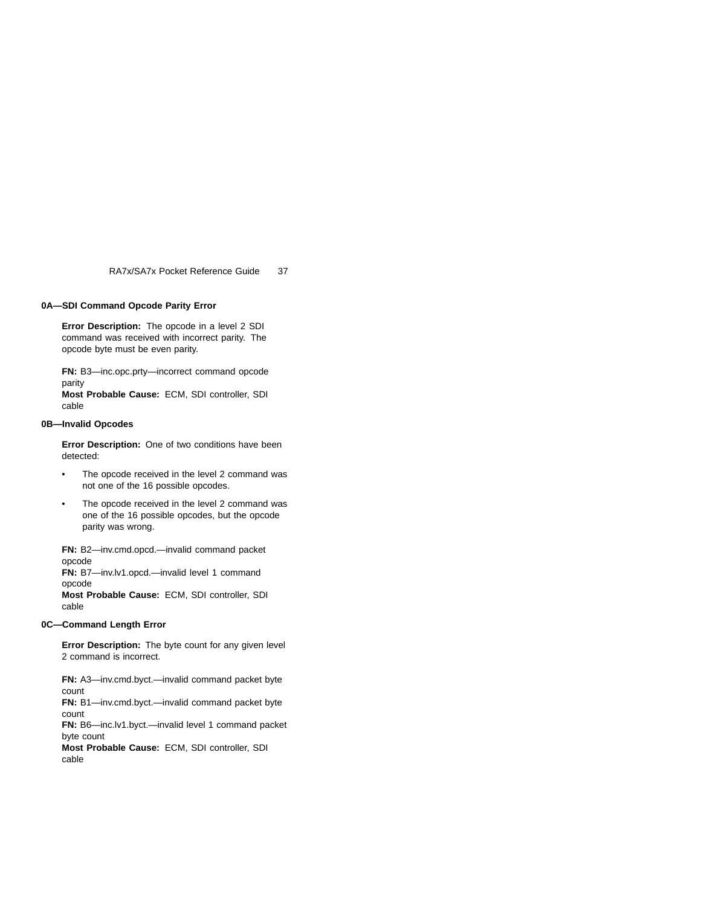# **0A—SDI Command Opcode Parity Error**

**Error Description:** The opcode in a level 2 SDI command was received with incorrect parity. The opcode byte must be even parity.

**FN:** B3—inc.opc.prty—incorrect command opcode parity

**Most Probable Cause:** ECM, SDI controller, SDI cable

# **0B—Invalid Opcodes**

**Error Description:** One of two conditions have been detected:

- The opcode received in the level 2 command was not one of the 16 possible opcodes.
- The opcode received in the level 2 command was one of the 16 possible opcodes, but the opcode parity was wrong.

**FN:** B2—inv.cmd.opcd.—invalid command packet opcode

**FN:** B7—inv.lv1.opcd.—invalid level 1 command opcode

**Most Probable Cause:** ECM, SDI controller, SDI cable

## **0C—Command Length Error**

**Error Description:** The byte count for any given level 2 command is incorrect.

**FN:** A3—inv.cmd.byct.—invalid command packet byte count

**FN:** B1—inv.cmd.byct.—invalid command packet byte count

**FN:** B6—inc.lv1.byct.—invalid level 1 command packet byte count

**Most Probable Cause:** ECM, SDI controller, SDI cable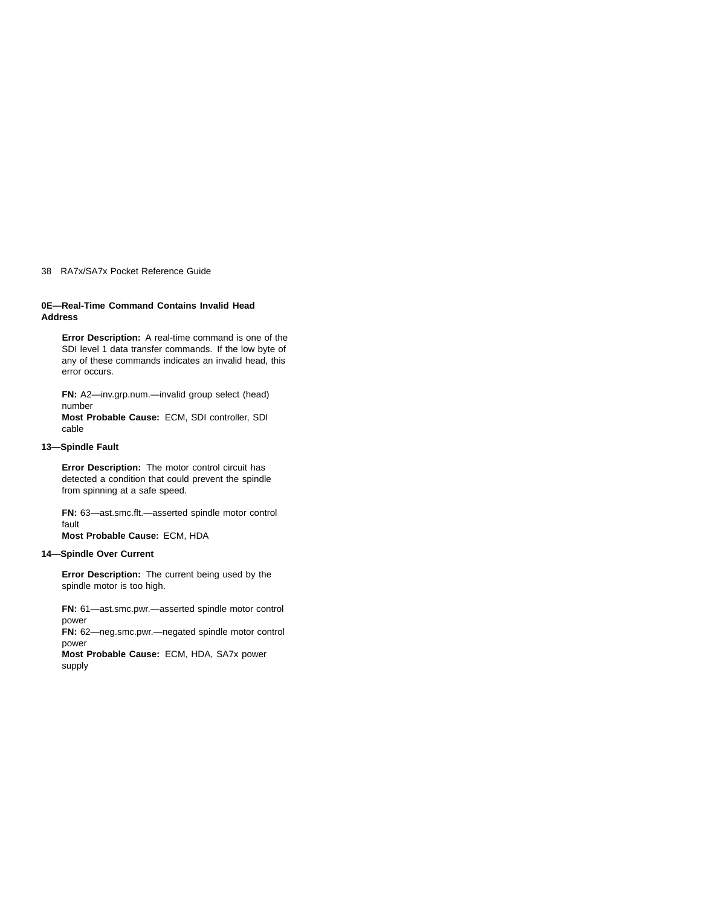# **0E—Real-Time Command Contains Invalid Head Address**

**Error Description:** A real-time command is one of the SDI level 1 data transfer commands. If the low byte of any of these commands indicates an invalid head, this error occurs.

**FN:** A2—inv.grp.num.—invalid group select (head) number

**Most Probable Cause:** ECM, SDI controller, SDI cable

# **13—Spindle Fault**

**Error Description:** The motor control circuit has detected a condition that could prevent the spindle from spinning at a safe speed.

**FN:** 63—ast.smc.flt.—asserted spindle motor control fault

**Most Probable Cause:** ECM, HDA

# **14—Spindle Over Current**

**Error Description:** The current being used by the spindle motor is too high.

**FN:** 61—ast.smc.pwr.—asserted spindle motor control power

**FN:** 62—neg.smc.pwr.—negated spindle motor control power

**Most Probable Cause:** ECM, HDA, SA7x power supply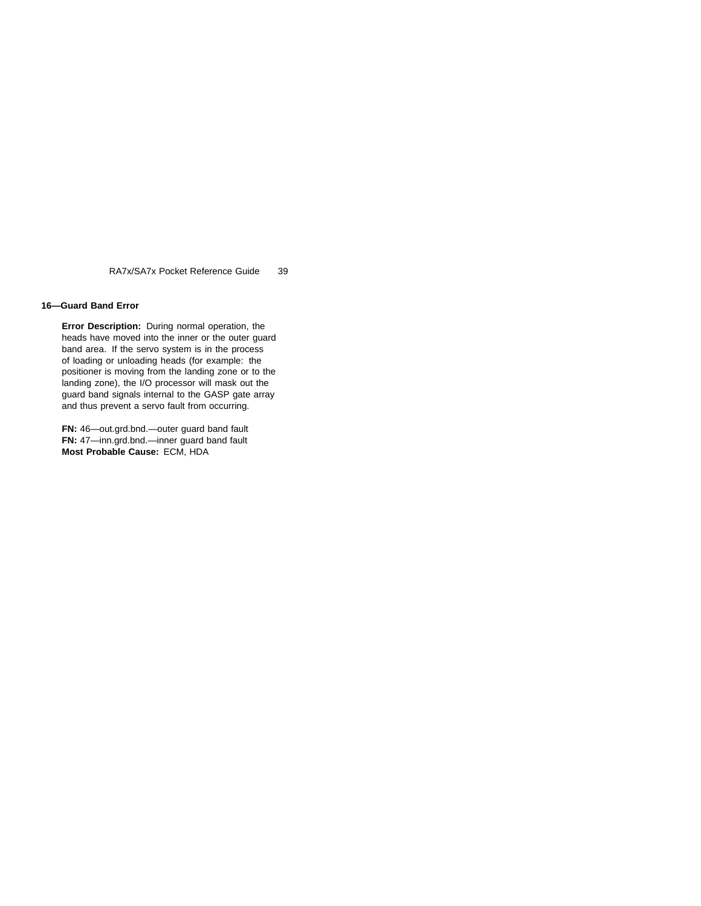## **16—Guard Band Error**

**Error Description:** During normal operation, the heads have moved into the inner or the outer guard band area. If the servo system is in the process of loading or unloading heads (for example: the positioner is moving from the landing zone or to the landing zone), the I/O processor will mask out the guard band signals internal to the GASP gate array and thus prevent a servo fault from occurring.

**FN:** 46—out.grd.bnd.—outer guard band fault **FN:** 47—inn.grd.bnd.—inner guard band fault **Most Probable Cause:** ECM, HDA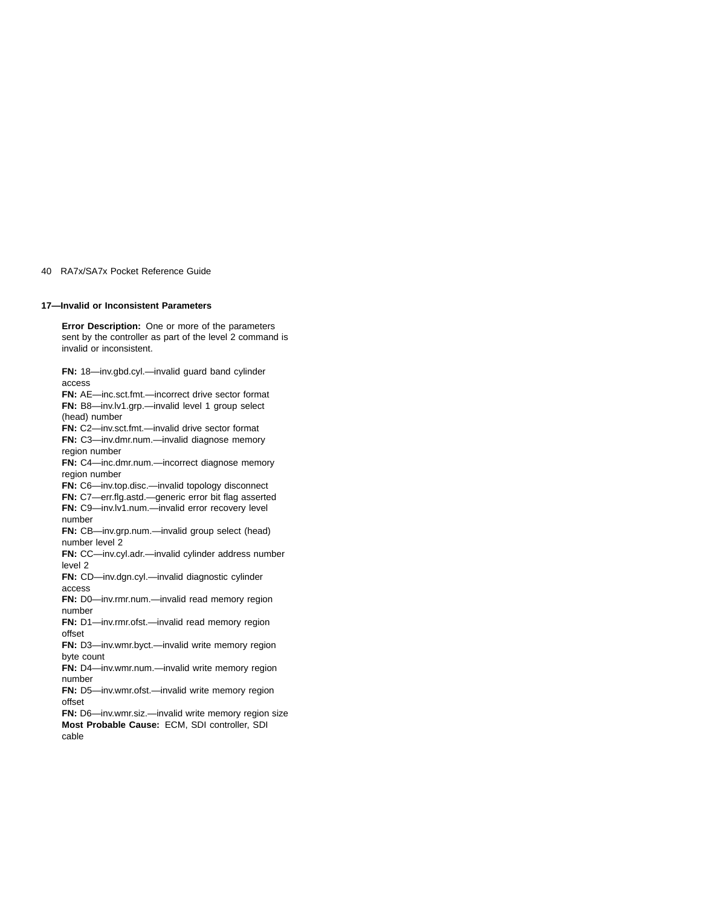## **17—Invalid or Inconsistent Parameters**

**Error Description:** One or more of the parameters sent by the controller as part of the level 2 command is invalid or inconsistent. **FN:** 18—inv.gbd.cyl.—invalid guard band cylinder access **FN:** AE—inc.sct.fmt.—incorrect drive sector format **FN:** B8—inv.lv1.grp.—invalid level 1 group select (head) number **FN:** C2—inv.sct.fmt.—invalid drive sector format **FN:** C3—inv.dmr.num.—invalid diagnose memory region number **FN:** C4—inc.dmr.num.—incorrect diagnose memory region number **FN:** C6—inv.top.disc.—invalid topology disconnect **FN:** C7—err.flg.astd.—generic error bit flag asserted **FN:** C9—inv.lv1.num.—invalid error recovery level number **FN:** CB—inv.grp.num.—invalid group select (head) number level 2 **FN:** CC—inv.cyl.adr.—invalid cylinder address number level 2 **FN:** CD—inv.dgn.cyl.—invalid diagnostic cylinder access **FN:** D0—inv.rmr.num.—invalid read memory region number **FN:** D1—inv.rmr.ofst.—invalid read memory region offset **FN:** D3—inv.wmr.byct.—invalid write memory region byte count **FN:** D4—inv.wmr.num.—invalid write memory region number **FN:** D5—inv.wmr.ofst.—invalid write memory region offset **FN:** D6—inv.wmr.siz.—invalid write memory region size **Most Probable Cause:** ECM, SDI controller, SDI cable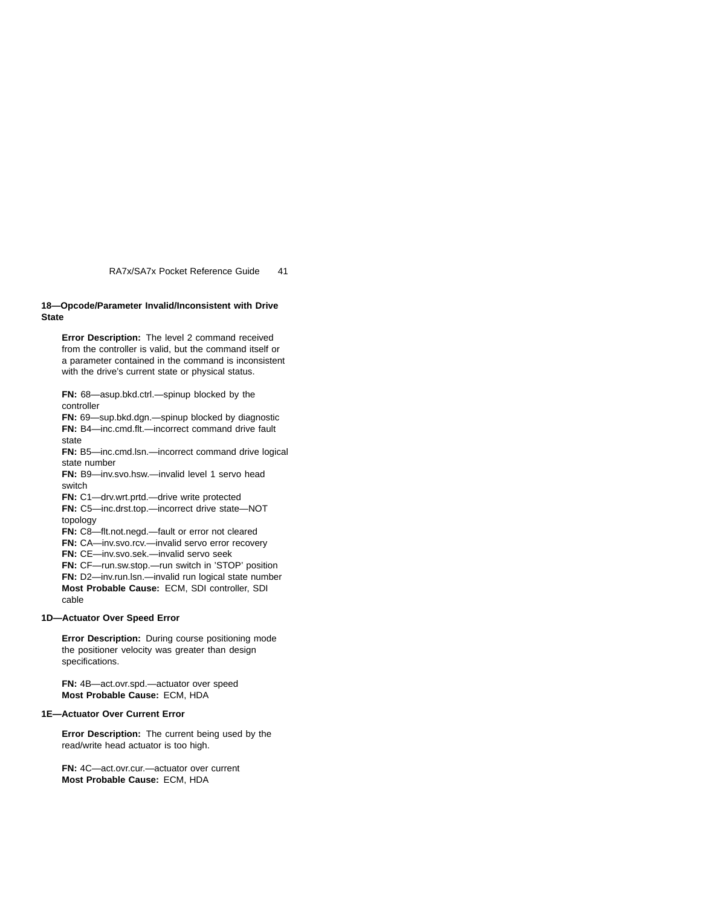# **18—Opcode/Parameter Invalid/Inconsistent with Drive State**

**Error Description:** The level 2 command received from the controller is valid, but the command itself or a parameter contained in the command is inconsistent with the drive's current state or physical status.

**FN:** 68—asup.bkd.ctrl.—spinup blocked by the controller

**FN:** 69—sup.bkd.dgn.—spinup blocked by diagnostic **FN:** B4—inc.cmd.flt.—incorrect command drive fault state

**FN:** B5—inc.cmd.lsn.—incorrect command drive logical state number

**FN:** B9—inv.svo.hsw.—invalid level 1 servo head switch

**FN:** C1—drv.wrt.prtd.—drive write protected

**FN:** C5—inc.drst.top.—incorrect drive state—NOT topology

**FN:** C8—flt.not.negd.—fault or error not cleared

**FN:** CA—inv.svo.rcv.—invalid servo error recovery

**FN:** CE—inv.svo.sek.—invalid servo seek

**FN:** CF—run.sw.stop.—run switch in 'STOP' position

**FN:** D2—inv.run.lsn.—invalid run logical state number **Most Probable Cause:** ECM, SDI controller, SDI

cable

# **1D—Actuator Over Speed Error**

**Error Description:** During course positioning mode the positioner velocity was greater than design specifications.

**FN:** 4B—act.ovr.spd.—actuator over speed **Most Probable Cause:** ECM, HDA

# **1E—Actuator Over Current Error**

**Error Description:** The current being used by the read/write head actuator is too high.

**FN:** 4C—act.ovr.cur.—actuator over current **Most Probable Cause:** ECM, HDA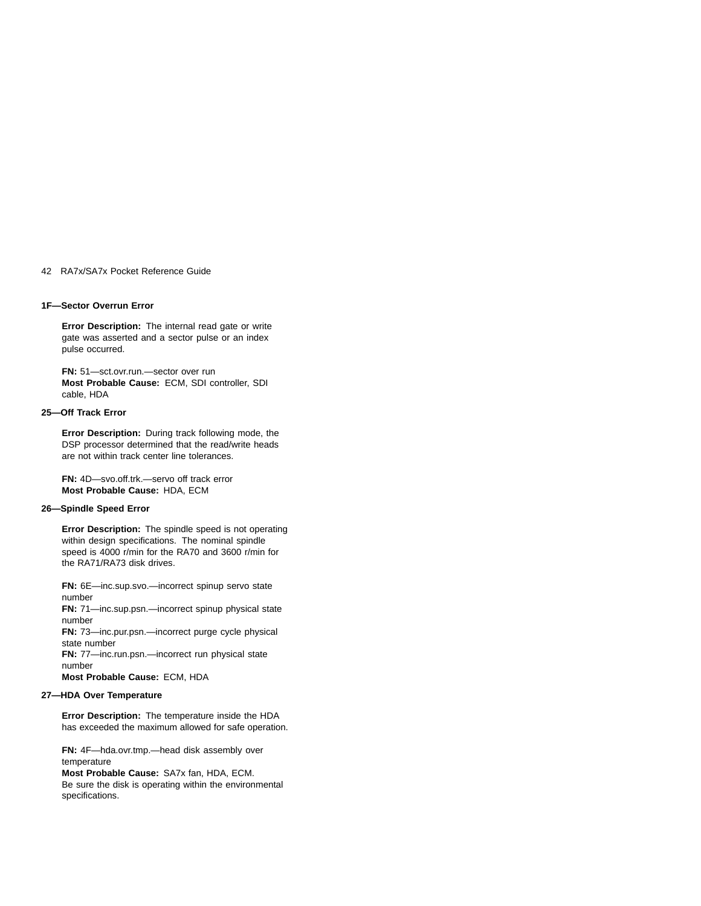## **1F—Sector Overrun Error**

**Error Description:** The internal read gate or write gate was asserted and a sector pulse or an index pulse occurred.

**FN:** 51—sct.ovr.run.—sector over run **Most Probable Cause:** ECM, SDI controller, SDI cable, HDA

#### **25—Off Track Error**

**Error Description:** During track following mode, the DSP processor determined that the read/write heads are not within track center line tolerances.

**FN:** 4D—svo.off.trk.—servo off track error **Most Probable Cause:** HDA, ECM

# **26—Spindle Speed Error**

**Error Description:** The spindle speed is not operating within design specifications. The nominal spindle speed is 4000 r/min for the RA70 and 3600 r/min for the RA71/RA73 disk drives.

**FN:** 6E—inc.sup.svo.—incorrect spinup servo state number **FN:** 71—inc.sup.psn.—incorrect spinup physical state number **FN:** 73—inc.pur.psn.—incorrect purge cycle physical state number **FN:** 77—inc.run.psn.—incorrect run physical state number **Most Probable Cause:** ECM, HDA

# **27—HDA Over Temperature**

**Error Description:** The temperature inside the HDA has exceeded the maximum allowed for safe operation.

**FN:** 4F—hda.ovr.tmp.—head disk assembly over temperature **Most Probable Cause:** SA7x fan, HDA, ECM.

Be sure the disk is operating within the environmental specifications.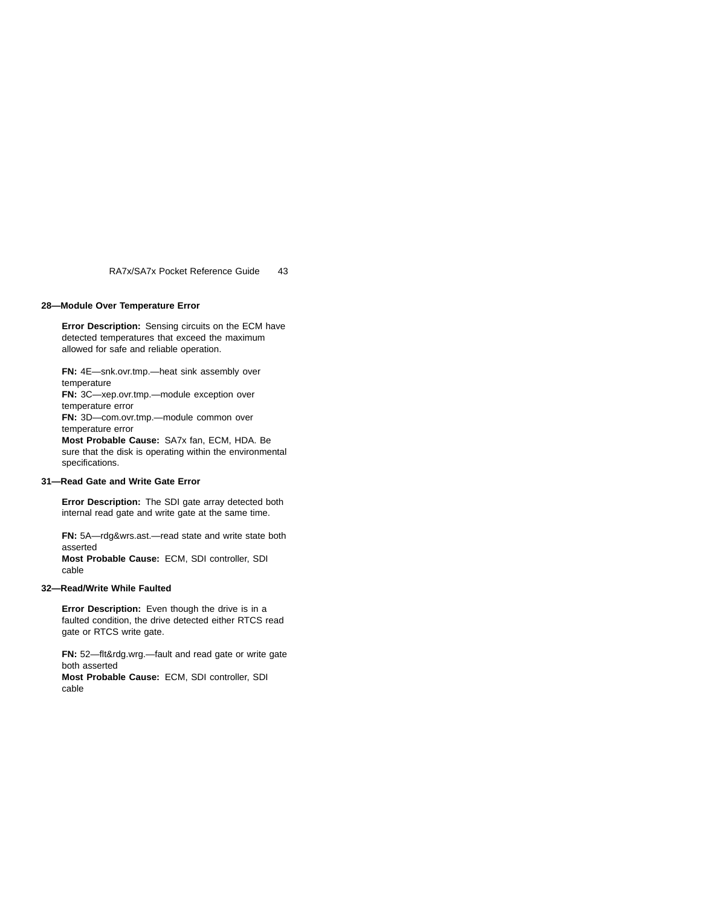# **28—Module Over Temperature Error**

**Error Description:** Sensing circuits on the ECM have detected temperatures that exceed the maximum allowed for safe and reliable operation.

**FN:** 4E—snk.ovr.tmp.—heat sink assembly over temperature **FN:** 3C—xep.ovr.tmp.—module exception over temperature error **FN:** 3D—com.ovr.tmp.—module common over

temperature error

**Most Probable Cause:** SA7x fan, ECM, HDA. Be sure that the disk is operating within the environmental specifications.

## **31—Read Gate and Write Gate Error**

**Error Description:** The SDI gate array detected both internal read gate and write gate at the same time.

**FN:** 5A—rdg&wrs.ast.—read state and write state both asserted **Most Probable Cause:** ECM, SDI controller, SDI

#### **32—Read/Write While Faulted**

cable

**Error Description:** Even though the drive is in a faulted condition, the drive detected either RTCS read gate or RTCS write gate.

**FN:** 52—flt&rdg.wrg.—fault and read gate or write gate both asserted

**Most Probable Cause:** ECM, SDI controller, SDI cable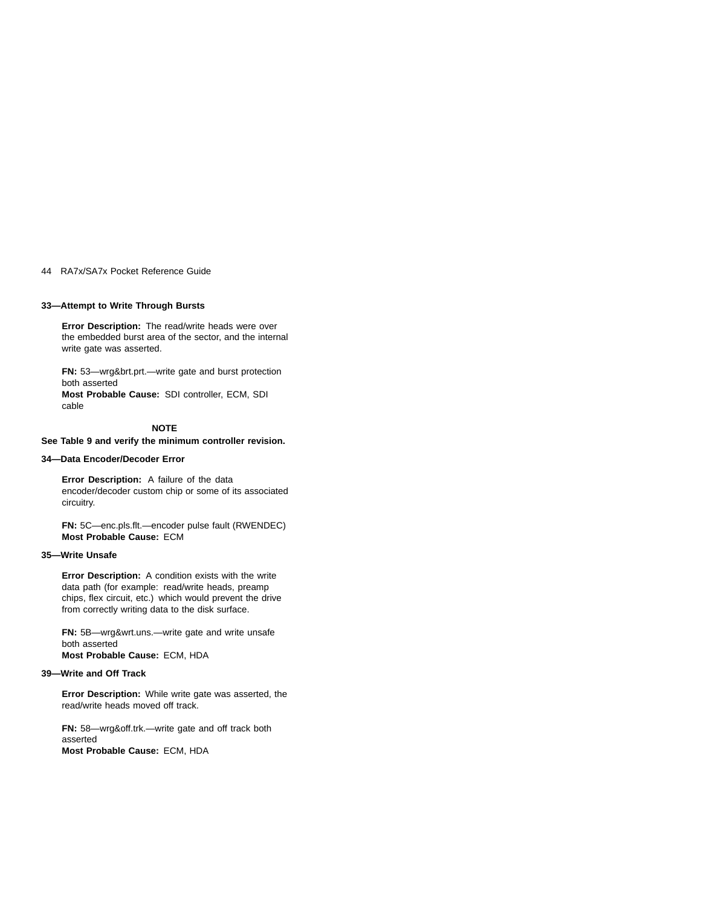### **33—Attempt to Write Through Bursts**

**Error Description:** The read/write heads were over the embedded burst area of the sector, and the internal write gate was asserted.

**FN:** 53—wrg&brt.prt.—write gate and burst protection both asserted **Most Probable Cause:** SDI controller, ECM, SDI cable

# **NOTE**

### **See Table 9 and verify the minimum controller revision.**

### **34—Data Encoder/Decoder Error**

**Error Description:** A failure of the data encoder/decoder custom chip or some of its associated circuitry.

**FN:** 5C—enc.pls.flt.—encoder pulse fault (RWENDEC) **Most Probable Cause:** ECM

# **35—Write Unsafe**

**Error Description:** A condition exists with the write data path (for example: read/write heads, preamp chips, flex circuit, etc.) which would prevent the drive from correctly writing data to the disk surface.

**FN:** 5B—wrg&wrt.uns.—write gate and write unsafe both asserted **Most Probable Cause:** ECM, HDA

# **39—Write and Off Track**

**Error Description:** While write gate was asserted, the read/write heads moved off track.

**FN:** 58—wrg&off.trk.—write gate and off track both asserted **Most Probable Cause:** ECM, HDA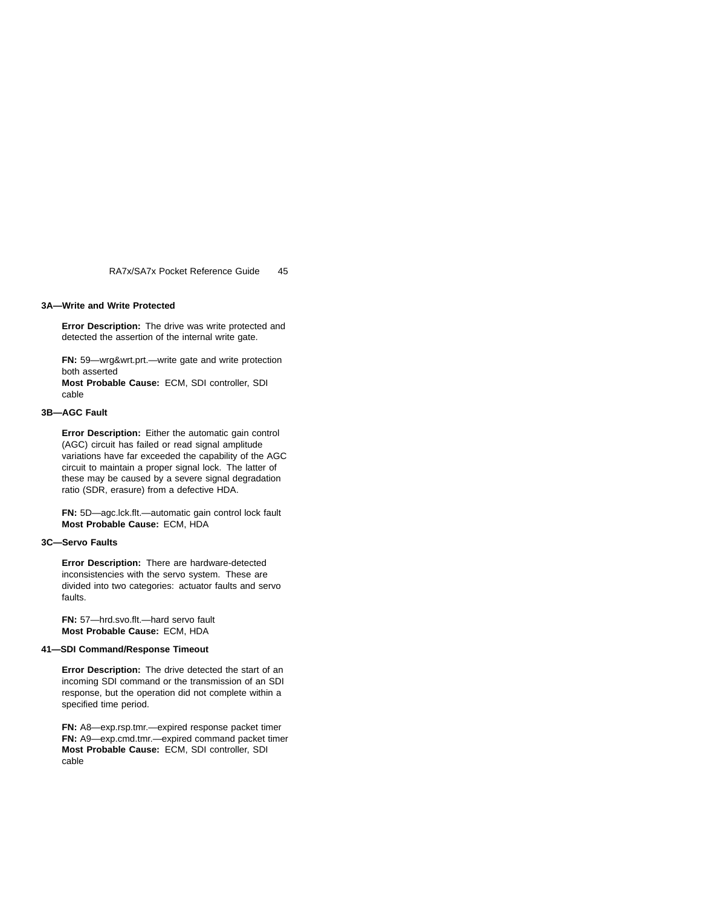### **3A—Write and Write Protected**

**Error Description:** The drive was write protected and detected the assertion of the internal write gate.

**FN:** 59—wrg&wrt.prt.—write gate and write protection both asserted **Most Probable Cause:** ECM, SDI controller, SDI cable

#### **3B—AGC Fault**

**Error Description:** Either the automatic gain control (AGC) circuit has failed or read signal amplitude variations have far exceeded the capability of the AGC circuit to maintain a proper signal lock. The latter of these may be caused by a severe signal degradation ratio (SDR, erasure) from a defective HDA.

**FN:** 5D—agc.lck.flt.—automatic gain control lock fault **Most Probable Cause:** ECM, HDA

# **3C—Servo Faults**

**Error Description:** There are hardware-detected inconsistencies with the servo system. These are divided into two categories: actuator faults and servo faults.

**FN:** 57—hrd.svo.flt.—hard servo fault **Most Probable Cause:** ECM, HDA

### **41—SDI Command/Response Timeout**

**Error Description:** The drive detected the start of an incoming SDI command or the transmission of an SDI response, but the operation did not complete within a specified time period.

**FN:** A8—exp.rsp.tmr.—expired response packet timer **FN:** A9—exp.cmd.tmr.—expired command packet timer **Most Probable Cause:** ECM, SDI controller, SDI cable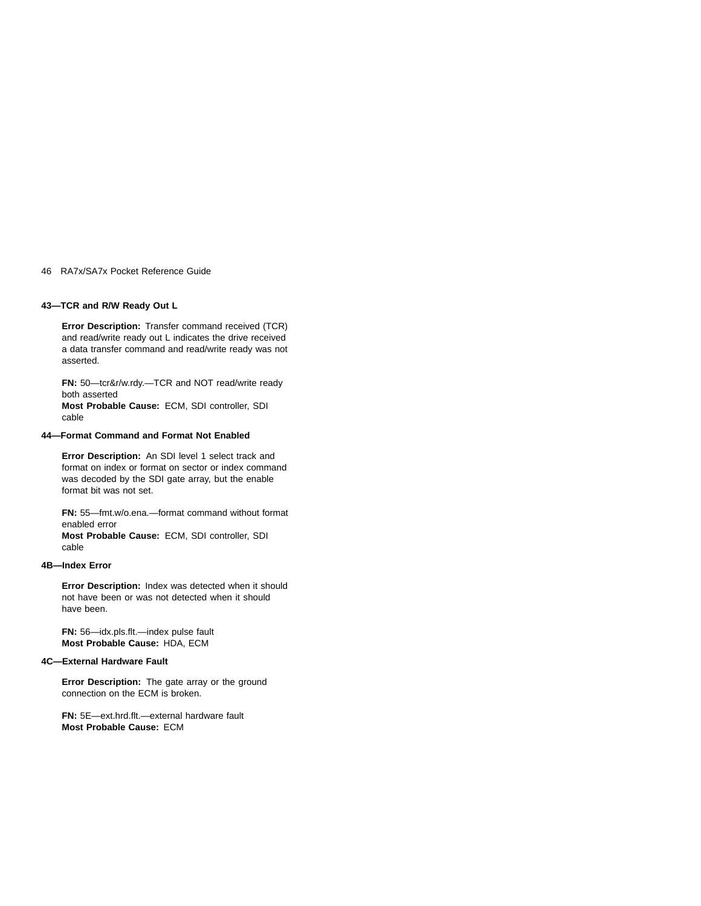# **43—TCR and R/W Ready Out L**

**Error Description:** Transfer command received (TCR) and read/write ready out L indicates the drive received a data transfer command and read/write ready was not asserted.

**FN:** 50—tcr&r/w.rdy.—TCR and NOT read/write ready both asserted **Most Probable Cause:** ECM, SDI controller, SDI cable

# **44—Format Command and Format Not Enabled**

**Error Description:** An SDI level 1 select track and format on index or format on sector or index command was decoded by the SDI gate array, but the enable format bit was not set.

**FN:** 55—fmt.w/o.ena.—format command without format enabled error **Most Probable Cause:** ECM, SDI controller, SDI cable

# **4B—Index Error**

**Error Description:** Index was detected when it should not have been or was not detected when it should have been.

**FN:** 56—idx.pls.flt.—index pulse fault **Most Probable Cause:** HDA, ECM

# **4C—External Hardware Fault**

**Error Description:** The gate array or the ground connection on the ECM is broken.

**FN:** 5E—ext.hrd.flt.—external hardware fault **Most Probable Cause:** ECM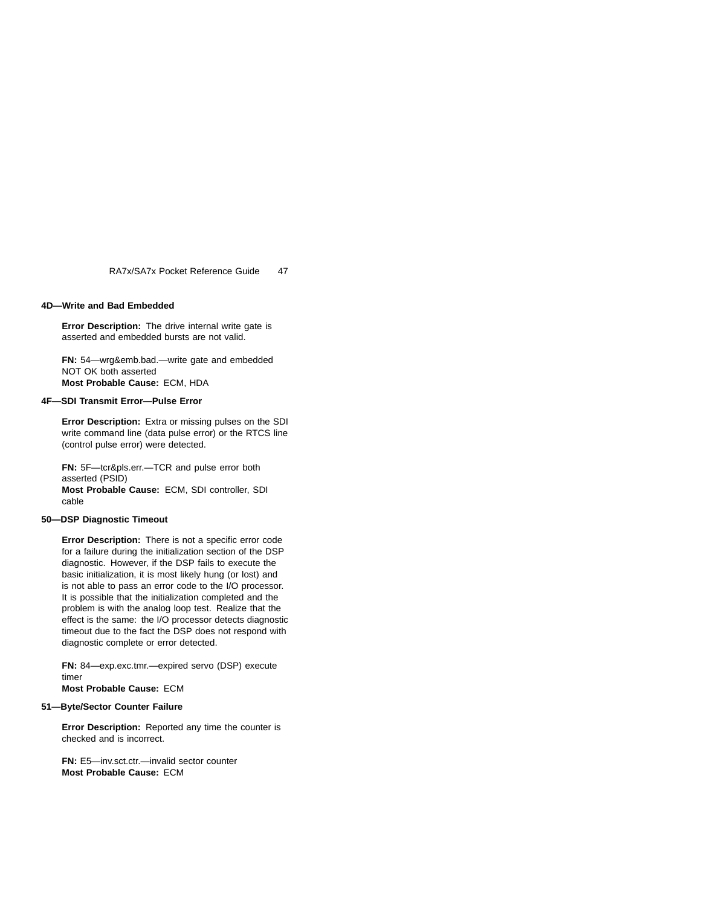### **4D—Write and Bad Embedded**

**Error Description:** The drive internal write gate is asserted and embedded bursts are not valid.

**FN:** 54—wrg&emb.bad.—write gate and embedded NOT OK both asserted **Most Probable Cause:** ECM, HDA

#### **4F—SDI Transmit Error—Pulse Error**

**Error Description:** Extra or missing pulses on the SDI write command line (data pulse error) or the RTCS line (control pulse error) were detected.

**FN:** 5F—tcr&pls.err.—TCR and pulse error both asserted (PSID) **Most Probable Cause:** ECM, SDI controller, SDI cable

# **50—DSP Diagnostic Timeout**

**Error Description:** There is not a specific error code for a failure during the initialization section of the DSP diagnostic. However, if the DSP fails to execute the basic initialization, it is most likely hung (or lost) and is not able to pass an error code to the I/O processor. It is possible that the initialization completed and the problem is with the analog loop test. Realize that the effect is the same: the I/O processor detects diagnostic timeout due to the fact the DSP does not respond with diagnostic complete or error detected.

**FN:** 84—exp.exc.tmr.—expired servo (DSP) execute timer

**Most Probable Cause:** ECM

#### **51—Byte/Sector Counter Failure**

**Error Description:** Reported any time the counter is checked and is incorrect.

**FN:** E5—inv.sct.ctr.—invalid sector counter **Most Probable Cause:** ECM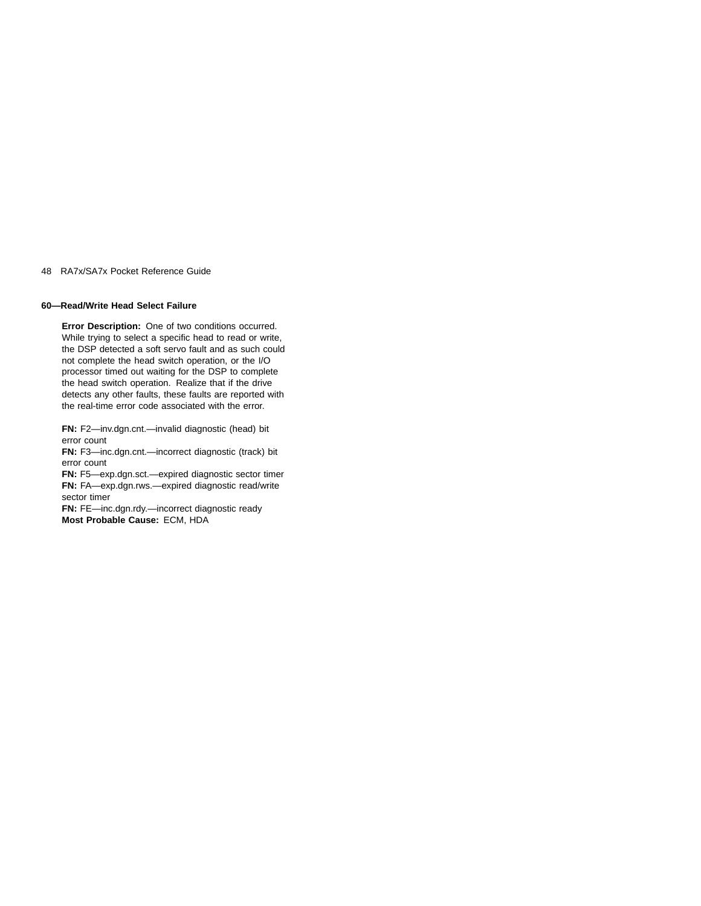# **60—Read/Write Head Select Failure**

**Error Description:** One of two conditions occurred. While trying to select a specific head to read or write, the DSP detected a soft servo fault and as such could not complete the head switch operation, or the I/O processor timed out waiting for the DSP to complete the head switch operation. Realize that if the drive detects any other faults, these faults are reported with the real-time error code associated with the error.

**FN:** F2—inv.dgn.cnt.—invalid diagnostic (head) bit error count

**FN:** F3—inc.dgn.cnt.—incorrect diagnostic (track) bit error count

**FN:** F5—exp.dgn.sct.—expired diagnostic sector timer **FN:** FA—exp.dgn.rws.—expired diagnostic read/write sector timer

**FN:** FE—inc.dgn.rdy.—incorrect diagnostic ready **Most Probable Cause:** ECM, HDA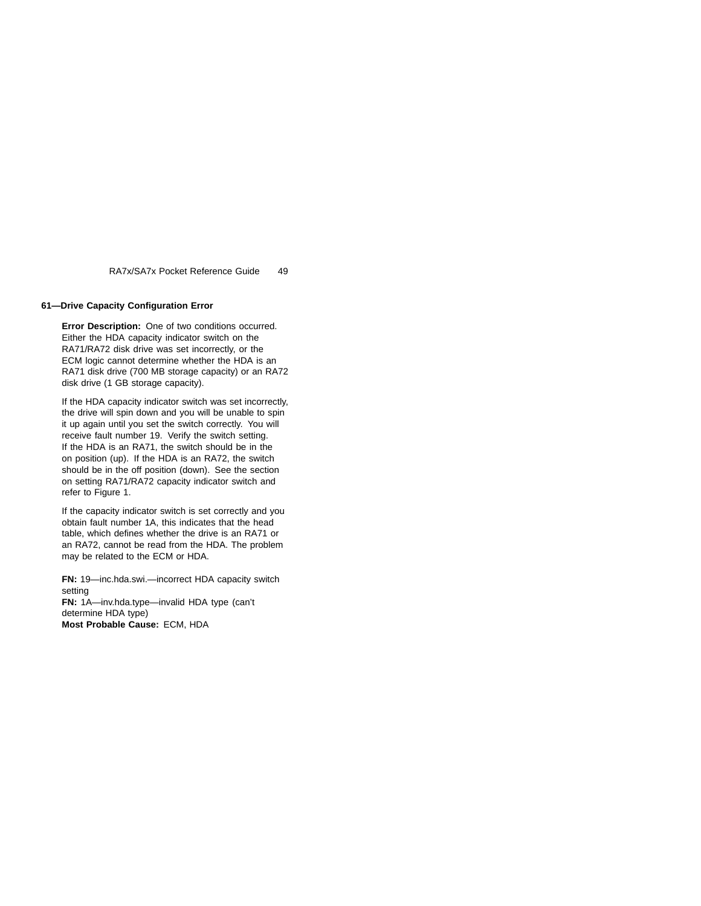# **61—Drive Capacity Configuration Error**

**Error Description:** One of two conditions occurred. Either the HDA capacity indicator switch on the RA71/RA72 disk drive was set incorrectly, or the ECM logic cannot determine whether the HDA is an RA71 disk drive (700 MB storage capacity) or an RA72 disk drive (1 GB storage capacity).

If the HDA capacity indicator switch was set incorrectly, the drive will spin down and you will be unable to spin it up again until you set the switch correctly. You will receive fault number 19. Verify the switch setting. If the HDA is an RA71, the switch should be in the on position (up). If the HDA is an RA72, the switch should be in the off position (down). See the section on setting RA71/RA72 capacity indicator switch and refer to Figure 1.

If the capacity indicator switch is set correctly and you obtain fault number 1A, this indicates that the head table, which defines whether the drive is an RA71 or an RA72, cannot be read from the HDA. The problem may be related to the ECM or HDA.

**FN:** 19—inc.hda.swi.—incorrect HDA capacity switch setting **FN:** 1A—inv.hda.type—invalid HDA type (can't determine HDA type) **Most Probable Cause:** ECM, HDA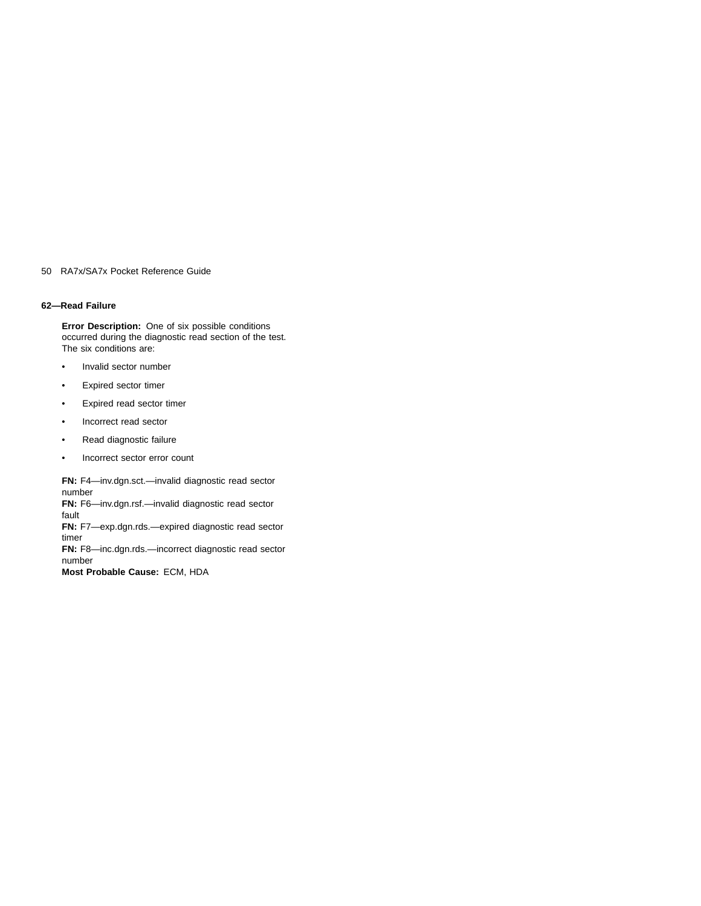### **62—Read Failure**

**Error Description:** One of six possible conditions occurred during the diagnostic read section of the test. The six conditions are:

- Invalid sector number
- Expired sector timer
- Expired read sector timer
- Incorrect read sector
- Read diagnostic failure
- Incorrect sector error count

**FN:** F4—inv.dgn.sct.—invalid diagnostic read sector number **FN:** F6—inv.dgn.rsf.—invalid diagnostic read sector fault **FN:** F7—exp.dgn.rds.—expired diagnostic read sector timer **FN:** F8—inc.dgn.rds.—incorrect diagnostic read sector number

**Most Probable Cause:** ECM, HDA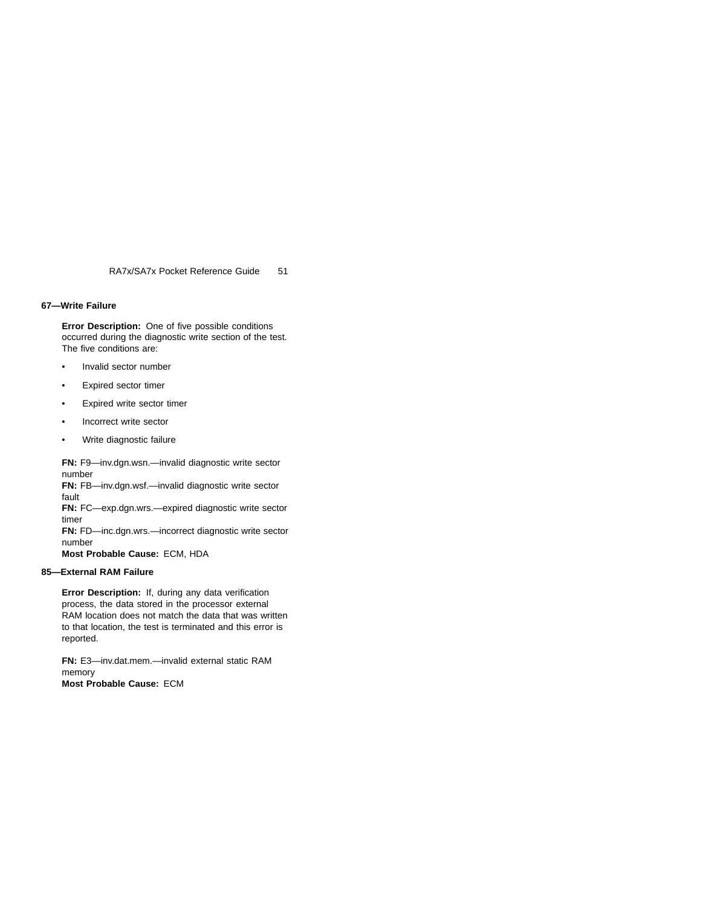#### **67—Write Failure**

**Error Description:** One of five possible conditions occurred during the diagnostic write section of the test. The five conditions are:

- Invalid sector number
- Expired sector timer
- Expired write sector timer
- Incorrect write sector
- Write diagnostic failure

**FN:** F9—inv.dgn.wsn.—invalid diagnostic write sector number **FN:** FB—inv.dgn.wsf.—invalid diagnostic write sector fault **FN:** FC—exp.dgn.wrs.—expired diagnostic write sector timer **FN:** FD—inc.dgn.wrs.—incorrect diagnostic write sector number **Most Probable Cause:** ECM, HDA

# **85—External RAM Failure**

**Error Description:** If, during any data verification process, the data stored in the processor external RAM location does not match the data that was written to that location, the test is terminated and this error is reported.

**FN:** E3—inv.dat.mem.—invalid external static RAM memory **Most Probable Cause:** ECM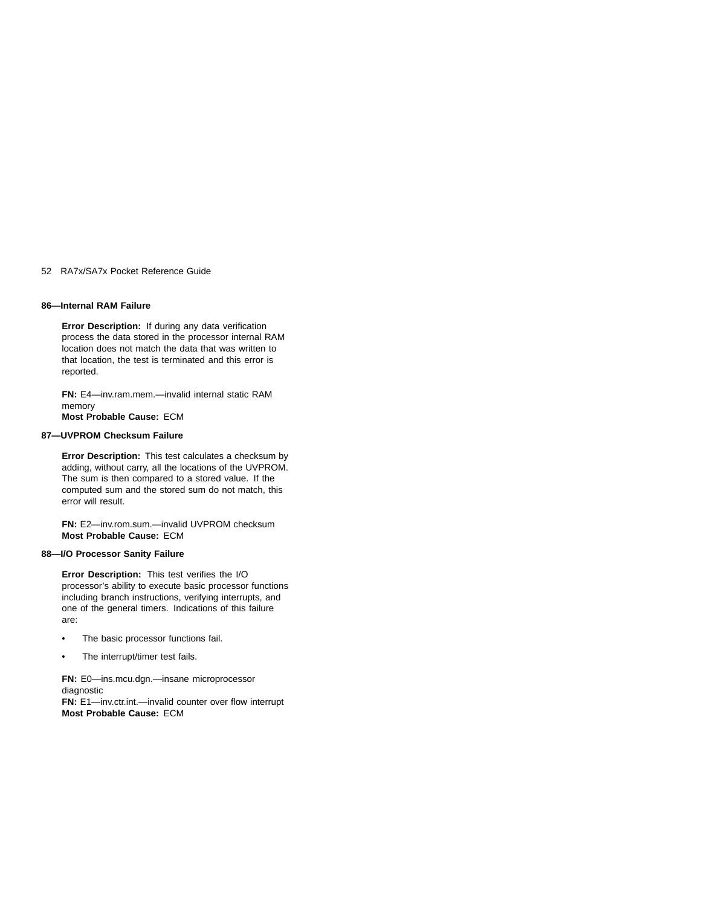## **86—Internal RAM Failure**

**Error Description:** If during any data verification process the data stored in the processor internal RAM location does not match the data that was written to that location, the test is terminated and this error is reported.

**FN:** E4—inv.ram.mem.—invalid internal static RAM memory **Most Probable Cause:** ECM

# **87—UVPROM Checksum Failure**

**Error Description:** This test calculates a checksum by adding, without carry, all the locations of the UVPROM. The sum is then compared to a stored value. If the computed sum and the stored sum do not match, this error will result.

**FN:** E2—inv.rom.sum.—invalid UVPROM checksum **Most Probable Cause:** ECM

# **88—I/O Processor Sanity Failure**

**Error Description:** This test verifies the I/O processor's ability to execute basic processor functions including branch instructions, verifying interrupts, and one of the general timers. Indications of this failure are:

- The basic processor functions fail.
- The interrupt/timer test fails.

**FN:** E0—ins.mcu.dgn.—insane microprocessor diagnostic

**FN:** E1—inv.ctr.int.—invalid counter over flow interrupt **Most Probable Cause:** ECM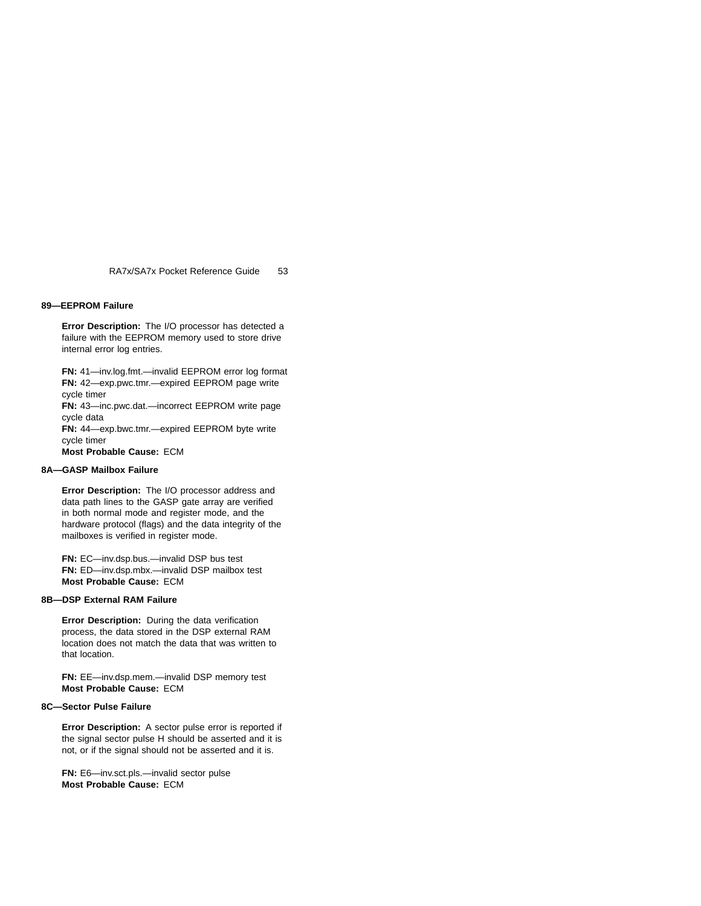#### **89—EEPROM Failure**

**Error Description:** The I/O processor has detected a failure with the EEPROM memory used to store drive internal error log entries.

**FN:** 41—inv.log.fmt.—invalid EEPROM error log format **FN:** 42—exp.pwc.tmr.—expired EEPROM page write cycle timer

**FN:** 43—inc.pwc.dat.—incorrect EEPROM write page cycle data

**FN:** 44—exp.bwc.tmr.—expired EEPROM byte write cycle timer

**Most Probable Cause:** ECM

# **8A—GASP Mailbox Failure**

**Error Description:** The I/O processor address and data path lines to the GASP gate array are verified in both normal mode and register mode, and the hardware protocol (flags) and the data integrity of the mailboxes is verified in register mode.

**FN:** EC—inv.dsp.bus.—invalid DSP bus test **FN:** ED—inv.dsp.mbx.—invalid DSP mailbox test **Most Probable Cause:** ECM

### **8B—DSP External RAM Failure**

**Error Description:** During the data verification process, the data stored in the DSP external RAM location does not match the data that was written to that location.

**FN:** EE—inv.dsp.mem.—invalid DSP memory test **Most Probable Cause:** ECM

### **8C—Sector Pulse Failure**

**Error Description:** A sector pulse error is reported if the signal sector pulse H should be asserted and it is not, or if the signal should not be asserted and it is.

**FN:** E6—inv.sct.pls.—invalid sector pulse **Most Probable Cause:** ECM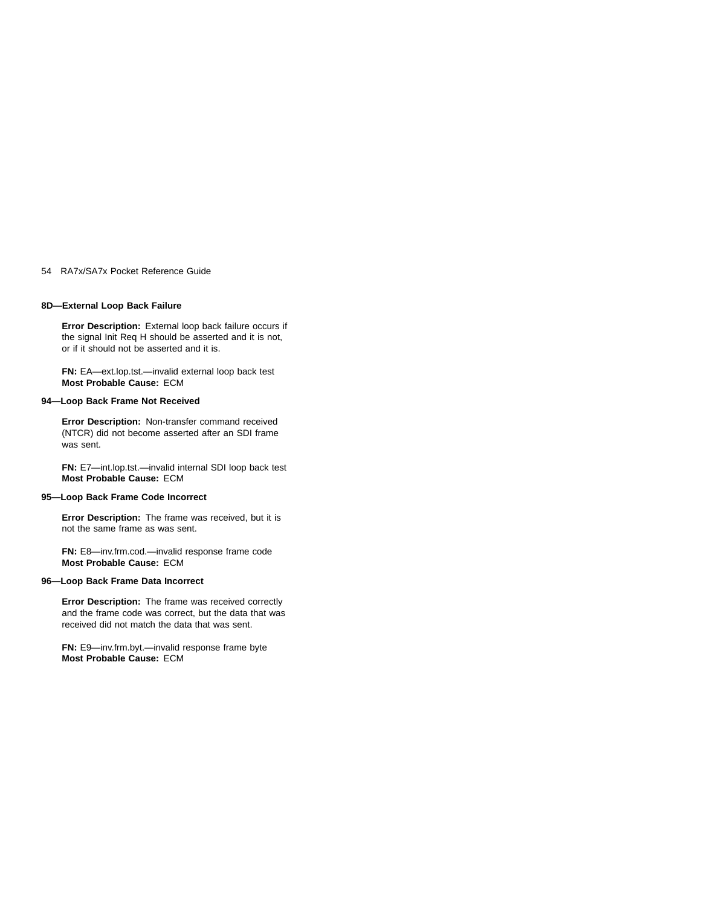## **8D—External Loop Back Failure**

**Error Description:** External loop back failure occurs if the signal Init Req H should be asserted and it is not, or if it should not be asserted and it is.

**FN:** EA—ext.lop.tst.—invalid external loop back test **Most Probable Cause:** ECM

#### **94—Loop Back Frame Not Received**

**Error Description:** Non-transfer command received (NTCR) did not become asserted after an SDI frame was sent.

**FN:** E7—int.lop.tst.—invalid internal SDI loop back test **Most Probable Cause:** ECM

# **95—Loop Back Frame Code Incorrect**

**Error Description:** The frame was received, but it is not the same frame as was sent.

**FN:** E8—inv.frm.cod.—invalid response frame code **Most Probable Cause:** ECM

# **96—Loop Back Frame Data Incorrect**

**Error Description:** The frame was received correctly and the frame code was correct, but the data that was received did not match the data that was sent.

**FN:** E9—inv.frm.byt.—invalid response frame byte **Most Probable Cause:** ECM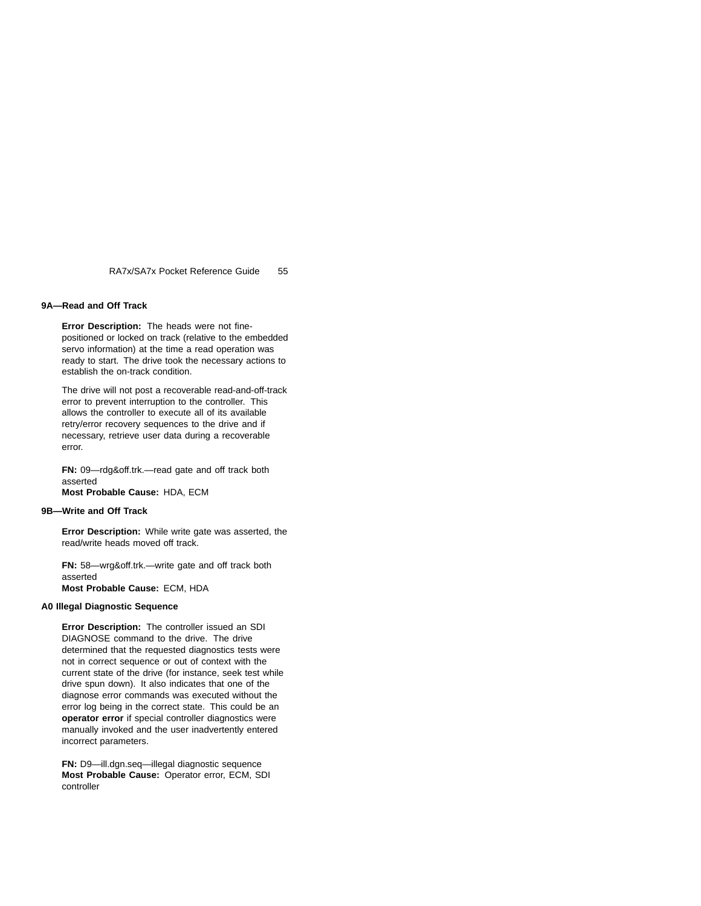## **9A—Read and Off Track**

**Error Description:** The heads were not finepositioned or locked on track (relative to the embedded servo information) at the time a read operation was ready to start. The drive took the necessary actions to establish the on-track condition.

The drive will not post a recoverable read-and-off-track error to prevent interruption to the controller. This allows the controller to execute all of its available retry/error recovery sequences to the drive and if necessary, retrieve user data during a recoverable error.

**FN:** 09—rdg&off.trk.—read gate and off track both asserted

**Most Probable Cause:** HDA, ECM

# **9B—Write and Off Track**

**Error Description:** While write gate was asserted, the read/write heads moved off track.

**FN:** 58—wrg&off.trk.—write gate and off track both asserted

**Most Probable Cause:** ECM, HDA

### **A0 Illegal Diagnostic Sequence**

**Error Description:** The controller issued an SDI DIAGNOSE command to the drive. The drive determined that the requested diagnostics tests were not in correct sequence or out of context with the current state of the drive (for instance, seek test while drive spun down). It also indicates that one of the diagnose error commands was executed without the error log being in the correct state. This could be an **operator error** if special controller diagnostics were manually invoked and the user inadvertently entered incorrect parameters.

**FN:** D9—ill.dgn.seq—illegal diagnostic sequence **Most Probable Cause:** Operator error, ECM, SDI controller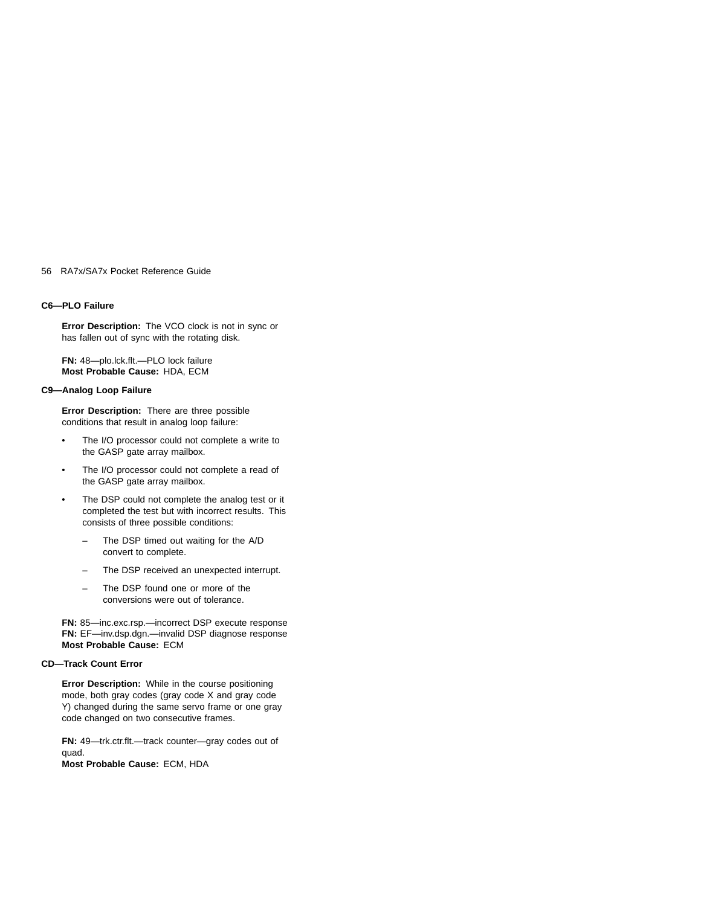### **C6—PLO Failure**

**Error Description:** The VCO clock is not in sync or has fallen out of sync with the rotating disk.

**FN:** 48—plo.lck.flt.—PLO lock failure **Most Probable Cause:** HDA, ECM

### **C9—Analog Loop Failure**

**Error Description:** There are three possible conditions that result in analog loop failure:

- The I/O processor could not complete a write to the GASP gate array mailbox.
- The I/O processor could not complete a read of the GASP gate array mailbox.
- The DSP could not complete the analog test or it completed the test but with incorrect results. This consists of three possible conditions:
	- The DSP timed out waiting for the A/D convert to complete.
	- The DSP received an unexpected interrupt.
	- The DSP found one or more of the conversions were out of tolerance.

**FN:** 85—inc.exc.rsp.—incorrect DSP execute response **FN:** EF—inv.dsp.dgn.—invalid DSP diagnose response **Most Probable Cause:** ECM

# **CD—Track Count Error**

**Error Description:** While in the course positioning mode, both gray codes (gray code X and gray code Y) changed during the same servo frame or one gray code changed on two consecutive frames.

**FN:** 49—trk.ctr.flt.—track counter—gray codes out of quad. **Most Probable Cause:** ECM, HDA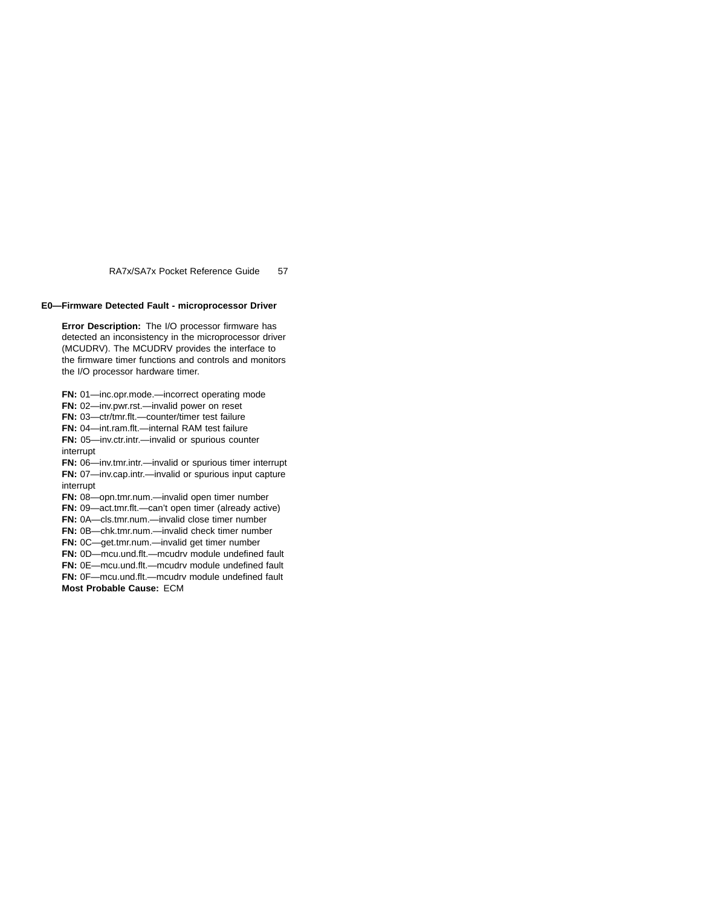# **E0—Firmware Detected Fault - microprocessor Driver**

**Error Description:** The I/O processor firmware has detected an inconsistency in the microprocessor driver (MCUDRV). The MCUDRV provides the interface to the firmware timer functions and controls and monitors the I/O processor hardware timer.

**FN:** 01—inc.opr.mode.—incorrect operating mode **FN:** 02—inv.pwr.rst.—invalid power on reset **FN:** 03—ctr/tmr.flt.—counter/timer test failure **FN:** 04—int.ram.flt.—internal RAM test failure **FN:** 05—inv.ctr.intr.—invalid or spurious counter interrupt **FN:** 06—inv.tmr.intr.—invalid or spurious timer interrupt **FN:** 07—inv.cap.intr.—invalid or spurious input capture interrupt **FN:** 08—opn.tmr.num.—invalid open timer number **FN:** 09—act.tmr.flt.—can't open timer (already active) **FN:** 0A—cls.tmr.num.—invalid close timer number **FN:** 0B—chk.tmr.num.—invalid check timer number **FN:** 0C—get.tmr.num.—invalid get timer number **FN:** 0D—mcu.und.flt.—mcudrv module undefined fault **FN:** 0E—mcu.und.flt.—mcudrv module undefined fault **FN:** 0F—mcu.und.flt.—mcudrv module undefined fault **Most Probable Cause:** ECM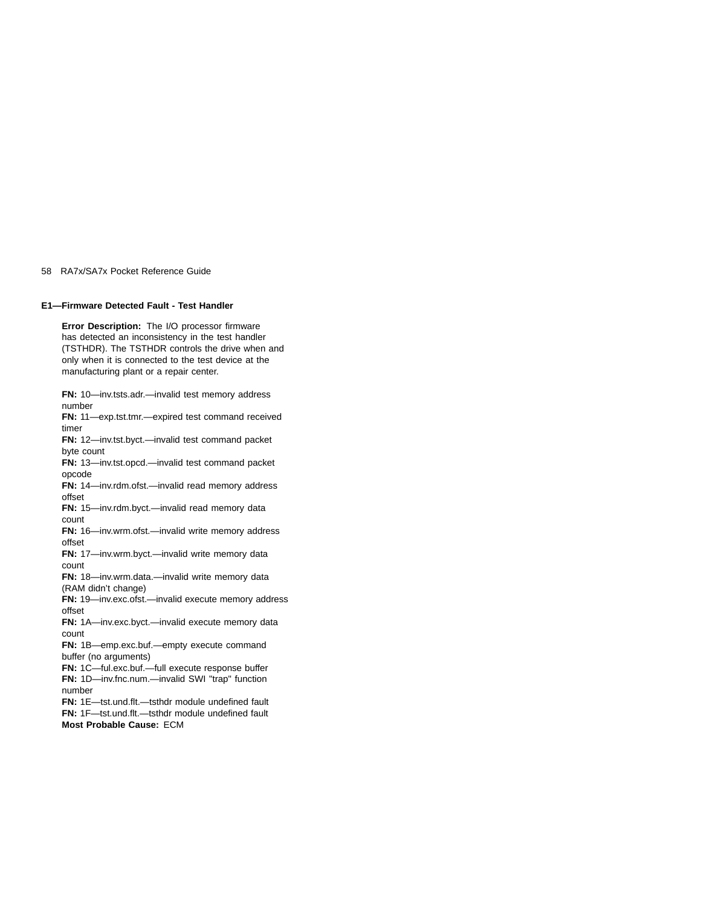# **E1—Firmware Detected Fault - Test Handler**

**Error Description:** The I/O processor firmware has detected an inconsistency in the test handler (TSTHDR). The TSTHDR controls the drive when and only when it is connected to the test device at the manufacturing plant or a repair center.

**FN:** 10—inv.tsts.adr.—invalid test memory address number **FN:** 11—exp.tst.tmr.—expired test command received

timer **FN:** 12—inv.tst.byct.—invalid test command packet

byte count **FN:** 13—inv.tst.opcd.—invalid test command packet opcode

**FN:** 14—inv.rdm.ofst.—invalid read memory address offset

**FN:** 15—inv.rdm.byct.—invalid read memory data count

**FN:** 16—inv.wrm.ofst.—invalid write memory address offset

**FN:** 17—inv.wrm.byct.—invalid write memory data count

**FN:** 18—inv.wrm.data.—invalid write memory data (RAM didn't change)

**FN:** 19—inv.exc.ofst.—invalid execute memory address offset

**FN:** 1A—inv.exc.byct.—invalid execute memory data count

**FN:** 1B—emp.exc.buf.—empty execute command buffer (no arguments)

**FN:** 1C—ful.exc.buf.—full execute response buffer **FN:** 1D—inv.fnc.num.—invalid SWI "trap" function number

**FN:** 1E—tst.und.flt.—tsthdr module undefined fault **FN:** 1F—tst.und.flt.—tsthdr module undefined fault

**Most Probable Cause:** ECM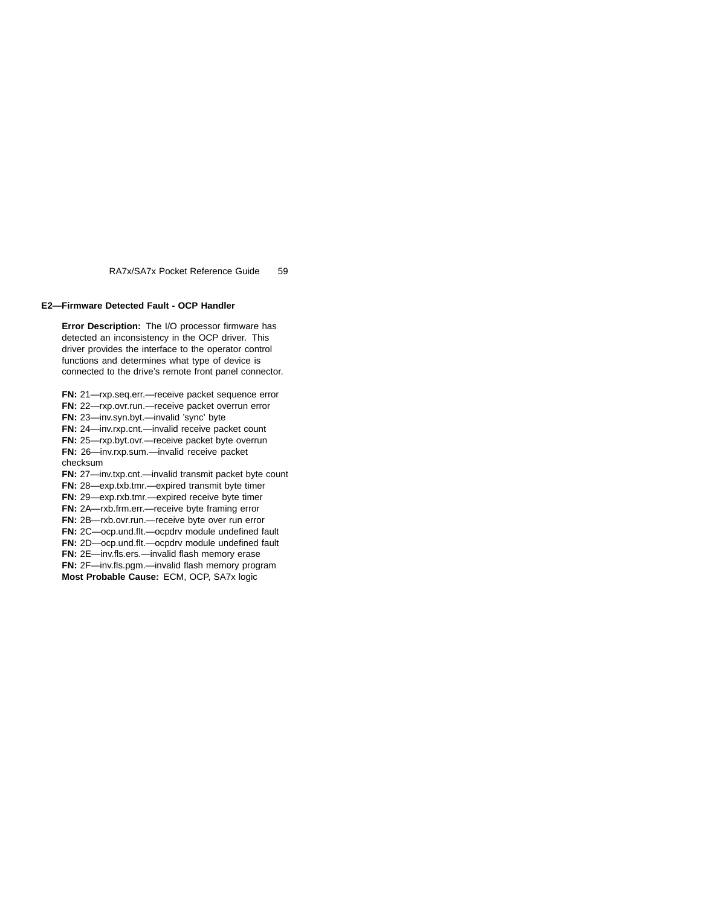# **E2—Firmware Detected Fault - OCP Handler**

**Error Description:** The I/O processor firmware has detected an inconsistency in the OCP driver. This driver provides the interface to the operator control functions and determines what type of device is connected to the drive's remote front panel connector.

**FN:** 21—rxp.seq.err.—receive packet sequence error **FN:** 22—rxp.ovr.run.—receive packet overrun error **FN:** 23—inv.syn.byt.—invalid 'sync' byte **FN:** 24—inv.rxp.cnt.—invalid receive packet count **FN:** 25—rxp.byt.ovr.—receive packet byte overrun **FN:** 26—inv.rxp.sum.—invalid receive packet checksum **FN:** 27—inv.txp.cnt.—invalid transmit packet byte count **FN:** 28—exp.txb.tmr.—expired transmit byte timer **FN:** 29—exp.rxb.tmr.—expired receive byte timer **FN:** 2A—rxb.frm.err.—receive byte framing error **FN:** 2B—rxb.ovr.run.—receive byte over run error **FN:** 2C—ocp.und.flt.—ocpdrv module undefined fault **FN:** 2D—ocp.und.flt.—ocpdrv module undefined fault **FN:** 2E—inv.fls.ers.—invalid flash memory erase **FN:** 2F—inv.fls.pgm.—invalid flash memory program **Most Probable Cause:** ECM, OCP, SA7x logic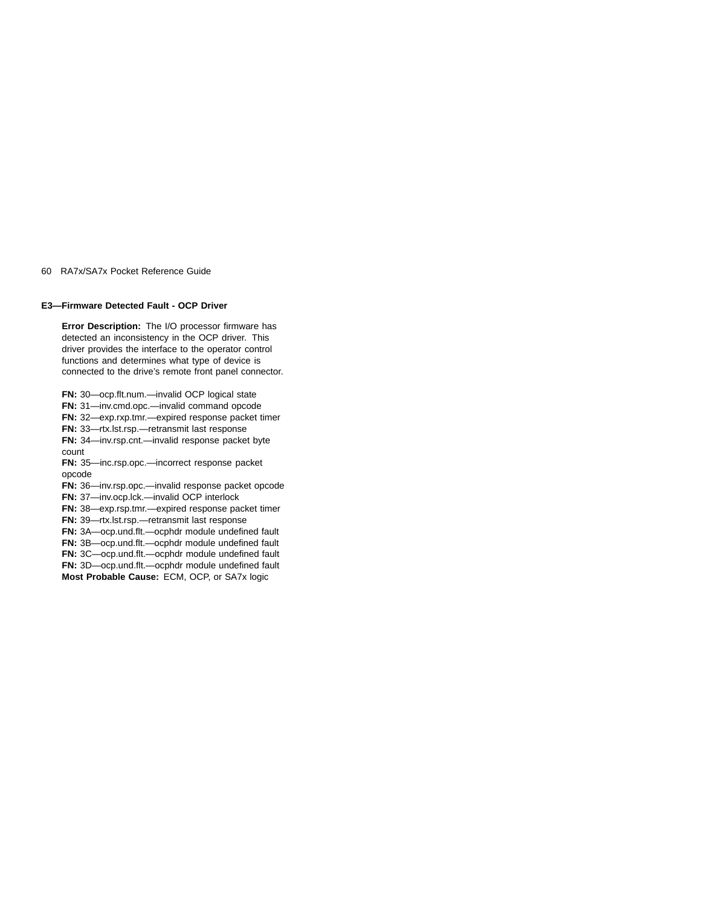## **E3—Firmware Detected Fault - OCP Driver**

**Error Description:** The I/O processor firmware has detected an inconsistency in the OCP driver. This driver provides the interface to the operator control functions and determines what type of device is connected to the drive's remote front panel connector.

**FN:** 30—ocp.flt.num.—invalid OCP logical state

**FN:** 31—inv.cmd.opc.—invalid command opcode

**FN:** 32—exp.rxp.tmr.—expired response packet timer

**FN:** 33—rtx.lst.rsp.—retransmit last response

**FN:** 34—inv.rsp.cnt.—invalid response packet byte

count

**FN:** 35—inc.rsp.opc.—incorrect response packet opcode

**FN:** 36—inv.rsp.opc.—invalid response packet opcode

**FN:** 37—inv.ocp.lck.—invalid OCP interlock

**FN:** 38—exp.rsp.tmr.—expired response packet timer

**FN:** 39—rtx.lst.rsp.—retransmit last response

**FN:** 3A—ocp.und.flt.—ocphdr module undefined fault **FN:** 3B—ocp.und.flt.—ocphdr module undefined fault

**FN:** 3C—ocp.und.flt.—ocphdr module undefined fault

**FN:** 3D—ocp.und.flt.—ocphdr module undefined fault

**Most Probable Cause:** ECM, OCP, or SA7x logic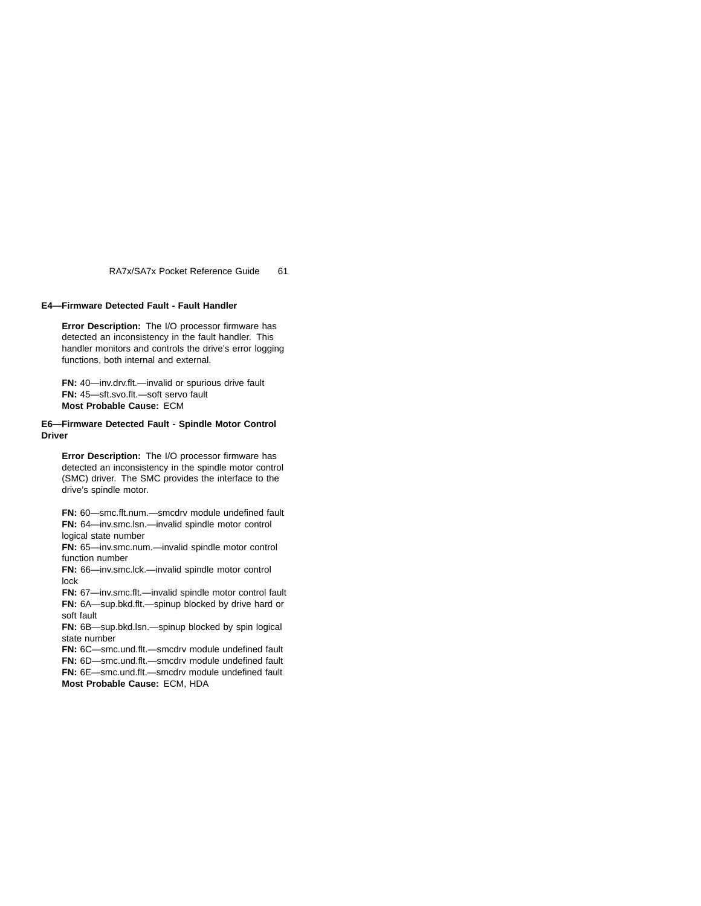# **E4—Firmware Detected Fault - Fault Handler**

**Error Description:** The I/O processor firmware has detected an inconsistency in the fault handler. This handler monitors and controls the drive's error logging functions, both internal and external.

**FN:** 40—inv.drv.flt.—invalid or spurious drive fault **FN:** 45—sft.svo.flt.—soft servo fault **Most Probable Cause:** ECM

# **E6—Firmware Detected Fault - Spindle Motor Control Driver**

**Error Description:** The I/O processor firmware has detected an inconsistency in the spindle motor control (SMC) driver. The SMC provides the interface to the drive's spindle motor.

**FN:** 60—smc.flt.num.—smcdrv module undefined fault **FN:** 64—inv.smc.lsn.—invalid spindle motor control logical state number

**FN:** 65—inv.smc.num.—invalid spindle motor control function number

**FN:** 66—inv.smc.lck.—invalid spindle motor control lock

**FN:** 67—inv.smc.flt.—invalid spindle motor control fault **FN:** 6A—sup.bkd.flt.—spinup blocked by drive hard or soft fault

**FN:** 6B—sup.bkd.lsn.—spinup blocked by spin logical state number

**FN:** 6C—smc.und.flt.—smcdrv module undefined fault

**FN:** 6D—smc.und.flt.—smcdrv module undefined fault

**FN:** 6E—smc.und.flt.—smcdrv module undefined fault

**Most Probable Cause:** ECM, HDA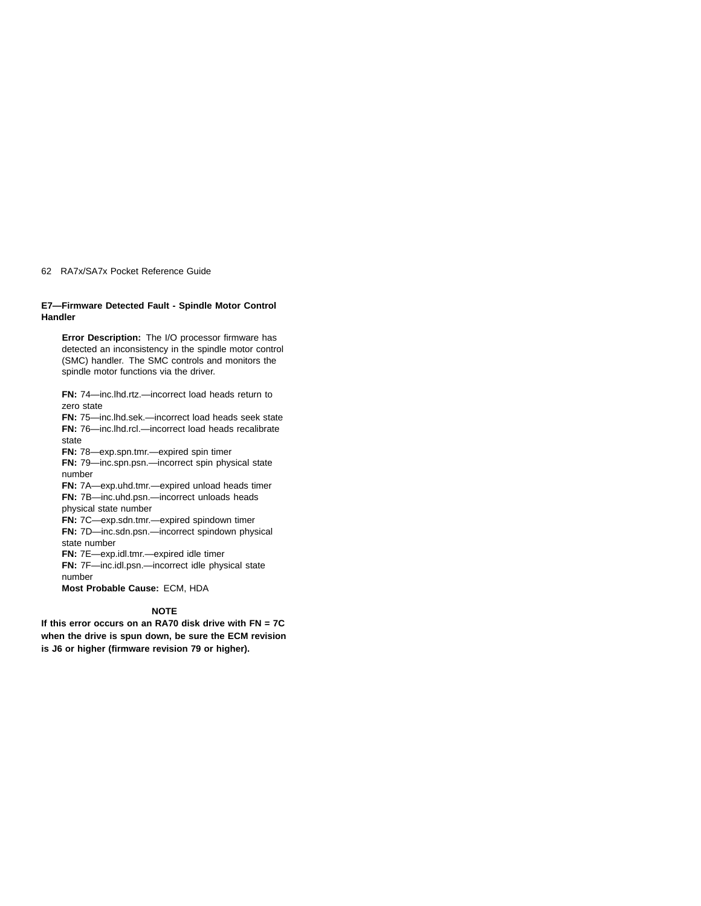# **E7—Firmware Detected Fault - Spindle Motor Control Handler**

**Error Description:** The I/O processor firmware has detected an inconsistency in the spindle motor control (SMC) handler. The SMC controls and monitors the spindle motor functions via the driver.

**FN:** 74—inc.lhd.rtz.—incorrect load heads return to zero state

**FN:** 75—inc.lhd.sek.—incorrect load heads seek state **FN:** 76—inc.lhd.rcl.—incorrect load heads recalibrate state

**FN:** 78—exp.spn.tmr.—expired spin timer

**FN:** 79—inc.spn.psn.—incorrect spin physical state number

**FN:** 7A—exp.uhd.tmr.—expired unload heads timer **FN:** 7B—inc.uhd.psn.—incorrect unloads heads physical state number

**FN:** 7C—exp.sdn.tmr.—expired spindown timer **FN:** 7D—inc.sdn.psn.—incorrect spindown physical state number

**FN:** 7E—exp.idl.tmr.—expired idle timer

**FN:** 7F—inc.idl.psn.—incorrect idle physical state number

**Most Probable Cause:** ECM, HDA

# **NOTE**

**If this error occurs on an RA70 disk drive with FN = 7C when the drive is spun down, be sure the ECM revision is J6 or higher (firmware revision 79 or higher).**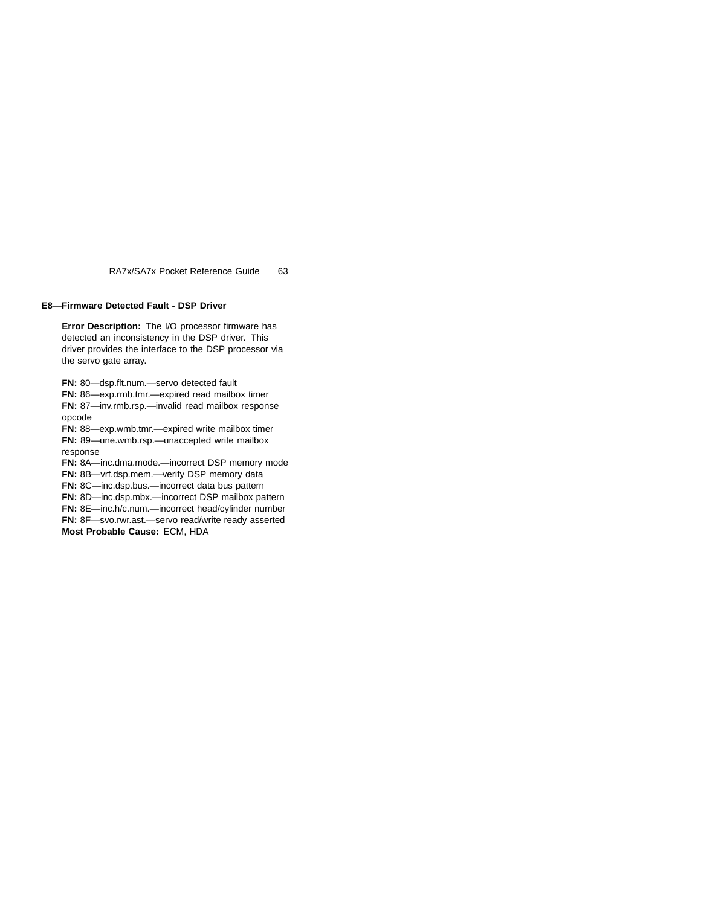# **E8—Firmware Detected Fault - DSP Driver**

**Error Description:** The I/O processor firmware has detected an inconsistency in the DSP driver. This driver provides the interface to the DSP processor via the servo gate array.

**FN:** 80—dsp.flt.num.—servo detected fault

**FN:** 86—exp.rmb.tmr.—expired read mailbox timer

**FN:** 87—inv.rmb.rsp.—invalid read mailbox response opcode

**FN:** 88—exp.wmb.tmr.—expired write mailbox timer **FN:** 89—une.wmb.rsp.—unaccepted write mailbox response

**FN:** 8A—inc.dma.mode.—incorrect DSP memory mode

**FN:** 8B—vrf.dsp.mem.—verify DSP memory data

**FN:** 8C—inc.dsp.bus.—incorrect data bus pattern

**FN:** 8D—inc.dsp.mbx.—incorrect DSP mailbox pattern

**FN:** 8E—inc.h/c.num.—incorrect head/cylinder number

**FN:** 8F—svo.rwr.ast.—servo read/write ready asserted

**Most Probable Cause:** ECM, HDA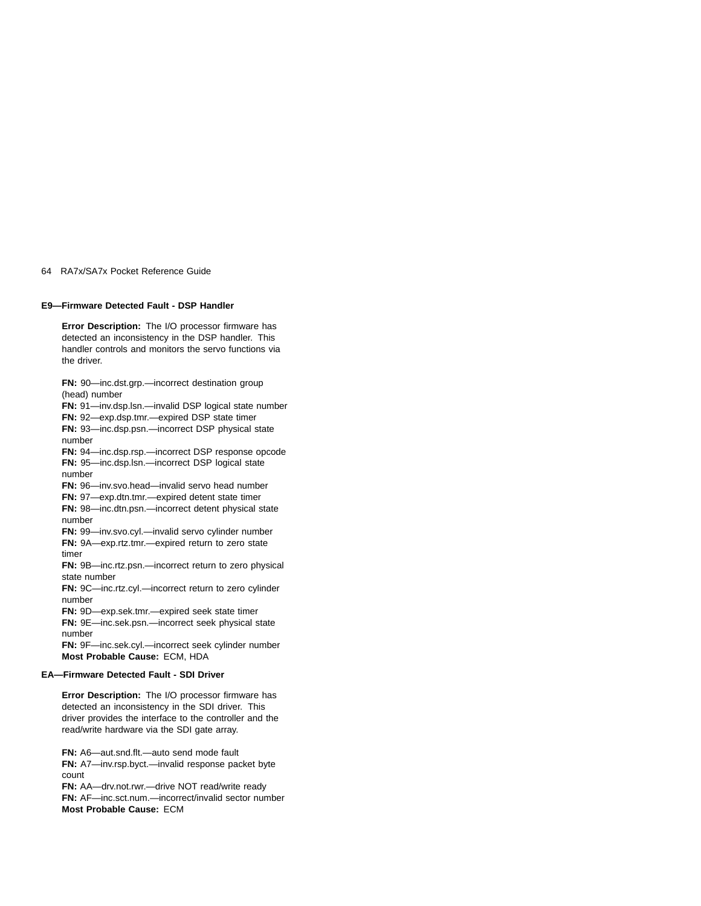## **E9—Firmware Detected Fault - DSP Handler**

**Error Description:** The I/O processor firmware has detected an inconsistency in the DSP handler. This handler controls and monitors the servo functions via the driver.

**FN:** 90—inc.dst.grp.—incorrect destination group (head) number

**FN:** 91—inv.dsp.lsn.—invalid DSP logical state number **FN:** 92—exp.dsp.tmr.—expired DSP state timer **FN:** 93—inc.dsp.psn.—incorrect DSP physical state number **FN:** 94—inc.dsp.rsp.—incorrect DSP response opcode

**FN:** 95—inc.dsp.lsn.—incorrect DSP logical state number

**FN:** 96—inv.svo.head—invalid servo head number

**FN:** 97—exp.dtn.tmr.—expired detent state timer

**FN:** 98—inc.dtn.psn.—incorrect detent physical state number

**FN:** 99—inv.svo.cyl.—invalid servo cylinder number **FN:** 9A—exp.rtz.tmr.—expired return to zero state timer

**FN:** 9B—inc.rtz.psn.—incorrect return to zero physical state number

**FN:** 9C—inc.rtz.cyl.—incorrect return to zero cylinder number

**FN:** 9D—exp.sek.tmr.—expired seek state timer

**FN:** 9E—inc.sek.psn.—incorrect seek physical state number

**FN:** 9F—inc.sek.cyl.—incorrect seek cylinder number **Most Probable Cause:** ECM, HDA

### **EA—Firmware Detected Fault - SDI Driver**

**Error Description:** The I/O processor firmware has detected an inconsistency in the SDI driver. This driver provides the interface to the controller and the read/write hardware via the SDI gate array.

**FN:** A6—aut.snd.flt.—auto send mode fault **FN:** A7—inv.rsp.byct.—invalid response packet byte count

**FN:** AA—drv.not.rwr.—drive NOT read/write ready **FN:** AF—inc.sct.num.—incorrect/invalid sector number **Most Probable Cause:** ECM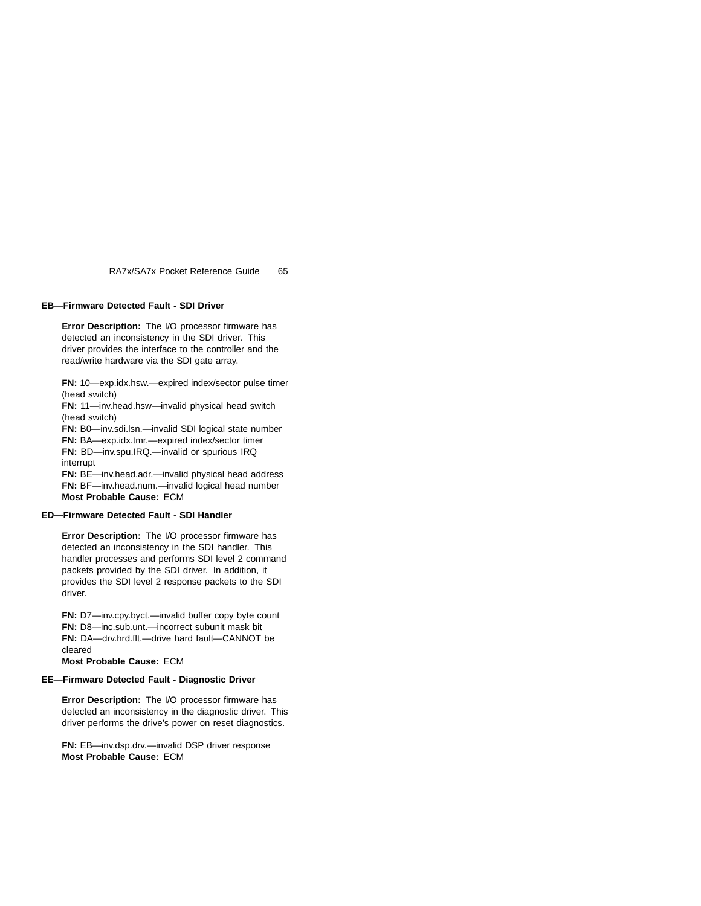# **EB—Firmware Detected Fault - SDI Driver**

**Error Description:** The I/O processor firmware has detected an inconsistency in the SDI driver. This driver provides the interface to the controller and the read/write hardware via the SDI gate array.

**FN:** 10—exp.idx.hsw.—expired index/sector pulse timer (head switch)

**FN:** 11—inv.head.hsw—invalid physical head switch (head switch)

**FN:** B0—inv.sdi.lsn.—invalid SDI logical state number

**FN:** BA—exp.idx.tmr.—expired index/sector timer

**FN:** BD—inv.spu.IRQ.—invalid or spurious IRQ interrupt

**FN:** BE—inv.head.adr.—invalid physical head address **FN:** BF—inv.head.num.—invalid logical head number **Most Probable Cause:** ECM

# **ED—Firmware Detected Fault - SDI Handler**

**Error Description:** The I/O processor firmware has detected an inconsistency in the SDI handler. This handler processes and performs SDI level 2 command packets provided by the SDI driver. In addition, it provides the SDI level 2 response packets to the SDI driver.

**FN:** D7—inv.cpy.byct.—invalid buffer copy byte count **FN:** D8—inc.sub.unt.—incorrect subunit mask bit **FN:** DA—drv.hrd.flt.—drive hard fault—CANNOT be cleared

**Most Probable Cause:** ECM

# **EE—Firmware Detected Fault - Diagnostic Driver**

**Error Description:** The I/O processor firmware has detected an inconsistency in the diagnostic driver. This driver performs the drive's power on reset diagnostics.

**FN:** EB—inv.dsp.drv.—invalid DSP driver response **Most Probable Cause:** ECM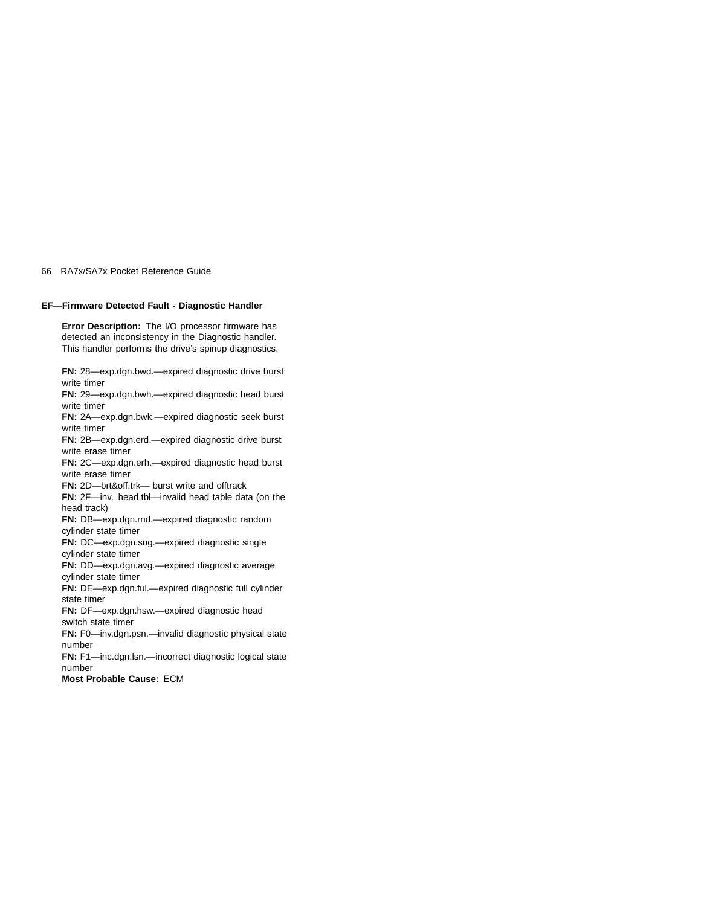# **EF—Firmware Detected Fault - Diagnostic Handler**

**Error Description:** The I/O processor firmware has detected an inconsistency in the Diagnostic handler. This handler performs the drive's spinup diagnostics.

**FN:** 28—exp.dgn.bwd.—expired diagnostic drive burst write timer **FN:** 29—exp.dgn.bwh.—expired diagnostic head burst write timer **FN:** 2A—exp.dgn.bwk.—expired diagnostic seek burst write timer **FN:** 2B—exp.dgn.erd.—expired diagnostic drive burst write erase timer **FN:** 2C—exp.dgn.erh.—expired diagnostic head burst write erase timer **FN:** 2D—brt&off.trk— burst write and offtrack **FN:** 2F—inv. head.tbl—invalid head table data (on the head track) **FN:** DB—exp.dgn.rnd.—expired diagnostic random cylinder state timer **FN:** DC—exp.dgn.sng.—expired diagnostic single cylinder state timer **FN:** DD—exp.dgn.avg.—expired diagnostic average cylinder state timer **FN:** DE—exp.dgn.ful.—expired diagnostic full cylinder state timer **FN:** DF—exp.dgn.hsw.—expired diagnostic head switch state timer **FN:** F0—inv.dgn.psn.—invalid diagnostic physical state number **FN:** F1—inc.dgn.lsn.—incorrect diagnostic logical state number **Most Probable Cause:** ECM